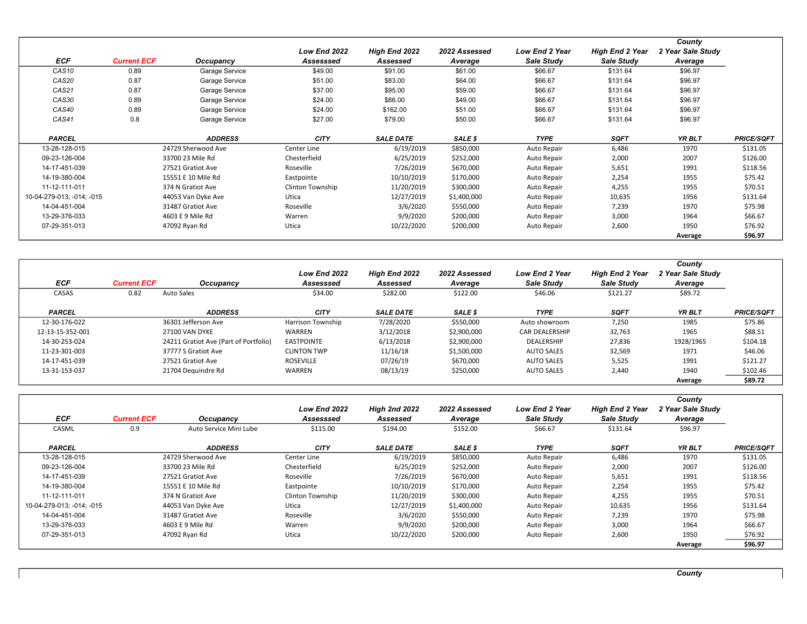| <b>ECF</b>                | <b>Current ECF</b> | Occupancy          | Low End 2022<br>Assesssed | High End 2022<br>Assessed | 2022 Assessed<br>Average | <b>Low End 2 Year</b><br>Sale Study | <b>High End 2 Year</b><br>Sale Study | County<br>2 Year Sale Study<br>Average |                   |
|---------------------------|--------------------|--------------------|---------------------------|---------------------------|--------------------------|-------------------------------------|--------------------------------------|----------------------------------------|-------------------|
| CAS <sub>10</sub>         | 0.89               | Garage Service     | \$49.00                   | \$91.00                   | \$61.00                  | \$66.67                             | \$131.64                             | \$96.97                                |                   |
| CAS20                     | 0.87               | Garage Service     | \$51.00                   | \$83.00                   | \$64.00                  | \$66.67                             | \$131.64                             | \$96.97                                |                   |
| CAS21                     | 0.87               | Garage Service     | \$37.00                   | \$95.00                   | \$59.00                  | \$66.67                             | \$131.64                             | \$96.97                                |                   |
| CAS30                     | 0.89               | Garage Service     | \$24.00                   | \$86.00                   | \$49.00                  | \$66.67                             | \$131.64                             | \$96.97                                |                   |
| CAS40                     | 0.89               | Garage Service     | \$24.00                   | \$162.00                  | \$51.00                  | \$66.67                             | \$131.64                             | \$96.97                                |                   |
| CAS41                     | 0.8                | Garage Service     | \$27.00                   | \$79.00                   | \$50.00                  | \$66.67                             | \$131.64                             | \$96.97                                |                   |
| <b>PARCEL</b>             |                    | <b>ADDRESS</b>     | <b>CITY</b>               | <b>SALE DATE</b>          | SALE \$                  | <b>TYPE</b>                         | <b>SQFT</b>                          | YR BLT                                 | <b>PRICE/SQFT</b> |
| 13-28-128-015             |                    | 24729 Sherwood Ave | Center Line               | 6/19/2019                 | \$850,000                | Auto Repair                         | 6,486                                | 1970                                   | \$131.05          |
| 09-23-126-004             |                    | 33700 23 Mile Rd   | Chesterfield              | 6/25/2019                 | \$252,000                | Auto Repair                         | 2,000                                | 2007                                   | \$126.00          |
| 14-17-451-039             |                    | 27521 Gratiot Ave  | Roseville                 | 7/26/2019                 | \$670,000                | Auto Repair                         | 5,651                                | 1991                                   | \$118.56          |
| 14-19-380-004             |                    | 15551 E 10 Mile Rd | Eastpointe                | 10/10/2019                | \$170,000                | Auto Repair                         | 2,254                                | 1955                                   | \$75.42           |
| 11-12-111-011             |                    | 374 N Gratiot Ave  | Clinton Township          | 11/20/2019                | \$300,000                | Auto Repair                         | 4,255                                | 1955                                   | \$70.51           |
| 10-04-279-013; -014; -015 |                    | 44053 Van Dyke Ave | Utica                     | 12/27/2019                | \$1,400,000              | Auto Repair                         | 10,635                               | 1956                                   | \$131.64          |
| 14-04-451-004             |                    | 31487 Gratiot Ave  | Roseville                 | 3/6/2020                  | \$550,000                | Auto Repair                         | 7,239                                | 1970                                   | \$75.98           |
| 13-29-376-033             |                    | 4603 E 9 Mile Rd   | Warren                    | 9/9/2020                  | \$200,000                | Auto Repair                         | 3,000                                | 1964                                   | \$66.67           |
| 07-29-351-013             |                    | 47092 Ryan Rd      | Utica                     | 10/22/2020                | \$200,000                | Auto Repair                         | 2,600                                | 1950                                   | \$76.92           |
|                           |                    |                    |                           |                           |                          |                                     |                                      | Average                                | \$96.97           |

| <b>ECF</b>       | <b>Current ECF</b> | Occupancy                             | Low End 2022<br>Assesssed | High End 2022<br>Assessed | 2022 Assessed<br>Average | <b>Low End 2 Year</b><br>Sale Study | <b>High End 2 Year</b><br>Sale Study | County<br>2 Year Sale Study<br>Average |                   |
|------------------|--------------------|---------------------------------------|---------------------------|---------------------------|--------------------------|-------------------------------------|--------------------------------------|----------------------------------------|-------------------|
| CASAS            | 0.82               | Auto Sales                            | \$34.00                   | \$282.00                  | \$122.00                 | \$46.06                             | \$121.27                             | \$89.72                                |                   |
| <b>PARCEL</b>    |                    | <b>ADDRESS</b>                        | <b>CITY</b>               | <b>SALE DATE</b>          | SALE \$                  | <b>TYPE</b>                         | <b>SQFT</b>                          | YR BLT                                 | <b>PRICE/SQFT</b> |
| 12-30-176-022    |                    | 36301 Jefferson Ave                   | <b>Harrison Township</b>  | 7/28/2020                 | \$550,000                | Auto showroom                       | 7,250                                | 1985                                   | \$75.86           |
| 12-13-15-352-001 |                    | 27100 VAN DYKE                        | WARREN                    | 3/12/2018                 | \$2,900,000              | <b>CAR DEALERSHIP</b>               | 32,763                               | 1965                                   | \$88.51           |
| 14-30-253-024    |                    | 24211 Gratiot Ave (Part of Portfolio) | <b>EASTPOINTE</b>         | 6/13/2018                 | \$2,900,000              | <b>DEALERSHIP</b>                   | 27,836                               | 1928/1965                              | \$104.18          |
| 11-23-301-003    |                    | 37777 S Gratiot Ave                   | <b>CLINTON TWP</b>        | 11/16/18                  | \$1,500,000              | <b>AUTO SALES</b>                   | 32,569                               | 1971                                   | \$46.06           |
| 14-17-451-039    |                    | 27521 Gratiot Ave                     | ROSEVILLE                 | 07/26/19                  | \$670,000                | <b>AUTO SALES</b>                   | 5,525                                | 1991                                   | \$121.27          |
| 13-31-153-037    |                    | 21704 Dequindre Rd                    | WARREN                    | 08/13/19                  | \$250,000                | <b>AUTO SALES</b>                   | 2,440                                | 1940                                   | \$102.46          |
|                  |                    |                                       |                           |                           |                          |                                     |                                      | Average                                | \$89.72           |

|                           |                    |                        | Low End 2022     | <b>High 2nd 2022</b> | 2022 Assessed | Low End 2 Year | <b>High End 2 Year</b> | County<br>2 Year Sale Study |                   |
|---------------------------|--------------------|------------------------|------------------|----------------------|---------------|----------------|------------------------|-----------------------------|-------------------|
| ECF                       | <b>Current ECF</b> | Occupancy              | Assesssed        | Assessed             | Average       | Sale Study     | Sale Study             | Average                     |                   |
| CASML                     | 0.9                | Auto Service Mini Lube | \$115.00         | \$194.00             | \$152.00      | \$66.67        | \$131.64               | \$96.97                     |                   |
| <b>PARCEL</b>             |                    | <b>ADDRESS</b>         | <b>CITY</b>      | <b>SALE DATE</b>     | SALE \$       | <b>TYPE</b>    | <b>SQFT</b>            | YR BLT                      | <b>PRICE/SQFT</b> |
| 13-28-128-015             |                    | 24729 Sherwood Ave     | Center Line      | 6/19/2019            | \$850,000     | Auto Repair    | 6,486                  | 1970                        | \$131.05          |
| 09-23-126-004             |                    | 33700 23 Mile Rd       | Chesterfield     | 6/25/2019            | \$252,000     | Auto Repair    | 2,000                  | 2007                        | \$126.00          |
| 14-17-451-039             |                    | 27521 Gratiot Ave      | Roseville        | 7/26/2019            | \$670,000     | Auto Repair    | 5,651                  | 1991                        | \$118.56          |
| 14-19-380-004             |                    | 15551 E 10 Mile Rd     | Eastpointe       | 10/10/2019           | \$170,000     | Auto Repair    | 2,254                  | 1955                        | \$75.42           |
| 11-12-111-011             |                    | 374 N Gratiot Ave      | Clinton Township | 11/20/2019           | \$300,000     | Auto Repair    | 4,255                  | 1955                        | \$70.51           |
| 10-04-279-013: -014: -015 |                    | 44053 Van Dyke Ave     | Utica            | 12/27/2019           | \$1,400,000   | Auto Repair    | 10,635                 | 1956                        | \$131.64          |
| 14-04-451-004             |                    | 31487 Gratiot Ave      | Roseville        | 3/6/2020             | \$550,000     | Auto Repair    | 7,239                  | 1970                        | \$75.98           |
| 13-29-376-033             |                    | 4603 E 9 Mile Rd       | Warren           | 9/9/2020             | \$200,000     | Auto Repair    | 3,000                  | 1964                        | \$66.67           |
| 07-29-351-013             |                    | 47092 Ryan Rd          | Utica            | 10/22/2020           | \$200,000     | Auto Repair    | 2,600                  | 1950                        | \$76.92           |
|                           |                    |                        |                  |                      |               |                |                        | Average                     | \$96.97           |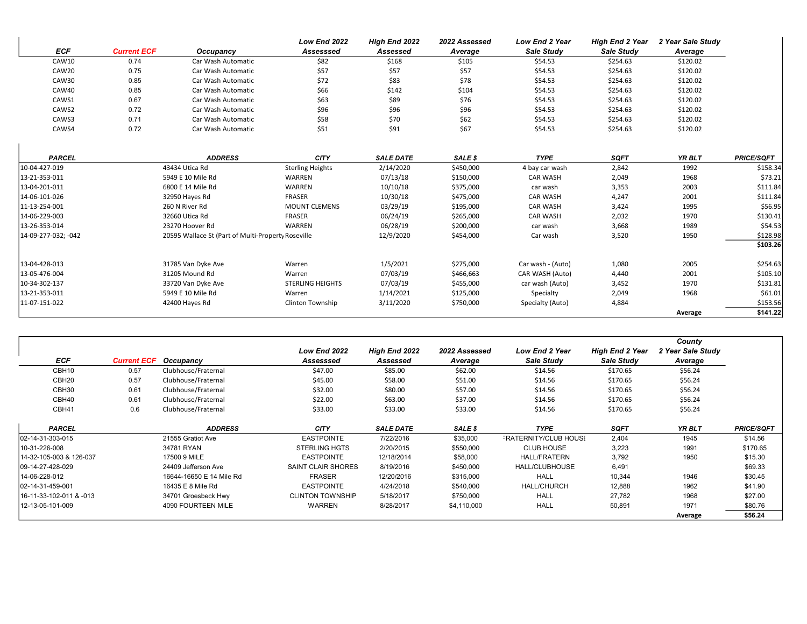|                     |                    |                                                    | Low End 2022            | High End 2022    | 2022 Assessed | Low End 2 Year    | <b>High End 2 Year</b> | 2 Year Sale Study |                   |
|---------------------|--------------------|----------------------------------------------------|-------------------------|------------------|---------------|-------------------|------------------------|-------------------|-------------------|
| <b>ECF</b>          | <b>Current ECF</b> | Occupancy                                          | Assesssed               | Assessed         | Average       | <b>Sale Study</b> | Sale Study             | Average           |                   |
| CAW10               | 0.74               | Car Wash Automatic                                 | \$82                    | \$168            | \$105         | \$54.53           | \$254.63               | \$120.02          |                   |
| CAW20               | 0.75               | Car Wash Automatic                                 | \$57                    | \$57             | \$57          | \$54.53           | \$254.63               | \$120.02          |                   |
| CAW30               | 0.85               | Car Wash Automatic                                 | \$72                    | \$83             | \$78          | \$54.53           | \$254.63               | \$120.02          |                   |
| CAW40               | 0.85               | Car Wash Automatic                                 | \$66                    | \$142            | \$104         | \$54.53           | \$254.63               | \$120.02          |                   |
| CAWS1               | 0.67               | Car Wash Automatic                                 | \$63                    | \$89             | \$76          | \$54.53           | \$254.63               | \$120.02          |                   |
| CAWS2               | 0.72               | Car Wash Automatic                                 | \$96                    | \$96             | \$96          | \$54.53           | \$254.63               | \$120.02          |                   |
| CAWS3               | 0.71               | Car Wash Automatic                                 | \$58                    | \$70             | \$62          | \$54.53           | \$254.63               | \$120.02          |                   |
| CAWS4               | 0.72               | Car Wash Automatic                                 | \$51                    | \$91             | \$67          | \$54.53           | \$254.63               | \$120.02          |                   |
| <b>PARCEL</b>       |                    | <b>ADDRESS</b>                                     | <b>CITY</b>             | <b>SALE DATE</b> | SALE \$       | <b>TYPE</b>       | <b>SQFT</b>            | <b>YR BLT</b>     | <b>PRICE/SQFT</b> |
| 10-04-427-019       |                    | 43434 Utica Rd                                     | <b>Sterling Heights</b> | 2/14/2020        | \$450,000     | 4 bay car wash    | 2,842                  | 1992              | \$158.34          |
| 13-21-353-011       |                    | 5949 E 10 Mile Rd                                  | WARREN                  | 07/13/18         | \$150,000     | <b>CAR WASH</b>   | 2,049                  | 1968              | \$73.21           |
| 13-04-201-011       |                    | 6800 E 14 Mile Rd                                  | WARREN                  | 10/10/18         | \$375,000     | car wash          | 3,353                  | 2003              | \$111.84          |
| 14-06-101-026       |                    | 32950 Hayes Rd                                     | <b>FRASER</b>           | 10/30/18         | \$475,000     | <b>CAR WASH</b>   | 4,247                  | 2001              | \$111.84          |
| 11-13-254-001       |                    | 260 N River Rd                                     | <b>MOUNT CLEMENS</b>    | 03/29/19         | \$195,000     | <b>CAR WASH</b>   | 3,424                  | 1995              | \$56.95           |
| 14-06-229-003       |                    | 32660 Utica Rd                                     | <b>FRASER</b>           | 06/24/19         | \$265,000     | <b>CAR WASH</b>   | 2,032                  | 1970              | \$130.41          |
| 13-26-353-014       |                    | 23270 Hoover Rd                                    | WARREN                  | 06/28/19         | \$200,000     | car wash          | 3,668                  | 1989              | \$54.53           |
| 14-09-277-032; -042 |                    | 20595 Wallace St (Part of Multi-Property Roseville |                         | 12/9/2020        | \$454,000     | Car wash          | 3,520                  | 1950              | \$128.98          |
|                     |                    |                                                    |                         |                  |               |                   |                        |                   | \$103.26          |
| 13-04-428-013       |                    | 31785 Van Dyke Ave                                 | Warren                  | 1/5/2021         | \$275,000     | Car wash - (Auto) | 1,080                  | 2005              | \$254.63          |
| 13-05-476-004       |                    | 31205 Mound Rd                                     | Warren                  | 07/03/19         | \$466,663     | CAR WASH (Auto)   | 4,440                  | 2001              | \$105.10          |
| 10-34-302-137       |                    | 33720 Van Dyke Ave                                 | <b>STERLING HEIGHTS</b> | 07/03/19         | \$455,000     | car wash (Auto)   | 3,452                  | 1970              | \$131.81          |
| 13-21-353-011       |                    | 5949 E 10 Mile Rd                                  | Warren                  | 1/14/2021        | \$125,000     | Specialty         | 2,049                  | 1968              | \$61.01           |
| 11-07-151-022       |                    | 42400 Hayes Rd                                     | Clinton Township        | 3/11/2020        | \$750,000     | Specialty (Auto)  | 4,884                  |                   | \$153.56          |
|                     |                    |                                                    |                         |                  |               |                   |                        | Average           | \$141.22          |

|                         |                    |                          |                         |                      |               |                              |                        | County            |                   |
|-------------------------|--------------------|--------------------------|-------------------------|----------------------|---------------|------------------------------|------------------------|-------------------|-------------------|
|                         |                    |                          | Low End 2022            | <b>High End 2022</b> | 2022 Assessed | <b>Low End 2 Year</b>        | <b>High End 2 Year</b> | 2 Year Sale Study |                   |
| <b>ECF</b>              | <b>Current ECF</b> | Occupancy                | Assesssed               | Assessed             | Average       | Sale Study                   | Sale Study             | Average           |                   |
| CBH10                   | 0.57               | Clubhouse/Fraternal      | \$47.00                 | \$85.00              | \$62.00       | \$14.56                      | \$170.65               | \$56.24           |                   |
| CBH <sub>20</sub>       | 0.57               | Clubhouse/Fraternal      | \$45.00                 | \$58.00              | \$51.00       | \$14.56                      | \$170.65               | \$56.24           |                   |
| CBH30                   | 0.61               | Clubhouse/Fraternal      | \$32.00                 | \$80.00              | \$57.00       | \$14.56                      | \$170.65               | \$56.24           |                   |
| CBH40                   | 0.61               | Clubhouse/Fraternal      | \$22.00                 | \$63.00              | \$37.00       | \$14.56                      | \$170.65               | \$56.24           |                   |
| CBH41                   | 0.6                | Clubhouse/Fraternal      | \$33.00                 | \$33.00              | \$33.00       | \$14.56                      | \$170.65               | \$56.24           |                   |
| <b>PARCEL</b>           |                    | <b>ADDRESS</b>           | <b>CITY</b>             | <b>SALE DATE</b>     | SALE \$       | <b>TYPE</b>                  | <b>SQFT</b>            | YR BLT            | <b>PRICE/SQFT</b> |
| 102-14-31-303-015       |                    | 21555 Gratiot Ave        | <b>EASTPOINTE</b>       | 7/22/2016            | \$35,000      | <b>FRATERNITY/CLUB HOUSE</b> | 2,404                  | 1945              | \$14.56           |
| 10-31-226-008           |                    | 34781 RYAN               | <b>STERLING HGTS</b>    | 2/20/2015            | \$550,000     | <b>CLUB HOUSE</b>            | 3,223                  | 1991              | \$170.65          |
| 14-32-105-003 & 126-037 |                    | 17500 9 MILE             | <b>EASTPOINTE</b>       | 12/18/2014           | \$58,000      | <b>HALL/FRATERN</b>          | 3,792                  | 1950              | \$15.30           |
| 109-14-27-428-029       |                    | 24409 Jefferson Ave      | SAINT CLAIR SHORES      | 8/19/2016            | \$450,000     | HALL/CLUBHOUSE               | 6,491                  |                   | \$69.33           |
| 14-06-228-012           |                    | 16644-16650 E 14 Mile Rd | <b>FRASER</b>           | 12/20/2016           | \$315,000     | <b>HALL</b>                  | 10,344                 | 1946              | \$30.45           |
| 02-14-31-459-001        |                    | 16435 E 8 Mile Rd        | <b>EASTPOINTE</b>       | 4/24/2018            | \$540,000     | <b>HALL/CHURCH</b>           | 12,888                 | 1962              | \$41.90           |
| 16-11-33-102-011 & -013 |                    | 34701 Groesbeck Hwy      | <b>CLINTON TOWNSHIP</b> | 5/18/2017            | \$750,000     | <b>HALL</b>                  | 27,782                 | 1968              | \$27.00           |
| 12-13-05-101-009        |                    | 4090 FOURTEEN MILE       | <b>WARREN</b>           | 8/28/2017            | \$4,110,000   | <b>HALL</b>                  | 50,891                 | 1971              | \$80.76           |
|                         |                    |                          |                         |                      |               |                              |                        | Average           | \$56.24           |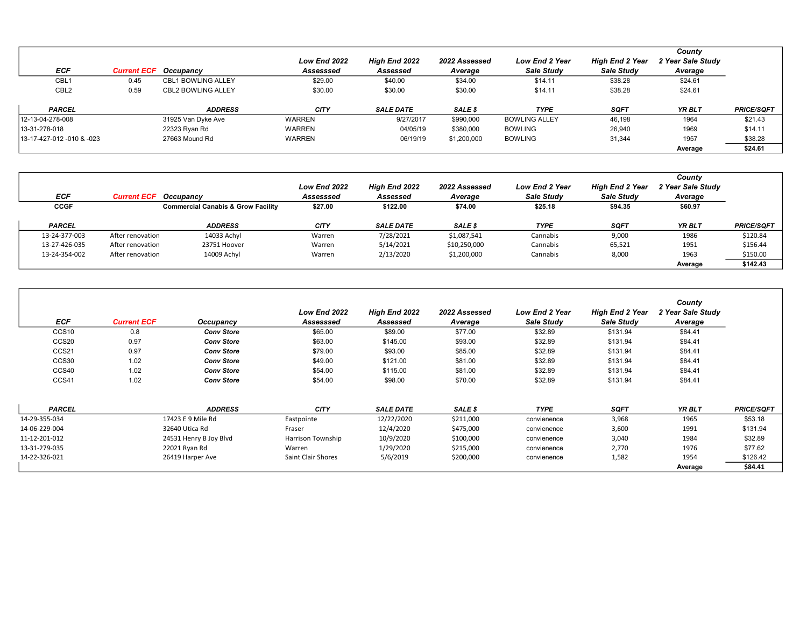|                           |                              |                           | Low End 2022  | <b>High End 2022</b> | 2022 Assessed | <b>Low End 2 Year</b> | <b>High End 2 Year</b> | County<br>2 Year Sale Study |                   |
|---------------------------|------------------------------|---------------------------|---------------|----------------------|---------------|-----------------------|------------------------|-----------------------------|-------------------|
| ECF                       | <b>Current ECF</b> Occupancy |                           | Assesssed     | Assessed             | Average       | Sale Study            | Sale Study             | Average                     |                   |
| CBL <sub>1</sub>          | 0.45                         | <b>CBL1 BOWLING ALLEY</b> | \$29.00       | \$40.00              | \$34.00       | \$14.11               | \$38.28                | \$24.61                     |                   |
| CBL <sub>2</sub>          | 0.59                         | <b>CBL2 BOWLING ALLEY</b> | \$30.00       | \$30.00              | \$30.00       | \$14.11               | \$38.28                | \$24.61                     |                   |
| <b>PARCEL</b>             |                              | <b>ADDRESS</b>            | <b>CITY</b>   | <b>SALE DATE</b>     | SALE \$       | <b>TYPE</b>           | <b>SQFT</b>            | <b>YR BLT</b>               | <b>PRICE/SQFT</b> |
| 12-13-04-278-008          |                              | 31925 Van Dyke Ave        | <b>WARREN</b> | 9/27/2017            | \$990,000     | <b>BOWLING ALLEY</b>  | 46,198                 | 1964                        | \$21.43           |
| 13-31-278-018             |                              | 22323 Ryan Rd             | <b>WARREN</b> | 04/05/19             | \$380,000     | <b>BOWLING</b>        | 26,940                 | 1969                        | \$14.11           |
| 13-17-427-012 -010 & -023 |                              | 27663 Mound Rd            | <b>WARREN</b> | 06/19/19             | \$1,200,000   | <b>BOWLING</b>        | 31.344                 | 1957                        | \$38.28           |
|                           |                              |                           |               |                      |               |                       |                        | Average                     | \$24.61           |

|               | ECF                               | <b>Current ECF</b> Occupancy                  | Low End 2022<br>Assesssed | <b>High End 2022</b><br>Assessed | 2022 Assessed<br>Average | <b>Low End 2 Year</b><br>Sale Study | <b>High End 2 Year</b><br>Sale Study | County<br>2 Year Sale Study<br>Average |                   |
|---------------|-----------------------------------|-----------------------------------------------|---------------------------|----------------------------------|--------------------------|-------------------------------------|--------------------------------------|----------------------------------------|-------------------|
|               | <b>CCGF</b>                       | <b>Commercial Canabis &amp; Grow Facility</b> | \$27.00                   | \$122.00                         | \$74.00                  | \$25.18                             | \$94.35                              | \$60.97                                |                   |
| <b>PARCEL</b> |                                   | <b>ADDRESS</b>                                | <b>CITY</b>               | <b>SALE DATE</b>                 | SALE \$                  | <b>TYPE</b>                         | <b>SQFT</b>                          | <b>YR BLT</b>                          | <b>PRICE/SQFT</b> |
|               | 13-24-377-003<br>After renovation | 14033 Achyl                                   | Warren                    | 7/28/2021                        | \$1,087,541              | Cannabis                            | 9,000                                | 1986                                   | \$120.84          |
|               | 13-27-426-035<br>After renovation | 23751 Hoover                                  | Warren                    | 5/14/2021                        | \$10,250,000             | Cannabis                            | 65,521                               | 1951                                   | \$156.44          |
|               | 13-24-354-002<br>After renovation | 14009 Achyl                                   | Warren                    | 2/13/2020                        | \$1,200,000              | Cannabis                            | 8,000                                | 1963                                   | \$150.00          |
|               |                                   |                                               |                           |                                  |                          |                                     |                                      | Average                                | \$142.43          |

| <b>ECF</b>        | <b>Current ECF</b> | Occupancy              | <b>Low End 2022</b><br>Assesssed | <b>High End 2022</b><br>Assessed | 2022 Assessed<br>Average | <b>Low End 2 Year</b><br>Sale Study | <b>High End 2 Year</b><br>Sale Study | County<br>2 Year Sale Study<br>Average |                   |
|-------------------|--------------------|------------------------|----------------------------------|----------------------------------|--------------------------|-------------------------------------|--------------------------------------|----------------------------------------|-------------------|
| CCS <sub>10</sub> | 0.8                | <b>Conv Store</b>      | \$65.00                          | \$89.00                          | \$77.00                  | \$32.89                             | \$131.94                             | \$84.41                                |                   |
| CCS <sub>20</sub> | 0.97               | <b>Conv Store</b>      | \$63.00                          | \$145.00                         | \$93.00                  | \$32.89                             | \$131.94                             | \$84.41                                |                   |
| CCS21             | 0.97               | <b>Conv Store</b>      | \$79.00                          | \$93.00                          | \$85.00                  | \$32.89                             | \$131.94                             | \$84.41                                |                   |
| CCS30             | 1.02               | <b>Conv Store</b>      | \$49.00                          | \$121.00                         | \$81.00                  | \$32.89                             | \$131.94                             | \$84.41                                |                   |
| CCS40             | 1.02               | <b>Conv Store</b>      | \$54.00                          | \$115.00                         | \$81.00                  | \$32.89                             | \$131.94                             | \$84.41                                |                   |
| CCS41             | 1.02               | <b>Conv Store</b>      | \$54.00                          | \$98.00                          | \$70.00                  | \$32.89                             | \$131.94                             | \$84.41                                |                   |
| <b>PARCEL</b>     |                    | <b>ADDRESS</b>         | <b>CITY</b>                      | <b>SALE DATE</b>                 | SALE \$                  | <b>TYPE</b>                         | <b>SQFT</b>                          | YR BLT                                 | <b>PRICE/SQFT</b> |
| 14-29-355-034     |                    | 17423 E 9 Mile Rd      | Eastpointe                       | 12/22/2020                       | \$211,000                | convienence                         | 3,968                                | 1965                                   | \$53.18           |
| 14-06-229-004     |                    | 32640 Utica Rd         | Fraser                           | 12/4/2020                        | \$475,000                | convienence                         | 3,600                                | 1991                                   | \$131.94          |
| 11-12-201-012     |                    | 24531 Henry B Joy Blvd | Harrison Township                | 10/9/2020                        | \$100,000                | convienence                         | 3,040                                | 1984                                   | \$32.89           |
| 13-31-279-035     |                    | 22021 Ryan Rd          | Warren                           | 1/29/2020                        | \$215,000                | convienence                         | 2,770                                | 1976                                   | \$77.62           |
| 14-22-326-021     |                    | 26419 Harper Ave       | <b>Saint Clair Shores</b>        | 5/6/2019                         | \$200,000                | convienence                         | 1,582                                | 1954                                   | \$126.42          |
|                   |                    |                        |                                  |                                  |                          |                                     |                                      | Average                                | \$84.41           |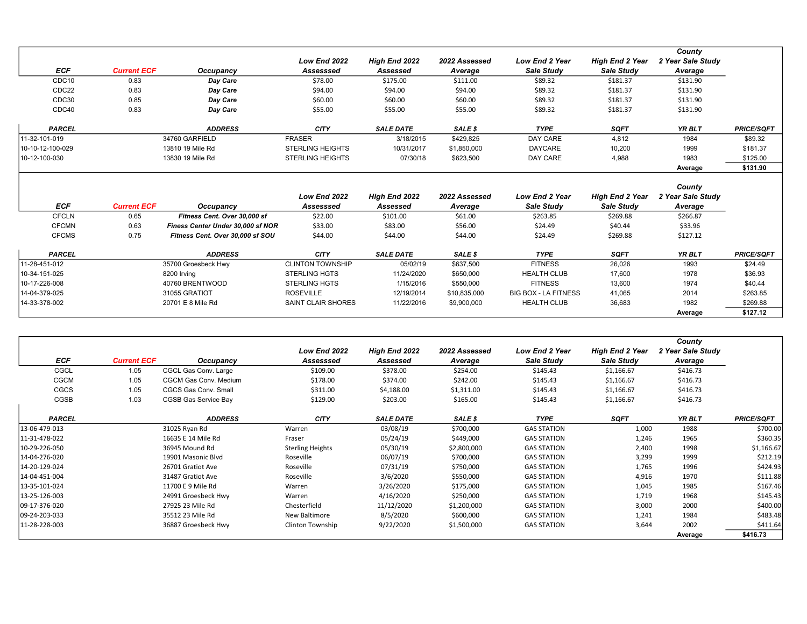|                   |                    |                  |                         |                  |               |                       |                        | County            |                   |
|-------------------|--------------------|------------------|-------------------------|------------------|---------------|-----------------------|------------------------|-------------------|-------------------|
|                   |                    |                  | Low End 2022            | High End 2022    | 2022 Assessed | <b>Low End 2 Year</b> | <b>High End 2 Year</b> | 2 Year Sale Study |                   |
| <b>ECF</b>        | <b>Current ECF</b> | Occupancy        | Assesssed               | Assessed         | Average       | Sale Study            | Sale Study             | Average           |                   |
| CDC <sub>10</sub> | 0.83               | Day Care         | \$78.00                 | \$175.00         | \$111.00      | \$89.32               | \$181.37               | \$131.90          |                   |
| CDC22             | 0.83               | Day Care         | \$94.00                 | \$94.00          | \$94.00       | \$89.32               | \$181.37               | \$131.90          |                   |
| CDC30             | 0.85               | Day Care         | \$60.00                 | \$60.00          | \$60.00       | \$89.32               | \$181.37               | \$131.90          |                   |
| CDC40             | 0.83               | Day Care         | \$55.00                 | \$55.00          | \$55.00       | \$89.32               | \$181.37               | \$131.90          |                   |
| <b>PARCEL</b>     |                    | <b>ADDRESS</b>   | <b>CITY</b>             | <b>SALE DATE</b> | SALE \$       | <b>TYPE</b>           | <b>SQFT</b>            | <b>YR BLT</b>     | <b>PRICE/SQFT</b> |
| 11-32-101-019     |                    | 34760 GARFIELD   | <b>FRASER</b>           | 3/18/2015        | \$429,825     | DAY CARE              | 4,812                  | 1984              | \$89.32           |
| 10-10-12-100-029  |                    | 13810 19 Mile Rd | <b>STERLING HEIGHTS</b> | 10/31/2017       | \$1,850,000   | <b>DAYCARE</b>        | 10,200                 | 1999              | \$181.37          |
| 10-12-100-030     |                    | 13830 19 Mile Rd | <b>STERLING HEIGHTS</b> | 07/30/18         | \$623,500     | DAY CARE              | 4,988                  | 1983              | \$125.00          |
|                   |                    |                  |                         |                  |               |                       |                        | Average           | \$131.90          |

|               |                    |                                   | Low End 2022            | High End 2022    | 2022 Assessed | <b>Low End 2 Year</b>       | <b>High End 2 Year</b> | County<br>2 Year Sale Study |                   |
|---------------|--------------------|-----------------------------------|-------------------------|------------------|---------------|-----------------------------|------------------------|-----------------------------|-------------------|
| ECF           | <b>Current ECF</b> | Occupancy                         | Assesssed               | Assessed         | Average       | <b>Sale Study</b>           | Sale Study             | Average                     |                   |
| <b>CFCLN</b>  | 0.65               | Fitness Cent. Over 30,000 sf      | \$22.00                 | \$101.00         | \$61.00       | \$263.85                    | \$269.88               | \$266.87                    |                   |
| <b>CFCMN</b>  | 0.63               | Finess Center Under 30,000 sf NOR | \$33.00                 | \$83.00          | \$56.00       | \$24.49                     | \$40.44                | \$33.96                     |                   |
| <b>CFCMS</b>  | 0.75               | Fitness Cent. Over 30,000 sf SOU  | \$44.00                 | \$44.00          | \$44.00       | \$24.49                     | \$269.88               | \$127.12                    |                   |
| <b>PARCEL</b> |                    | <b>ADDRESS</b>                    | <b>CITY</b>             | <b>SALE DATE</b> | SALE \$       | <b>TYPE</b>                 | <b>SQFT</b>            | <b>YR BLT</b>               | <b>PRICE/SQFT</b> |
| 11-28-451-012 |                    | 35700 Groesbeck Hwy               | <b>CLINTON TOWNSHIP</b> | 05/02/19         | \$637,500     | <b>FITNESS</b>              | 26.026                 | 1993                        | \$24.49           |
| 10-34-151-025 |                    | 8200 Irvina                       | <b>STERLING HGTS</b>    | 11/24/2020       | \$650,000     | <b>HEALTH CLUB</b>          | 17.600                 | 1978                        | \$36.93           |
| 10-17-226-008 |                    | 40760 BRENTWOOD                   | <b>STERLING HGTS</b>    | 1/15/2016        | \$550,000     | <b>FITNESS</b>              | 13.600                 | 1974                        | \$40.44           |
| 14-04-379-025 |                    | 31055 GRATIOT                     | <b>ROSEVILLE</b>        | 12/19/2014       | \$10.835.000  | <b>BIG BOX - LA FITNESS</b> | 41.065                 | 2014                        | \$263.85          |
| 14-33-378-002 |                    | 20701 E 8 Mile Rd                 | SAINT CLAIR SHORES      | 11/22/2016       | \$9,900,000   | <b>HEALTH CLUB</b>          | 36,683                 | 1982                        | \$269.88          |
|               |                    |                                   |                         |                  |               |                             |                        | Average                     | \$127.12          |

|               |                    |                       |                         |                  |               |                    |                        | County            |                   |
|---------------|--------------------|-----------------------|-------------------------|------------------|---------------|--------------------|------------------------|-------------------|-------------------|
|               |                    |                       | Low End 2022            | High End 2022    | 2022 Assessed | Low End 2 Year     | <b>High End 2 Year</b> | 2 Year Sale Study |                   |
| <b>ECF</b>    | <b>Current ECF</b> | Occupancy             | Assesssed               | Assessed         | Average       | Sale Study         | Sale Study             | Average           |                   |
| CGCL          | 1.05               | CGCL Gas Conv. Large  | \$109.00                | \$378.00         | \$254.00      | \$145.43           | \$1,166.67             | \$416.73          |                   |
| <b>CGCM</b>   | 1.05               | CGCM Gas Conv. Medium | \$178.00                | \$374.00         | \$242.00      | \$145.43           | \$1,166.67             | \$416.73          |                   |
| CGCS          | 1.05               | CGCS Gas Conv. Small  | \$311.00                | \$4,188.00       | \$1,311.00    | \$145.43           | \$1,166.67             | \$416.73          |                   |
| <b>CGSB</b>   | 1.03               | CGSB Gas Service Bay  | \$129.00                | \$203.00         | \$165.00      | \$145.43           | \$1,166.67             | \$416.73          |                   |
| <b>PARCEL</b> |                    | <b>ADDRESS</b>        | <b>CITY</b>             | <b>SALE DATE</b> | SALE \$       | <b>TYPE</b>        | <b>SQFT</b>            | YR BLT            | <b>PRICE/SQFT</b> |
| 13-06-479-013 |                    | 31025 Ryan Rd         | Warren                  | 03/08/19         | \$700,000     | <b>GAS STATION</b> | 1,000                  | 1988              | \$700.00          |
| 11-31-478-022 |                    | 16635 E 14 Mile Rd    | Fraser                  | 05/24/19         | \$449,000     | <b>GAS STATION</b> | 1,246                  | 1965              | \$360.35          |
| 10-29-226-050 |                    | 36945 Mound Rd        | <b>Sterling Heights</b> | 05/30/19         | \$2,800,000   | <b>GAS STATION</b> | 2,400                  | 1998              | \$1,166.67        |
| 14-04-276-020 |                    | 19901 Masonic Blvd    | Roseville               | 06/07/19         | \$700,000     | <b>GAS STATION</b> | 3,299                  | 1999              | \$212.19          |
| 14-20-129-024 |                    | 26701 Gratiot Ave     | Roseville               | 07/31/19         | \$750,000     | <b>GAS STATION</b> | 1,765                  | 1996              | \$424.93          |
| 14-04-451-004 |                    | 31487 Gratiot Ave     | Roseville               | 3/6/2020         | \$550,000     | <b>GAS STATION</b> | 4,916                  | 1970              | \$111.88          |
| 13-35-101-024 |                    | 11700 E 9 Mile Rd     | Warren                  | 3/26/2020        | \$175,000     | <b>GAS STATION</b> | 1,045                  | 1985              | \$167.46          |
| 13-25-126-003 |                    | 24991 Groesbeck Hwy   | Warren                  | 4/16/2020        | \$250,000     | <b>GAS STATION</b> | 1,719                  | 1968              | \$145.43          |
| 09-17-376-020 |                    | 27925 23 Mile Rd      | Chesterfield            | 11/12/2020       | \$1,200,000   | <b>GAS STATION</b> | 3,000                  | 2000              | \$400.00          |
| 09-24-203-033 |                    | 35512 23 Mile Rd      | New Baltimore           | 8/5/2020         | \$600,000     | <b>GAS STATION</b> | 1,241                  | 1984              | \$483.48          |
| 11-28-228-003 |                    | 36887 Groesbeck Hwy   | Clinton Township        | 9/22/2020        | \$1,500,000   | <b>GAS STATION</b> | 3,644                  | 2002              | \$411.64          |
|               |                    |                       |                         |                  |               |                    |                        | Average           | \$416.73          |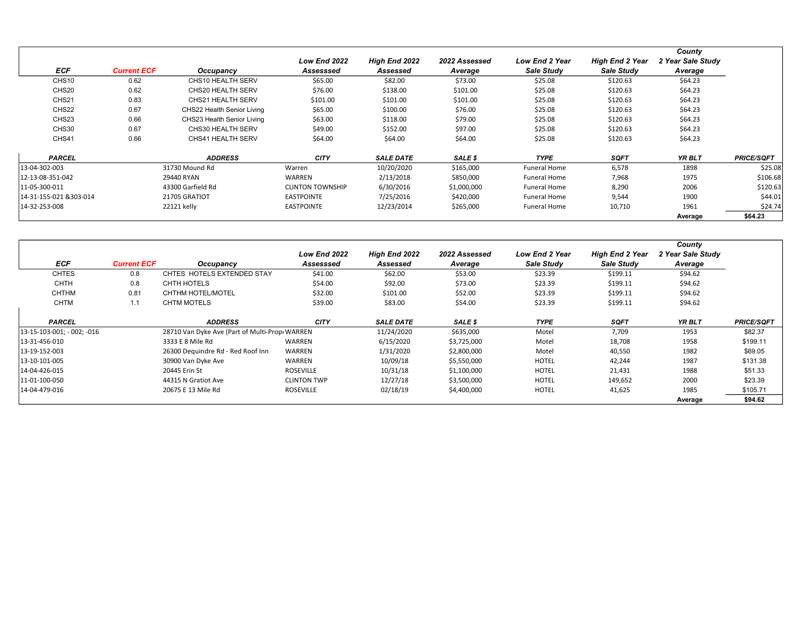|                        |                    |                            |                         |                  |               |                       |                        | County            |                   |
|------------------------|--------------------|----------------------------|-------------------------|------------------|---------------|-----------------------|------------------------|-------------------|-------------------|
|                        |                    |                            | Low End 2022            | High End 2022    | 2022 Assessed | <b>Low End 2 Year</b> | <b>High End 2 Year</b> | 2 Year Sale Study |                   |
| <b>ECF</b>             | <b>Current ECF</b> | Occupancy                  | Assesssed               | Assessed         | Average       | Sale Study            | Sale Study             | Average           |                   |
| CHS <sub>10</sub>      | 0.62               | CHS10 HEALTH SERV          | \$65.00                 | \$82.00          | \$73.00       | \$25.08               | \$120.63               | \$64.23           |                   |
| CHS <sub>20</sub>      | 0.62               | CHS20 HEALTH SERV          | \$76.00                 | \$138.00         | \$101.00      | \$25.08               | \$120.63               | \$64.23           |                   |
| CHS21                  | 0.83               | <b>CHS21 HEALTH SERV</b>   | \$101.00                | \$101.00         | \$101.00      | \$25.08               | \$120.63               | \$64.23           |                   |
| CHS22                  | 0.67               | CHS22 Health Senior Living | \$65.00                 | \$100.00         | \$76.00       | \$25.08               | \$120.63               | \$64.23           |                   |
| CHS <sub>23</sub>      | 0.66               | CHS23 Health Senior Living | \$63.00                 | \$118.00         | \$79.00       | \$25.08               | \$120.63               | \$64.23           |                   |
| CHS30                  | 0.67               | CHS30 HEALTH SERV          | \$49.00                 | \$152.00         | \$97.00       | \$25.08               | \$120.63               | \$64.23           |                   |
| CHS41                  | 0.66               | CHS41 HEALTH SERV          | \$64.00                 | \$64.00          | \$64.00       | \$25.08               | \$120.63               | \$64.23           |                   |
| <b>PARCEL</b>          |                    | <b>ADDRESS</b>             | <b>CITY</b>             | <b>SALE DATE</b> | SALE \$       | <b>TYPE</b>           | <b>SQFT</b>            | YR BLT            | <b>PRICE/SQFT</b> |
| 13-04-302-003          |                    | 31730 Mound Rd             | Warren                  | 10/20/2020       | \$165,000     | Funeral Home          | 6,578                  | 1898              | \$25.08           |
| 12-13-08-351-042       |                    | 29440 RYAN                 | WARREN                  | 2/13/2018        | \$850,000     | <b>Funeral Home</b>   | 7,968                  | 1975              | \$106.68          |
| 11-05-300-011          |                    | 43300 Garfield Rd          | <b>CLINTON TOWNSHIP</b> | 6/30/2016        | \$1,000,000   | <b>Funeral Home</b>   | 8,290                  | 2006              | \$120.63          |
| 14-31-155-021 &303-014 |                    | 21705 GRATIOT              | <b>EASTPOINTE</b>       | 7/25/2016        | \$420,000     | <b>Funeral Home</b>   | 9,544                  | 1900              | \$44.01           |
| 14-32-253-008          |                    | 22121 kelly                | <b>EASTPOINTE</b>       | 12/23/2014       | \$265,000     | <b>Funeral Home</b>   | 10,710                 | 1961              | \$24.74           |
|                        |                    |                            |                         |                  |               |                       |                        | Average           | \$64.23           |

|                            |                    |                                                |                           |                           |                          |                                     |                                      | County                       |                   |
|----------------------------|--------------------|------------------------------------------------|---------------------------|---------------------------|--------------------------|-------------------------------------|--------------------------------------|------------------------------|-------------------|
| <b>ECF</b>                 | <b>Current ECF</b> | Occupancy                                      | Low End 2022<br>Assesssed | High End 2022<br>Assessed | 2022 Assessed<br>Average | <b>Low End 2 Year</b><br>Sale Study | <b>High End 2 Year</b><br>Sale Study | 2 Year Sale Study<br>Average |                   |
| <b>CHTES</b>               | 0.8                | CHTES HOTELS EXTENDED STAY                     | \$41.00                   | \$62.00                   | \$53.00                  | \$23.39                             | \$199.11                             | \$94.62                      |                   |
| <b>CHTH</b>                |                    | CHTH HOTELS                                    |                           |                           |                          |                                     |                                      |                              |                   |
|                            | 0.8                |                                                | \$54.00                   | \$92.00                   | \$73.00                  | \$23.39                             | \$199.11                             | \$94.62                      |                   |
| <b>CHTHM</b>               | 0.81               | CHTHM HOTEL/MOTEL                              | \$32.00                   | \$101.00                  | \$52.00                  | \$23.39                             | \$199.11                             | \$94.62                      |                   |
| <b>CHTM</b>                | 1.1                | <b>CHTM MOTELS</b>                             | \$39.00                   | \$83.00                   | \$54.00                  | \$23.39                             | \$199.11                             | \$94.62                      |                   |
|                            |                    |                                                |                           |                           |                          |                                     |                                      |                              |                   |
| <b>PARCEL</b>              |                    | <b>ADDRESS</b>                                 | <b>CITY</b>               | <b>SALE DATE</b>          | SALE \$                  | <b>TYPE</b>                         | <b>SQFT</b>                          | YR BLT                       | <b>PRICE/SQFT</b> |
| 13-15-103-001; - 002; -016 |                    | 28710 Van Dyke Ave (Part of Multi-Prop: WARREN |                           | 11/24/2020                | \$635,000                | Motel                               | 7,709                                | 1953                         | \$82.37           |
| 13-31-456-010              |                    | 3333 E 8 Mile Rd                               | WARREN                    | 6/15/2020                 | \$3,725,000              | Motel                               | 18,708                               | 1958                         | \$199.11          |
| 13-19-152-003              |                    | 26300 Dequindre Rd - Red Roof Inn              | <b>WARREN</b>             | 1/31/2020                 | \$2,800,000              | Motel                               | 40,550                               | 1982                         | \$69.05           |
| 13-10-101-005              |                    | 30900 Van Dyke Ave                             | <b>WARREN</b>             | 10/09/18                  | \$5,550,000              | <b>HOTEL</b>                        | 42,244                               | 1987                         | \$131.38          |
| 14-04-426-015              |                    | 20445 Erin St                                  | <b>ROSEVILLE</b>          | 10/31/18                  | \$1,100,000              | <b>HOTEL</b>                        | 21,431                               | 1988                         | \$51.33           |
| 11-01-100-050              |                    | 44315 N Gratiot Ave                            | <b>CLINTON TWP</b>        | 12/27/18                  | \$3,500,000              | <b>HOTEL</b>                        | 149,652                              | 2000                         | \$23.39           |
| 14-04-479-016              |                    | 20675 E 13 Mile Rd                             | <b>ROSEVILLE</b>          | 02/18/19                  | \$4,400,000              | <b>HOTEL</b>                        | 41,625                               | 1985                         | \$105.71          |
|                            |                    |                                                |                           |                           |                          |                                     |                                      | Average                      | \$94.62           |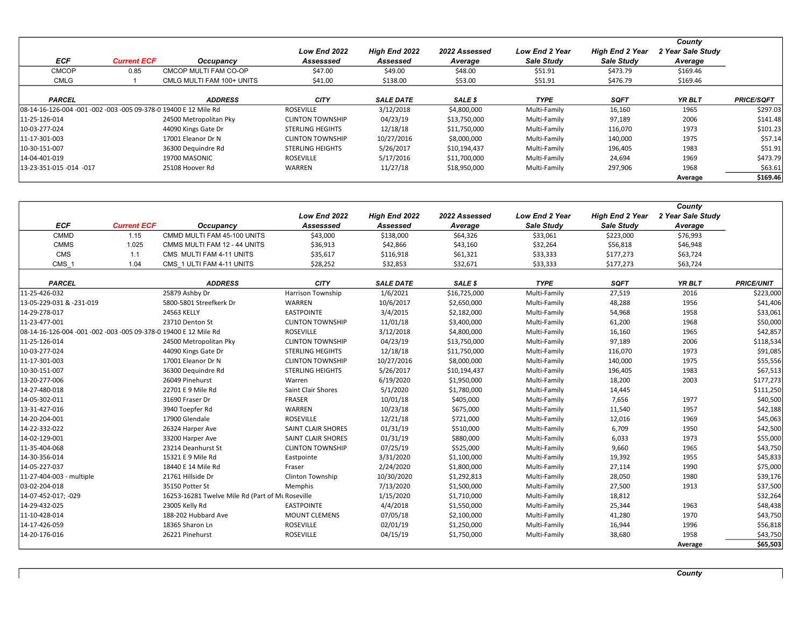| <b>ECF</b>                                                       | <b>Current ECF</b> | Occupancy                 | Low End 2022<br>Assesssed | High End 2022<br>Assessed | 2022 Assessed<br>Average | <b>Low End 2 Year</b><br>Sale Study | <b>High End 2 Year</b><br>Sale Study | County<br>2 Year Sale Study<br>Average |                   |
|------------------------------------------------------------------|--------------------|---------------------------|---------------------------|---------------------------|--------------------------|-------------------------------------|--------------------------------------|----------------------------------------|-------------------|
| <b>CMCOP</b>                                                     | 0.85               | CMCOP MULTI FAM CO-OP     | \$47.00                   | \$49.00                   | \$48.00                  | \$51.91                             | \$473.79                             | \$169.46                               |                   |
| <b>CMLG</b>                                                      |                    | CMLG MULTI FAM 100+ UNITS | \$41.00                   | \$138.00                  | \$53.00                  | \$51.91                             | \$476.79                             | \$169.46                               |                   |
| <b>PARCEL</b>                                                    |                    | <b>ADDRESS</b>            | <b>CITY</b>               | <b>SALE DATE</b>          | SALE \$                  | <b>TYPE</b>                         | <b>SQFT</b>                          | YR BLT                                 | <b>PRICE/SQFT</b> |
| 08-14-16-126-004 -001 -002 -003 -005 09-378-0 19400 E 12 Mile Rd |                    |                           | <b>ROSEVILLE</b>          | 3/12/2018                 | \$4,800,000              | Multi-Family                        | 16,160                               | 1965                                   | \$297.03          |
| 11-25-126-014                                                    |                    | 24500 Metropolitan Pky    | <b>CLINTON TOWNSHIP</b>   | 04/23/19                  | \$13,750,000             | Multi-Family                        | 97,189                               | 2006                                   | \$141.48          |
| 10-03-277-024                                                    |                    | 44090 Kings Gate Dr       | <b>STERLING HEGIHTS</b>   | 12/18/18                  | \$11,750,000             | Multi-Family                        | 116,070                              | 1973                                   | \$101.23          |
| 11-17-301-003                                                    |                    | 17001 Eleanor Dr N        | <b>CLINTON TOWNSHIP</b>   | 10/27/2016                | \$8,000,000              | Multi-Family                        | 140,000                              | 1975                                   | \$57.14           |
| 10-30-151-007                                                    |                    | 36300 Dequindre Rd        | <b>STERLING HEIGHTS</b>   | 5/26/2017                 | \$10,194,437             | Multi-Family                        | 196,405                              | 1983                                   | \$51.91           |
| 14-04-401-019                                                    |                    | 19700 MASONIC             | <b>ROSEVILLE</b>          | 5/17/2016                 | \$11,700,000             | Multi-Family                        | 24.694                               | 1969                                   | \$473.79          |
| 13-23-351-015 -014 -017                                          |                    | 25108 Hoover Rd           | WARREN                    | 11/27/18                  | \$18,950,000             | Multi-Family                        | 297,906                              | 1968                                   | \$63.61           |
|                                                                  |                    |                           |                           |                           |                          |                                     |                                      | Average                                | \$169.46          |

|                                                                  |                    |                                                  |                           |                  |               |                       |                        | County            |                   |
|------------------------------------------------------------------|--------------------|--------------------------------------------------|---------------------------|------------------|---------------|-----------------------|------------------------|-------------------|-------------------|
|                                                                  |                    |                                                  | Low End 2022              | High End 2022    | 2022 Assessed | <b>Low End 2 Year</b> | <b>High End 2 Year</b> | 2 Year Sale Study |                   |
| <b>ECF</b>                                                       | <b>Current ECF</b> | Occupancy                                        | Assesssed                 | Assessed         | Average       | Sale Study            | Sale Study             | Average           |                   |
| <b>CMMD</b>                                                      | 1.15               | CMMD MULTI FAM 45-100 UNITS                      | \$43,000                  | \$138,000        | \$64,326      | \$33,061              | \$223,000              | \$76,993          |                   |
| <b>CMMS</b>                                                      | 1.025              | CMMS MULTI FAM 12 - 44 UNITS                     | \$36,913                  | \$42,866         | \$43,160      | \$32,264              | \$56,818               | \$46,948          |                   |
| CMS                                                              | 1.1                | CMS MULTI FAM 4-11 UNITS                         | \$35,617                  | \$116,918        | \$61,321      | \$33,333              | \$177,273              | \$63,724          |                   |
| CMS <sub>1</sub>                                                 | 1.04               | CMS 1 ULTI FAM 4-11 UNITS                        | \$28,252                  | \$32,853         | \$32,671      | \$33,333              | \$177,273              | \$63,724          |                   |
|                                                                  |                    |                                                  |                           |                  |               |                       |                        |                   |                   |
| <b>PARCEL</b>                                                    |                    | <b>ADDRESS</b>                                   | <b>CITY</b>               | <b>SALE DATE</b> | SALE \$       | <b>TYPE</b>           | <b>SQFT</b>            | YR BLT            | <b>PRICE/UNIT</b> |
| 11-25-426-032                                                    |                    | 25879 Ashby Dr                                   | Harrison Township         | 1/6/2021         | \$16,725,000  | Multi-Family          | 27,519                 | 2016              | \$223,000         |
| 13-05-229-031 & -231-019                                         |                    | 5800-5801 Streefkerk Dr                          | WARREN                    | 10/6/2017        | \$2,650,000   | Multi-Family          | 48,288                 | 1956              | \$41,406          |
| 14-29-278-017                                                    |                    | 24563 KELLY                                      | <b>EASTPOINTE</b>         | 3/4/2015         | \$2,182,000   | Multi-Family          | 54,968                 | 1958              | \$33,061          |
| 11-23-477-001                                                    |                    | 23710 Denton St                                  | <b>CLINTON TOWNSHIP</b>   | 11/01/18         | \$3,400,000   | Multi-Family          | 61,200                 | 1968              | \$50,000          |
| 08-14-16-126-004 -001 -002 -003 -005 09-378-0 19400 E 12 Mile Rd |                    |                                                  | <b>ROSEVILLE</b>          | 3/12/2018        | \$4,800,000   | Multi-Family          | 16,160                 | 1965              | \$42,857          |
| 11-25-126-014                                                    |                    | 24500 Metropolitan Pky                           | <b>CLINTON TOWNSHIP</b>   | 04/23/19         | \$13,750,000  | Multi-Family          | 97,189                 | 2006              | \$118,534         |
| 10-03-277-024                                                    |                    | 44090 Kings Gate Dr                              | <b>STERLING HEGIHTS</b>   | 12/18/18         | \$11,750,000  | Multi-Family          | 116,070                | 1973              | \$91,085          |
| 11-17-301-003                                                    |                    | 17001 Eleanor Dr N                               | <b>CLINTON TOWNSHIP</b>   | 10/27/2016       | \$8,000,000   | Multi-Family          | 140,000                | 1975              | \$55,556          |
| 10-30-151-007                                                    |                    | 36300 Dequindre Rd                               | <b>STERLING HEIGHTS</b>   | 5/26/2017        | \$10,194,437  | Multi-Family          | 196,405                | 1983              | \$67,513          |
| 13-20-277-006                                                    |                    | 26049 Pinehurst                                  | Warren                    | 6/19/2020        | \$1,950,000   | Multi-Family          | 18,200                 | 2003              | \$177,273         |
| 14-27-480-018                                                    |                    | 22701 E 9 Mile Rd                                | <b>Saint Clair Shores</b> | 5/1/2020         | \$1,780,000   | Multi-Family          | 14,445                 |                   | \$111,250         |
| 14-05-302-011                                                    |                    | 31690 Fraser Dr                                  | FRASER                    | 10/01/18         | \$405,000     | Multi-Family          | 7,656                  | 1977              | \$40,500          |
| 13-31-427-016                                                    |                    | 3940 Toepfer Rd                                  | WARREN                    | 10/23/18         | \$675,000     | Multi-Family          | 11,540                 | 1957              | \$42,188          |
| 14-20-204-001                                                    |                    | 17900 Glendale                                   | <b>ROSEVILLE</b>          | 12/21/18         | \$721,000     | Multi-Family          | 12,016                 | 1969              | \$45,063          |
| 14-22-332-022                                                    |                    | 26324 Harper Ave                                 | <b>SAINT CLAIR SHORES</b> | 01/31/19         | \$510,000     | Multi-Family          | 6,709                  | 1950              | \$42,500          |
| 14-02-129-001                                                    |                    | 33200 Harper Ave                                 | <b>SAINT CLAIR SHORES</b> | 01/31/19         | \$880,000     | Multi-Family          | 6,033                  | 1973              | \$55,000          |
| 11-35-404-068                                                    |                    | 23214 Deanhurst St                               | <b>CLINTON TOWNSHIP</b>   | 07/25/19         | \$525,000     | Multi-Family          | 9,660                  | 1965              | \$43,750          |
| 14-30-356-014                                                    |                    | 15321 E 9 Mile Rd                                | Eastpointe                | 3/31/2020        | \$1,100,000   | Multi-Family          | 19,392                 | 1955              | \$45,833          |
| 14-05-227-037                                                    |                    | 18440 E 14 Mile Rd                               | Fraser                    | 2/24/2020        | \$1,800,000   | Multi-Family          | 27,114                 | 1990              | \$75,000          |
| 11-27-404-003 - multiple                                         |                    | 21761 Hillside Dr                                | <b>Clinton Township</b>   | 10/30/2020       | \$1,292,813   | Multi-Family          | 28,050                 | 1980              | \$39,176          |
| 03-02-204-018                                                    |                    | 35150 Potter St                                  | Memphis                   | 7/13/2020        | \$1,500,000   | Multi-Family          | 27,500                 | 1913              | \$37,500          |
| 14-07-452-017; -029                                              |                    | 16253-16281 Twelve Mile Rd (Part of Mt Roseville |                           | 1/15/2020        | \$1,710,000   | Multi-Family          | 18,812                 |                   | \$32,264          |
| 14-29-432-025                                                    |                    | 23005 Kelly Rd                                   | <b>EASTPOINTE</b>         | 4/4/2018         | \$1,550,000   | Multi-Family          | 25,344                 | 1963              | \$48,438          |
| 11-10-428-014                                                    |                    | 188-202 Hubbard Ave                              | <b>MOUNT CLEMENS</b>      | 07/05/18         | \$2,100,000   | Multi-Family          | 41,280                 | 1970              | \$43,750          |
| 14-17-426-059                                                    |                    | 18365 Sharon Ln                                  | <b>ROSEVILLE</b>          | 02/01/19         | \$1,250,000   | Multi-Family          | 16,944                 | 1996              | \$56,818          |
| 14-20-176-016                                                    |                    | 26221 Pinehurst                                  | ROSEVILLE                 | 04/15/19         | \$1,750,000   | Multi-Family          | 38,680                 | 1958              | \$43,750          |
|                                                                  |                    |                                                  |                           |                  |               |                       |                        | Average           | \$65,503          |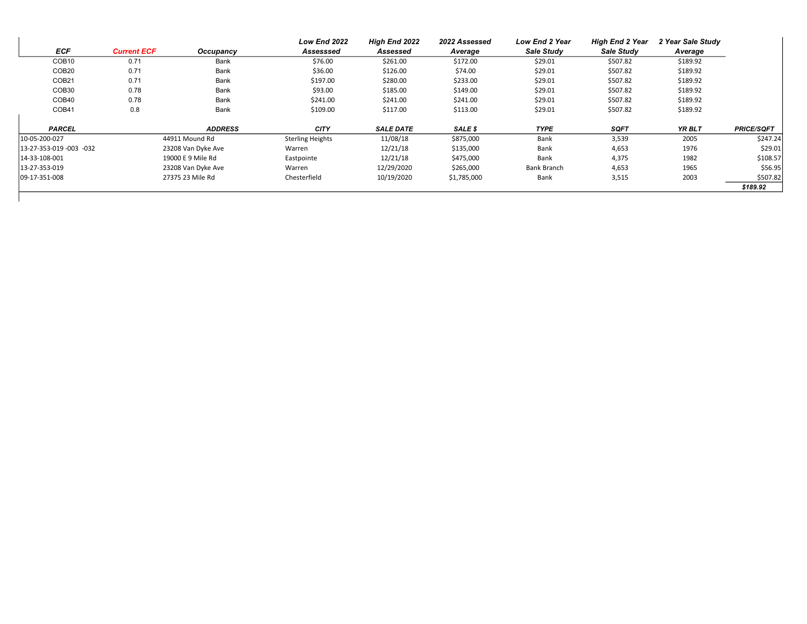| <b>ECF</b>              | <b>Current ECF</b> | Occupancy          | Low End 2022<br>Assesssed | High End 2022<br>Assessed | 2022 Assessed<br>Average | <b>Low End 2 Year</b><br>Sale Study | <b>High End 2 Year</b><br>Sale Study | 2 Year Sale Study<br>Average |                   |
|-------------------------|--------------------|--------------------|---------------------------|---------------------------|--------------------------|-------------------------------------|--------------------------------------|------------------------------|-------------------|
| COB <sub>10</sub>       | 0.71               | Bank               | \$76.00                   | \$261.00                  | \$172.00                 | \$29.01                             | \$507.82                             | \$189.92                     |                   |
| COB <sub>20</sub>       | 0.71               | Bank               | \$36.00                   | \$126.00                  | \$74.00                  | \$29.01                             | \$507.82                             | \$189.92                     |                   |
| COB <sub>21</sub>       | 0.71               | Bank               | \$197.00                  | \$280.00                  | \$233.00                 | \$29.01                             | \$507.82                             | \$189.92                     |                   |
| COB <sub>30</sub>       | 0.78               | Bank               | \$93.00                   | \$185.00                  | \$149.00                 | \$29.01                             | \$507.82                             | \$189.92                     |                   |
| COB <sub>40</sub>       | 0.78               | Bank               | \$241.00                  | \$241.00                  | \$241.00                 | \$29.01                             | \$507.82                             | \$189.92                     |                   |
| COB <sub>41</sub>       | 0.8                | Bank               | \$109.00                  | \$117.00                  | \$113.00                 | \$29.01                             | \$507.82                             | \$189.92                     |                   |
| <b>PARCEL</b>           |                    | <b>ADDRESS</b>     | <b>CITY</b>               | <b>SALE DATE</b>          | SALE \$                  | <b>TYPE</b>                         | <b>SQFT</b>                          | YR BLT                       | <b>PRICE/SQFT</b> |
| 10-05-200-027           |                    | 44911 Mound Rd     | <b>Sterling Heights</b>   | 11/08/18                  | \$875,000                | Bank                                | 3,539                                | 2005                         | \$247.24          |
| 13-27-353-019 -003 -032 |                    | 23208 Van Dyke Ave | Warren                    | 12/21/18                  | \$135,000                | Bank                                | 4,653                                | 1976                         | \$29.01           |
| 14-33-108-001           |                    | 19000 E 9 Mile Rd  | Eastpointe                | 12/21/18                  | \$475,000                | Bank                                | 4,375                                | 1982                         | \$108.57          |
| 13-27-353-019           |                    | 23208 Van Dyke Ave | Warren                    | 12/29/2020                | \$265,000                | Bank Branch                         | 4,653                                | 1965                         | \$56.95           |
| 09-17-351-008           |                    | 27375 23 Mile Rd   | Chesterfield              | 10/19/2020                | \$1,785,000              | Bank                                | 3,515                                | 2003                         | \$507.82          |
|                         |                    |                    |                           |                           |                          |                                     |                                      |                              | \$189.92          |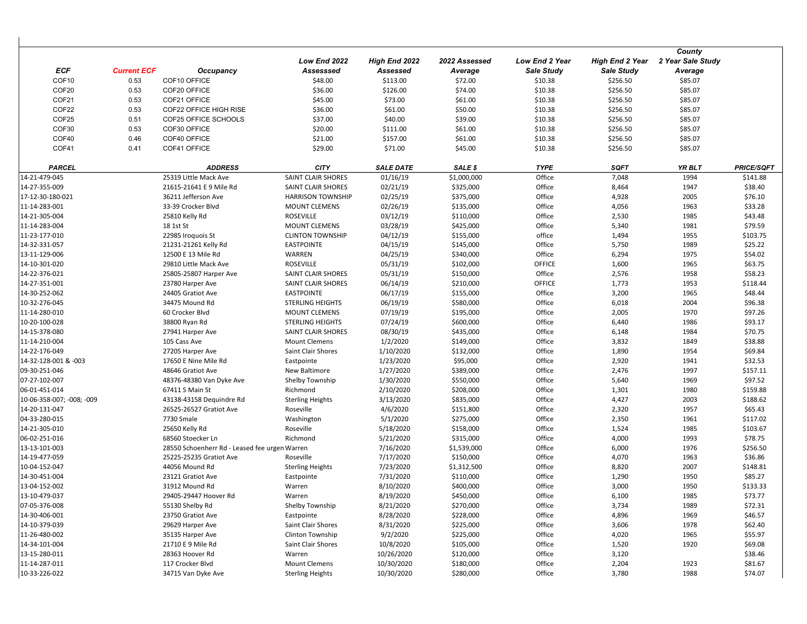|                                                                                                                               | County            |                   |
|-------------------------------------------------------------------------------------------------------------------------------|-------------------|-------------------|
| Low End 2022<br>High End 2022<br>2022 Assessed<br>Low End 2 Year<br><b>High End 2 Year</b>                                    | 2 Year Sale Study |                   |
| <b>ECF</b><br><b>Current ECF</b><br>Assessed<br>Occupancy<br>Assesssed<br>Average<br><b>Sale Study</b><br><b>Sale Study</b>   | Average           |                   |
| COF <sub>10</sub><br>COF10 OFFICE<br>\$48.00<br>\$113.00<br>\$72.00<br>0.53<br>\$10.38<br>\$256.50                            | \$85.07           |                   |
| COF20<br>0.53<br>\$126.00<br>\$74.00<br>\$10.38<br>\$256.50<br>COF20 OFFICE<br>\$36.00                                        | \$85.07           |                   |
| COF21<br>0.53<br>COF21 OFFICE<br>\$73.00<br>\$10.38<br>\$256.50<br>\$45.00<br>\$61.00                                         | \$85.07           |                   |
| COF22<br>\$61.00<br>\$50.00<br>\$10.38<br>\$256.50<br>0.53<br>COF22 OFFICE HIGH RISE<br>\$36.00                               | \$85.07           |                   |
| COF25<br>\$10.38<br>0.51<br>COF25 OFFICE SCHOOLS<br>\$37.00<br>\$40.00<br>\$39.00<br>\$256.50                                 | \$85.07           |                   |
| COF30<br>0.53<br>COF30 OFFICE<br>\$20.00<br>\$111.00<br>\$61.00<br>\$10.38<br>\$256.50                                        | \$85.07           |                   |
| COF40<br>\$21.00<br>\$10.38<br>0.46<br>COF40 OFFICE<br>\$157.00<br>\$61.00<br>\$256.50                                        | \$85.07           |                   |
| COF41<br>\$10.38<br>0.41<br>COF41 OFFICE<br>\$29.00<br>\$71.00<br>\$45.00<br>\$256.50                                         | \$85.07           |                   |
| <b>PARCEL</b><br><b>CITY</b><br><b>TYPE</b><br><b>SQFT</b><br><b>ADDRESS</b><br><b>SALE DATE</b><br>SALE \$                   | YR BLT            | <b>PRICE/SQFT</b> |
| 01/16/19<br>Office<br>25319 Little Mack Ave<br>SAINT CLAIR SHORES<br>\$1,000,000<br>7,048<br>14-21-479-045                    | 1994              | \$141.88          |
| 02/21/19<br>Office<br>21615-21641 E 9 Mile Rd<br>SAINT CLAIR SHORES<br>\$325,000<br>8,464<br>14-27-355-009                    | 1947              | \$38.40           |
| 02/25/19<br>Office<br>17-12-30-180-021<br>36211 Jefferson Ave<br><b>HARRISON TOWNSHIP</b><br>\$375,000<br>4,928               | 2005              | \$76.10           |
| 02/26/19<br>Office<br>11-14-283-001<br>33-39 Crocker Blvd<br><b>MOUNT CLEMENS</b><br>\$135,000<br>4,056                       | 1963              | \$33.28           |
| <b>ROSEVILLE</b><br>03/12/19<br>Office<br>2,530<br>14-21-305-004<br>25810 Kelly Rd<br>\$110,000                               | 1985              | \$43.48           |
| 03/28/19<br>Office<br>11-14-283-004<br>18 1st St<br>MOUNT CLEMENS<br>\$425,000<br>5,340                                       | 1981              | \$79.59           |
| 04/12/19<br>office<br>11-23-177-010<br>22985 Iroquois St<br><b>CLINTON TOWNSHIP</b><br>\$155,000<br>1,494                     | 1955              | \$103.75          |
| 04/15/19<br>Office<br>14-32-331-057<br><b>EASTPOINTE</b><br>\$145,000<br>5,750<br>21231-21261 Kelly Rd                        | 1989              | \$25.22           |
| 04/25/19<br>13-11-129-006<br>12500 E 13 Mile Rd<br>WARREN<br>\$340,000<br>Office<br>6,294                                     | 1975              | \$54.02           |
| 05/31/19<br>OFFICE<br>14-10-301-020<br>29810 Little Mack Ave<br><b>ROSEVILLE</b><br>\$102,000<br>1,600                        | 1965              | \$63.75           |
| 05/31/19<br>Office<br>2,576<br>14-22-376-021<br>25805-25807 Harper Ave<br><b>SAINT CLAIR SHORES</b><br>\$150,000              | 1958              | \$58.23           |
| 06/14/19<br>OFFICE<br>14-27-351-001<br>23780 Harper Ave<br>SAINT CLAIR SHORES<br>\$210,000<br>1,773                           | 1953              | \$118.44          |
| 06/17/19<br>Office<br>14-30-252-062<br>24405 Gratiot Ave<br><b>EASTPOINTE</b><br>\$155,000<br>3,200                           | 1965              | \$48.44           |
| 06/19/19<br>Office<br>10-32-276-045<br>34475 Mound Rd<br><b>STERLING HEIGHTS</b><br>\$580,000<br>6,018                        | 2004              | \$96.38           |
| 07/19/19<br>Office<br>11-14-280-010<br>60 Crocker Blvd<br>\$195,000<br>2,005<br><b>MOUNT CLEMENS</b>                          | 1970              | \$97.26           |
| 10-20-100-028<br>38800 Ryan Rd<br>STERLING HEIGHTS<br>07/24/19<br>\$600,000<br>Office<br>6,440                                | 1986              | \$93.17           |
| 08/30/19<br>Office<br>14-15-378-080<br>27941 Harper Ave<br><b>SAINT CLAIR SHORES</b><br>\$435,000<br>6,148                    | 1984              | \$70.75           |
| 1/2/2020<br>Office<br>11-14-210-004<br>105 Cass Ave<br><b>Mount Clemens</b><br>\$149,000<br>3,832                             | 1849              | \$38.88           |
| 1/10/2020<br>14-22-176-049<br>27205 Harper Ave<br>Saint Clair Shores<br>\$132,000<br>Office<br>1,890                          | 1954              | \$69.84           |
| 1/23/2020<br>Office<br>14-32-128-001 & -003<br>17650 E Nine Mile Rd<br>Eastpointe<br>\$95,000<br>2,920                        | 1941              | \$32.53           |
| 1/27/2020<br>Office<br>09-30-251-046<br>New Baltimore<br>\$389,000<br>2,476<br>48646 Gratiot Ave                              | 1997              | \$157.11          |
| Office<br>07-27-102-007<br>48376-48380 Van Dyke Ave<br>Shelby Township<br>1/30/2020<br>\$550,000<br>5,640                     | 1969              | \$97.52           |
| Office<br>06-01-451-014<br>67411 S Main St<br>Richmond<br>2/10/2020<br>\$208,000<br>1,301                                     | 1980              | \$159.88          |
| 3/13/2020<br>Office<br>4,427<br>10-06-358-007; -008; -009<br>43138-43158 Dequindre Rd<br><b>Sterling Heights</b><br>\$835,000 | 2003              | \$188.62          |
| Office<br>14-20-131-047<br>26525-26527 Gratiot Ave<br>Roseville<br>4/6/2020<br>\$151,800<br>2,320                             | 1957              | \$65.43           |
| 7730 Smale<br>5/1/2020<br>\$275,000<br>Office<br>04-33-280-015<br>Washington<br>2,350                                         | 1961              | \$117.02          |
| Roseville<br>Office<br>14-21-305-010<br>25650 Kelly Rd<br>5/18/2020<br>\$158,000<br>1,524                                     | 1985              | \$103.67          |
| Richmond<br>5/21/2020<br>\$315,000<br>Office<br>4,000<br>06-02-251-016<br>68560 Stoecker Ln                                   | 1993              | \$78.75           |
| 7/16/2020<br>Office<br>13-13-101-003<br>28550 Schoenherr Rd - Leased fee urgen Warren<br>\$1,539,000<br>6,000                 | 1976              | \$256.50          |
| 7/17/2020<br>Office<br>14-19-477-059<br>25225-25235 Gratiot Ave<br>Roseville<br>\$150,000<br>4,070                            | 1963              | \$36.86           |
| 7/23/2020<br>Office<br>10-04-152-047<br>44056 Mound Rd<br>\$1,312,500<br>8,820<br><b>Sterling Heights</b>                     | 2007              | \$148.81          |
| 14-30-451-004<br>23121 Gratiot Ave<br>7/31/2020<br>\$110,000<br>Office<br>1,290<br>Eastpointe                                 | 1950              | \$85.27           |
| Office<br>13-04-152-002<br>31912 Mound Rd<br>8/10/2020<br>\$400,000<br>3,000<br>Warren                                        | 1950              | \$133.33          |
| 13-10-479-037<br>8/19/2020<br>\$450,000<br>Office<br>6,100<br>29405-29447 Hoover Rd<br>Warren                                 | 1985              | \$73.77           |
| 07-05-376-008<br>55130 Shelby Rd<br>Shelby Township<br>8/21/2020<br>\$270,000<br>Office<br>3,734                              | 1989              | \$72.31           |
| 8/28/2020<br>Office<br>14-30-406-001<br>23750 Gratiot Ave<br>\$228,000<br>4,896<br>Eastpointe                                 | 1969              | \$46.57           |
| 14-10-379-039<br>Saint Clair Shores<br>8/31/2020<br>\$225,000<br>Office<br>29629 Harper Ave<br>3,606                          | 1978              | \$62.40           |
| 11-26-480-002<br>35135 Harper Ave<br>Clinton Township<br>9/2/2020<br>\$225,000<br>Office<br>4,020                             | 1965              | \$55.97           |
| 14-34-101-004<br>21710 E 9 Mile Rd<br>Saint Clair Shores<br>10/8/2020<br>\$105,000<br>Office<br>1,520                         | 1920              | \$69.08           |
| 28363 Hoover Rd<br>10/26/2020<br>Office<br>13-15-280-011<br>Warren<br>\$120,000<br>3,120                                      |                   | \$38.46           |
| 11-14-287-011<br>117 Crocker Blvd<br><b>Mount Clemens</b><br>10/30/2020<br>\$180,000<br>Office<br>2,204                       | 1923              | \$81.67           |
| 10-33-226-022<br>34715 Van Dyke Ave<br><b>Sterling Heights</b><br>10/30/2020<br>\$280,000<br>Office<br>3,780                  | 1988              | \$74.07           |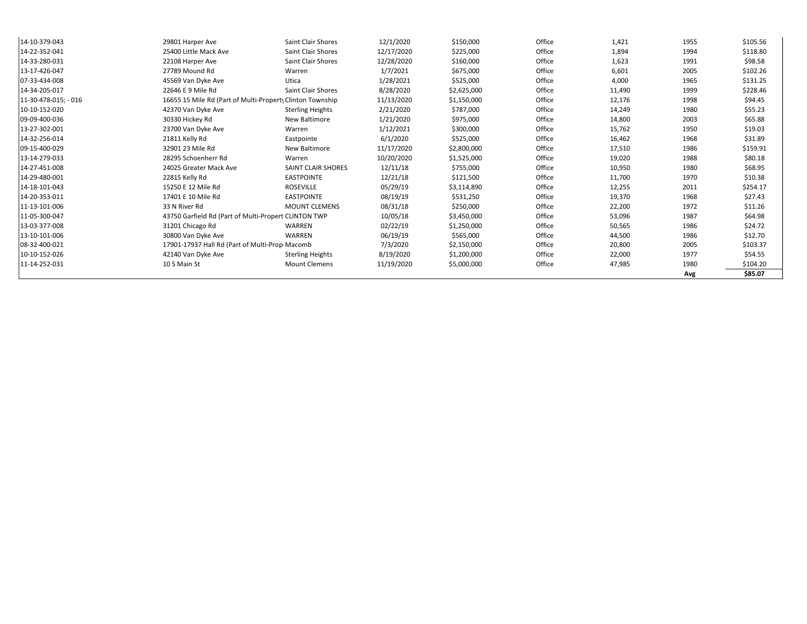| 14-10-379-043        | 29801 Harper Ave                                         | <b>Saint Clair Shores</b> | 12/1/2020  | \$150,000   | Office | 1,421  | 1955 | \$105.56 |
|----------------------|----------------------------------------------------------|---------------------------|------------|-------------|--------|--------|------|----------|
| 14-22-352-041        | 25400 Little Mack Ave                                    | <b>Saint Clair Shores</b> | 12/17/2020 | \$225,000   | Office | 1,894  | 1994 | \$118.80 |
| 14-33-280-031        | 22108 Harper Ave                                         | <b>Saint Clair Shores</b> | 12/28/2020 | \$160,000   | Office | 1,623  | 1991 | \$98.58  |
| 13-17-426-047        | 27789 Mound Rd                                           | Warren                    | 1/7/2021   | \$675,000   | Office | 6,601  | 2005 | \$102.26 |
| 07-33-434-008        | 45569 Van Dyke Ave                                       | Utica                     | 1/28/2021  | \$525,000   | Office | 4,000  | 1965 | \$131.25 |
| 14-34-205-017        | 22646 E 9 Mile Rd                                        | <b>Saint Clair Shores</b> | 8/28/2020  | \$2,625,000 | Office | 11,490 | 1999 | \$228.46 |
| 11-30-478-015: - 016 | 16655 15 Mile Rd (Part of Multi-Propert Clinton Township |                           | 11/13/2020 | \$1,150,000 | Office | 12,176 | 1998 | \$94.45  |
| 10-10-152-020        | 42370 Van Dyke Ave                                       | <b>Sterling Heights</b>   | 2/21/2020  | \$787,000   | Office | 14,249 | 1980 | \$55.23  |
| 09-09-400-036        | 30330 Hickey Rd                                          | New Baltimore             | 1/21/2020  | \$975,000   | Office | 14,800 | 2003 | \$65.88  |
| 13-27-302-001        | 23700 Van Dyke Ave                                       | Warren                    | 1/12/2021  | \$300,000   | Office | 15,762 | 1950 | \$19.03  |
| 14-32-256-014        | 21811 Kelly Rd                                           | Eastpointe                | 6/1/2020   | \$525,000   | Office | 16,462 | 1968 | \$31.89  |
| 09-15-400-029        | 32901 23 Mile Rd                                         | <b>New Baltimore</b>      | 11/17/2020 | \$2,800,000 | Office | 17,510 | 1986 | \$159.91 |
| 13-14-279-033        | 28295 Schoenherr Rd                                      | Warren                    | 10/20/2020 | \$1,525,000 | Office | 19,020 | 1988 | \$80.18  |
| 14-27-451-008        | 24025 Greater Mack Ave                                   | SAINT CLAIR SHORES        | 12/11/18   | \$755,000   | Office | 10,950 | 1980 | \$68.95  |
| 14-29-480-001        | 22815 Kelly Rd                                           | <b>EASTPOINTE</b>         | 12/21/18   | \$121,500   | Office | 11,700 | 1970 | \$10.38  |
| 14-18-101-043        | 15250 E 12 Mile Rd                                       | <b>ROSEVILLE</b>          | 05/29/19   | \$3,114,890 | Office | 12,255 | 2011 | \$254.17 |
| 14-20-353-011        | 17401 E 10 Mile Rd                                       | <b>EASTPOINTE</b>         | 08/19/19   | \$531,250   | Office | 19,370 | 1968 | \$27.43  |
| 11-13-101-006        | 33 N River Rd                                            | <b>MOUNT CLEMENS</b>      | 08/31/18   | \$250,000   | Office | 22,200 | 1972 | \$11.26  |
| 11-05-300-047        | 43750 Garfield Rd (Part of Multi-Propert CLINTON TWP     |                           | 10/05/18   | \$3,450,000 | Office | 53,096 | 1987 | \$64.98  |
| 13-03-377-008        | 31201 Chicago Rd                                         | WARREN                    | 02/22/19   | \$1,250,000 | Office | 50,565 | 1986 | \$24.72  |
| 13-10-101-006        | 30800 Van Dyke Ave                                       | WARREN                    | 06/19/19   | \$565,000   | Office | 44,500 | 1986 | \$12.70  |
| 08-32-400-021        | 17901-17937 Hall Rd (Part of Multi-Prop Macomb           |                           | 7/3/2020   | \$2,150,000 | Office | 20,800 | 2005 | \$103.37 |
| 10-10-152-026        | 42140 Van Dyke Ave                                       | <b>Sterling Heights</b>   | 8/19/2020  | \$1,200,000 | Office | 22,000 | 1977 | \$54.55  |
| 11-14-252-031        | 10 S Main St                                             | <b>Mount Clemens</b>      | 11/19/2020 | \$5,000,000 | Office | 47,985 | 1980 | \$104.20 |
|                      |                                                          |                           |            |             |        |        | Avg  | \$85.07  |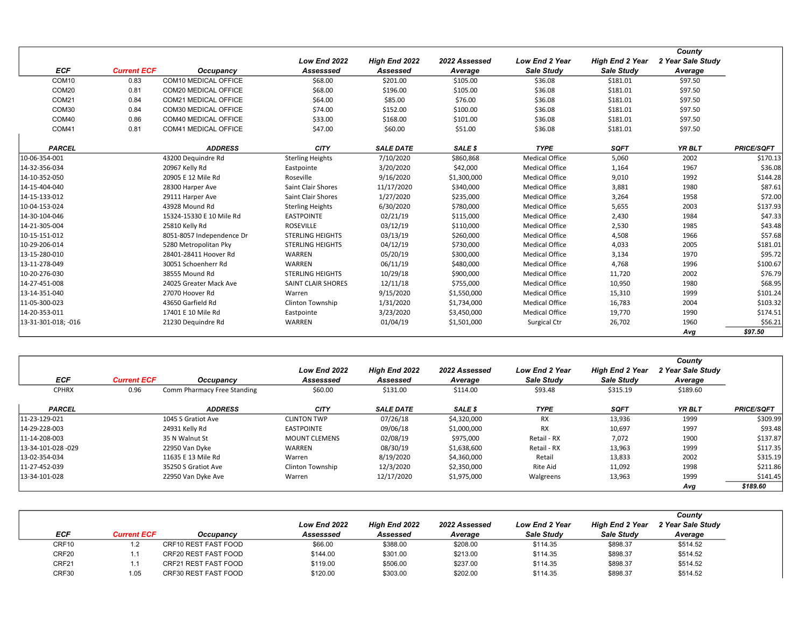|                     |                    |                             |                           |                  |               |                       |                        | County            |                   |
|---------------------|--------------------|-----------------------------|---------------------------|------------------|---------------|-----------------------|------------------------|-------------------|-------------------|
|                     |                    |                             | Low End 2022              | High End 2022    | 2022 Assessed | <b>Low End 2 Year</b> | <b>High End 2 Year</b> | 2 Year Sale Study |                   |
| <b>ECF</b>          | <b>Current ECF</b> | Occupancy                   | Assesssed                 | Assessed         | Average       | Sale Study            | Sale Study             | Average           |                   |
| COM <sub>10</sub>   | 0.83               | COM10 MEDICAL OFFICE        | \$68.00                   | \$201.00         | \$105.00      | \$36.08               | \$181.01               | \$97.50           |                   |
| COM20               | 0.81               | COM20 MEDICAL OFFICE        | \$68.00                   | \$196.00         | \$105.00      | \$36.08               | \$181.01               | \$97.50           |                   |
| COM21               | 0.84               | <b>COM21 MEDICAL OFFICE</b> | \$64.00                   | \$85.00          | \$76.00       | \$36.08               | \$181.01               | \$97.50           |                   |
| COM30               | 0.84               | COM30 MEDICAL OFFICE        | \$74.00                   | \$152.00         | \$100.00      | \$36.08               | \$181.01               | \$97.50           |                   |
| COM40               | 0.86               | COM40 MEDICAL OFFICE        | \$33.00                   | \$168.00         | \$101.00      | \$36.08               | \$181.01               | \$97.50           |                   |
| COM41               | 0.81               | <b>COM41 MEDICAL OFFICE</b> | \$47.00                   | \$60.00          | \$51.00       | \$36.08               | \$181.01               | \$97.50           |                   |
|                     |                    |                             |                           |                  |               |                       |                        |                   |                   |
| <b>PARCEL</b>       |                    | <b>ADDRESS</b>              | <b>CITY</b>               | <b>SALE DATE</b> | SALE \$       | <b>TYPE</b>           | <b>SQFT</b>            | YR BLT            | <b>PRICE/SQFT</b> |
| 10-06-354-001       |                    | 43200 Dequindre Rd          | <b>Sterling Heights</b>   | 7/10/2020        | \$860,868     | Medical Office        | 5,060                  | 2002              | \$170.13          |
| 14-32-356-034       |                    | 20967 Kelly Rd              | Eastpointe                | 3/20/2020        | \$42,000      | <b>Medical Office</b> | 1,164                  | 1967              | \$36.08           |
| 14-10-352-050       |                    | 20905 E 12 Mile Rd          | Roseville                 | 9/16/2020        | \$1,300,000   | <b>Medical Office</b> | 9,010                  | 1992              | \$144.28          |
| 14-15-404-040       |                    | 28300 Harper Ave            | <b>Saint Clair Shores</b> | 11/17/2020       | \$340,000     | <b>Medical Office</b> | 3,881                  | 1980              | \$87.61           |
| 14-15-133-012       |                    | 29111 Harper Ave            | <b>Saint Clair Shores</b> | 1/27/2020        | \$235,000     | <b>Medical Office</b> | 3,264                  | 1958              | \$72.00           |
| 10-04-153-024       |                    | 43928 Mound Rd              | <b>Sterling Heights</b>   | 6/30/2020        | \$780,000     | <b>Medical Office</b> | 5,655                  | 2003              | \$137.93          |
| 14-30-104-046       |                    | 15324-15330 E 10 Mile Rd    | <b>EASTPOINTE</b>         | 02/21/19         | \$115,000     | <b>Medical Office</b> | 2,430                  | 1984              | \$47.33           |
| 14-21-305-004       |                    | 25810 Kelly Rd              | <b>ROSEVILLE</b>          | 03/12/19         | \$110,000     | <b>Medical Office</b> | 2,530                  | 1985              | \$43.48           |
| 10-15-151-012       |                    | 8051-8057 Independence Dr   | <b>STERLING HEIGHTS</b>   | 03/13/19         | \$260,000     | <b>Medical Office</b> | 4,508                  | 1966              | \$57.68           |
| 10-29-206-014       |                    | 5280 Metropolitan Pky       | <b>STERLING HEIGHTS</b>   | 04/12/19         | \$730,000     | <b>Medical Office</b> | 4,033                  | 2005              | \$181.01          |
| 13-15-280-010       |                    | 28401-28411 Hoover Rd       | WARREN                    | 05/20/19         | \$300,000     | <b>Medical Office</b> | 3,134                  | 1970              | \$95.72           |
| 13-11-278-049       |                    | 30051 Schoenherr Rd         | WARREN                    | 06/11/19         | \$480,000     | <b>Medical Office</b> | 4,768                  | 1996              | \$100.67          |
| 10-20-276-030       |                    | 38555 Mound Rd              | <b>STERLING HEIGHTS</b>   | 10/29/18         | \$900,000     | <b>Medical Office</b> | 11,720                 | 2002              | \$76.79           |
| 14-27-451-008       |                    | 24025 Greater Mack Ave      | SAINT CLAIR SHORES        | 12/11/18         | \$755,000     | <b>Medical Office</b> | 10,950                 | 1980              | \$68.95           |
| 13-14-351-040       |                    | 27070 Hoover Rd             | Warren                    | 9/15/2020        | \$1,550,000   | <b>Medical Office</b> | 15,310                 | 1999              | \$101.24          |
| 11-05-300-023       |                    | 43650 Garfield Rd           | Clinton Township          | 1/31/2020        | \$1,734,000   | <b>Medical Office</b> | 16,783                 | 2004              | \$103.32          |
| 14-20-353-011       |                    | 17401 E 10 Mile Rd          | Eastpointe                | 3/23/2020        | \$3,450,000   | <b>Medical Office</b> | 19,770                 | 1990              | \$174.51          |
| 13-31-301-018; -016 |                    | 21230 Dequindre Rd          | WARREN                    | 01/04/19         | \$1,501,000   | Surgical Ctr          | 26,702                 | 1960              | \$56.21           |
|                     |                    |                             |                           |                  |               |                       |                        | Avg               | \$97.50           |

| <b>ECF</b>         | <b>Current ECF</b> | Occupancy                   | Low End 2022<br>Assesssed | <b>High End 2022</b><br>Assessed | 2022 Assessed<br>Average | <b>Low End 2 Year</b><br><b>Sale Study</b> | <b>High End 2 Year</b><br>Sale Study | County<br>2 Year Sale Study<br>Average |                   |
|--------------------|--------------------|-----------------------------|---------------------------|----------------------------------|--------------------------|--------------------------------------------|--------------------------------------|----------------------------------------|-------------------|
| <b>CPHRX</b>       | 0.96               | Comm Pharmacy Free Standing | \$60.00                   | \$131.00                         | \$114.00                 | \$93.48                                    | \$315.19                             | \$189.60                               |                   |
| <b>PARCEL</b>      |                    | <b>ADDRESS</b>              | <b>CITY</b>               | <b>SALE DATE</b>                 | SALE \$                  | <b>TYPE</b>                                | <b>SQFT</b>                          | <b>YR BLT</b>                          | <b>PRICE/SQFT</b> |
| 11-23-129-021      |                    | 1045 S Gratiot Ave          | <b>CLINTON TWP</b>        | 07/26/18                         | \$4,320,000              | <b>RX</b>                                  | 13,936                               | 1999                                   | \$309.99          |
| 14-29-228-003      |                    | 24931 Kelly Rd              | <b>EASTPOINTE</b>         | 09/06/18                         | \$1,000,000              | RX                                         | 10,697                               | 1997                                   | \$93.48           |
| 11-14-208-003      |                    | 35 N Walnut St              | <b>MOUNT CLEMENS</b>      | 02/08/19                         | \$975,000                | Retail - RX                                | 7,072                                | 1900                                   | \$137.87          |
| 13-34-101-028 -029 |                    | 22950 Van Dyke              | WARREN                    | 08/30/19                         | \$1,638,600              | Retail - RX                                | 13,963                               | 1999                                   | \$117.35          |
| 13-02-354-034      |                    | 11635 E 13 Mile Rd          | Warren                    | 8/19/2020                        | \$4,360,000              | Retail                                     | 13,833                               | 2002                                   | \$315.19          |
| 11-27-452-039      |                    | 35250 S Gratiot Ave         | Clinton Township          | 12/3/2020                        | \$2,350,000              | Rite Aid                                   | 11,092                               | 1998                                   | \$211.86          |
| 13-34-101-028      |                    | 22950 Van Dyke Ave          | Warren                    | 12/17/2020                       | \$1,975,000              | Walgreens                                  | 13,963                               | 1999                                   | \$141.45          |
|                    |                    |                             |                           |                                  |                          |                                            |                                      | Avq                                    | \$189.60          |

|       |                    |                      |              |                      |               |                       |                        | County            |
|-------|--------------------|----------------------|--------------|----------------------|---------------|-----------------------|------------------------|-------------------|
|       |                    |                      | Low End 2022 | <b>High End 2022</b> | 2022 Assessed | <b>Low End 2 Year</b> | <b>High End 2 Year</b> | 2 Year Sale Study |
| ECF   | <b>Current ECF</b> | Occupancv            | Assesssed    | Assessed             | Average       | Sale Study            | <b>Sale Study</b>      | Average           |
| CRF10 |                    | CRF10 REST FAST FOOD | \$66.00      | \$388.00             | \$208.00      | \$114.35              | \$898.37               | \$514.52          |
| CRF20 |                    | CRF20 REST FAST FOOD | \$144.00     | \$301.00             | \$213.00      | \$114.35              | \$898.37               | \$514.52          |
| CRF21 |                    | CRF21 REST FAST FOOD | \$119.00     | \$506.00             | \$237.00      | \$114.35              | \$898.37               | \$514.52          |
| CRF30 | l.05               | CRF30 REST FAST FOOD | \$120.00     | \$303.00             | \$202.00      | \$114.35              | \$898.37               | \$514.52          |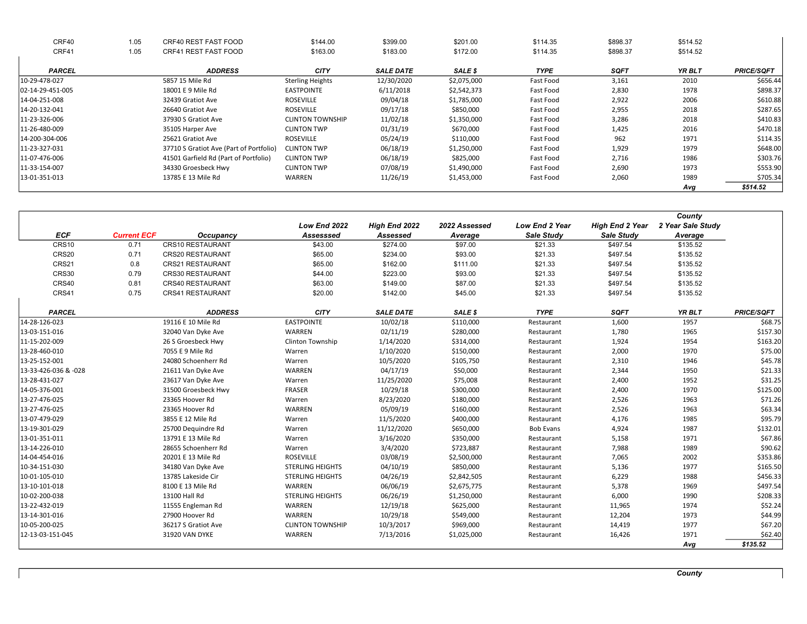| CRF40            | 1.05 | CRF40 REST FAST FOOD                    | \$144.00                | \$399.00         | \$201.00    | \$114.35    | \$898.37    | \$514.52      |                   |
|------------------|------|-----------------------------------------|-------------------------|------------------|-------------|-------------|-------------|---------------|-------------------|
| CRF41            | 1.05 | CRF41 REST FAST FOOD                    | \$163.00                | \$183.00         | \$172.00    | \$114.35    | \$898.37    | \$514.52      |                   |
|                  |      |                                         |                         |                  |             |             |             |               |                   |
| <b>PARCEL</b>    |      | <b>ADDRESS</b>                          | <b>CITY</b>             | <b>SALE DATE</b> | SALE \$     | <b>TYPE</b> | <b>SQFT</b> | <b>YR BLT</b> | <b>PRICE/SQFT</b> |
| 10-29-478-027    |      | 5857 15 Mile Rd                         | <b>Sterling Heights</b> | 12/30/2020       | \$2,075,000 | Fast Food   | 3,161       | 2010          | \$656.44          |
| 02-14-29-451-005 |      | 18001 E 9 Mile Rd                       | EASTPOINTE              | 6/11/2018        | \$2,542,373 | Fast Food   | 2,830       | 1978          | \$898.37          |
| 14-04-251-008    |      | 32439 Gratiot Ave                       | <b>ROSEVILLE</b>        | 09/04/18         | \$1,785,000 | Fast Food   | 2,922       | 2006          | \$610.88          |
| 14-20-132-041    |      | 26640 Gratiot Ave                       | <b>ROSEVILLE</b>        | 09/17/18         | \$850,000   | Fast Food   | 2,955       | 2018          | \$287.65          |
| 11-23-326-006    |      | 37930 S Gratiot Ave                     | <b>CLINTON TOWNSHIP</b> | 11/02/18         | \$1,350,000 | Fast Food   | 3,286       | 2018          | \$410.83          |
| 11-26-480-009    |      | 35105 Harper Ave                        | <b>CLINTON TWP</b>      | 01/31/19         | \$670,000   | Fast Food   | 1,425       | 2016          | \$470.18          |
| 14-200-304-006   |      | 25621 Gratiot Ave                       | <b>ROSEVILLE</b>        | 05/24/19         | \$110,000   | Fast Food   | 962         | 1971          | \$114.35          |
| 11-23-327-031    |      | 37710 S Gratiot Ave (Part of Portfolio) | <b>CLINTON TWP</b>      | 06/18/19         | \$1,250,000 | Fast Food   | 1,929       | 1979          | \$648.00          |
| 11-07-476-006    |      | 41501 Garfield Rd (Part of Portfolio)   | <b>CLINTON TWP</b>      | 06/18/19         | \$825,000   | Fast Food   | 2,716       | 1986          | \$303.76          |
| 11-33-154-007    |      | 34330 Groesbeck Hwy                     | <b>CLINTON TWP</b>      | 07/08/19         | \$1,490,000 | Fast Food   | 2,690       | 1973          | \$553.90          |
| 13-01-351-013    |      | 13785 E 13 Mile Rd                      | WARREN                  | 11/26/19         | \$1,453,000 | Fast Food   | 2,060       | 1989          | \$705.34          |
|                  |      |                                         |                         |                  |             |             |             | Avg           | \$514.52          |

|                      |                    |                         |                         |                  |               |                       |                        | County            |                   |
|----------------------|--------------------|-------------------------|-------------------------|------------------|---------------|-----------------------|------------------------|-------------------|-------------------|
|                      |                    |                         | Low End 2022            | High End 2022    | 2022 Assessed | <b>Low End 2 Year</b> | <b>High End 2 Year</b> | 2 Year Sale Study |                   |
| <b>ECF</b>           | <b>Current ECF</b> | Occupancy               | Assesssed               | Assessed         | Average       | Sale Study            | Sale Study             | Average           |                   |
| CRS10                | 0.71               | <b>CRS10 RESTAURANT</b> | \$43.00                 | \$274.00         | \$97.00       | \$21.33               | \$497.54               | \$135.52          |                   |
| CRS20                | 0.71               | <b>CRS20 RESTAURANT</b> | \$65.00                 | \$234.00         | \$93.00       | \$21.33               | \$497.54               | \$135.52          |                   |
| CRS21                | 0.8                | <b>CRS21 RESTAURANT</b> | \$65.00                 | \$162.00         | \$111.00      | \$21.33               | \$497.54               | \$135.52          |                   |
| <b>CRS30</b>         | 0.79               | <b>CRS30 RESTAURANT</b> | \$44.00                 | \$223.00         | \$93.00       | \$21.33               | \$497.54               | \$135.52          |                   |
| CRS40                | 0.81               | CRS40 RESTAURANT        | \$63.00                 | \$149.00         | \$87.00       | \$21.33               | \$497.54               | \$135.52          |                   |
| CRS41                | 0.75               | <b>CRS41 RESTAURANT</b> | \$20.00                 | \$142.00         | \$45.00       | \$21.33               | \$497.54               | \$135.52          |                   |
| <b>PARCEL</b>        |                    | <b>ADDRESS</b>          | <b>CITY</b>             | <b>SALE DATE</b> | SALE \$       | <b>TYPE</b>           | <b>SQFT</b>            | <b>YR BLT</b>     | <b>PRICE/SQFT</b> |
| 14-28-126-023        |                    | 19116 E 10 Mile Rd      | <b>EASTPOINTE</b>       | 10/02/18         | \$110,000     | Restaurant            | 1,600                  | 1957              | \$68.75           |
| 13-03-151-016        |                    | 32040 Van Dyke Ave      | WARREN                  | 02/11/19         | \$280,000     | Restaurant            | 1,780                  | 1965              | \$157.30          |
| 11-15-202-009        |                    | 26 S Groesbeck Hwy      | Clinton Township        | 1/14/2020        | \$314,000     | Restaurant            | 1,924                  | 1954              | \$163.20          |
| 13-28-460-010        |                    | 7055 E 9 Mile Rd        | Warren                  | 1/10/2020        | \$150,000     | Restaurant            | 2,000                  | 1970              | \$75.00           |
| 13-25-152-001        |                    | 24080 Schoenherr Rd     | Warren                  | 10/5/2020        | \$105,750     | Restaurant            | 2,310                  | 1946              | \$45.78           |
| 13-33-426-036 & -028 |                    | 21611 Van Dyke Ave      | WARREN                  | 04/17/19         | \$50,000      | Restaurant            | 2,344                  | 1950              | \$21.33           |
| 13-28-431-027        |                    | 23617 Van Dyke Ave      | Warren                  | 11/25/2020       | \$75,008      | Restaurant            | 2,400                  | 1952              | \$31.25           |
| 14-05-376-001        |                    | 31500 Groesbeck Hwy     | <b>FRASER</b>           | 10/29/18         | \$300,000     | Restaurant            | 2,400                  | 1970              | \$125.00          |
| 13-27-476-025        |                    | 23365 Hoover Rd         | Warren                  | 8/23/2020        | \$180,000     | Restaurant            | 2,526                  | 1963              | \$71.26           |
| 13-27-476-025        |                    | 23365 Hoover Rd         | WARREN                  | 05/09/19         | \$160,000     | Restaurant            | 2,526                  | 1963              | \$63.34           |
| 13-07-479-029        |                    | 3855 E 12 Mile Rd       | Warren                  | 11/5/2020        | \$400,000     | Restaurant            | 4,176                  | 1985              | \$95.79           |
| 13-19-301-029        |                    | 25700 Dequindre Rd      | Warren                  | 11/12/2020       | \$650,000     | <b>Bob Evans</b>      | 4,924                  | 1987              | \$132.01          |
| 13-01-351-011        |                    | 13791 E 13 Mile Rd      | Warren                  | 3/16/2020        | \$350,000     | Restaurant            | 5,158                  | 1971              | \$67.86           |
| 13-14-226-010        |                    | 28655 Schoenherr Rd     | Warren                  | 3/4/2020         | \$723,887     | Restaurant            | 7,988                  | 1989              | \$90.62           |
| 14-04-454-016        |                    | 20201 E 13 Mile Rd      | <b>ROSEVILLE</b>        | 03/08/19         | \$2,500,000   | Restaurant            | 7,065                  | 2002              | \$353.86          |
| 10-34-151-030        |                    | 34180 Van Dyke Ave      | <b>STERLING HEIGHTS</b> | 04/10/19         | \$850,000     | Restaurant            | 5,136                  | 1977              | \$165.50          |
| 10-01-105-010        |                    | 13785 Lakeside Cir      | <b>STERLING HEIGHTS</b> | 04/26/19         | \$2,842,505   | Restaurant            | 6,229                  | 1988              | \$456.33          |
| 13-10-101-018        |                    | 8100 E 13 Mile Rd       | WARREN                  | 06/06/19         | \$2,675,775   | Restaurant            | 5,378                  | 1969              | \$497.54          |
| 10-02-200-038        |                    | 13100 Hall Rd           | <b>STERLING HEIGHTS</b> | 06/26/19         | \$1,250,000   | Restaurant            | 6,000                  | 1990              | \$208.33          |
| 13-22-432-019        |                    | 11555 Engleman Rd       | WARREN                  | 12/19/18         | \$625,000     | Restaurant            | 11,965                 | 1974              | \$52.24           |
| 13-14-301-016        |                    | 27900 Hoover Rd         | <b>WARREN</b>           | 10/29/18         | \$549,000     | Restaurant            | 12,204                 | 1973              | \$44.99           |
| 10-05-200-025        |                    | 36217 S Gratiot Ave     | <b>CLINTON TOWNSHIP</b> | 10/3/2017        | \$969,000     | Restaurant            | 14,419                 | 1977              | \$67.20           |
| 12-13-03-151-045     |                    | 31920 VAN DYKE          | WARREN                  | 7/13/2016        | \$1,025,000   | Restaurant            | 16,426                 | 1971              | \$62.40           |
|                      |                    |                         |                         |                  |               |                       |                        | Avg               | \$135.52          |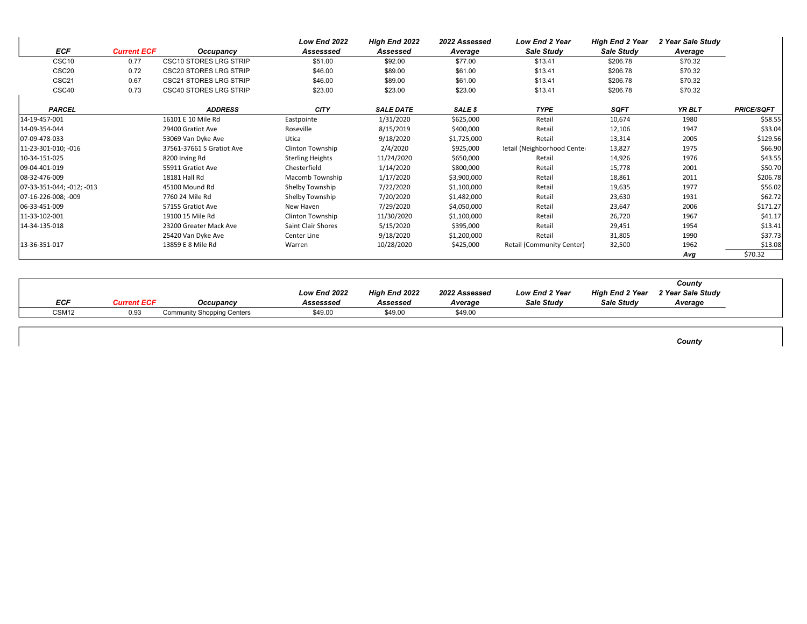|                           |                    |                               | <b>Low End 2022</b>     | High End 2022    | 2022 Assessed | Low End 2 Year              | <b>High End 2 Year</b> | 2 Year Sale Study |                   |
|---------------------------|--------------------|-------------------------------|-------------------------|------------------|---------------|-----------------------------|------------------------|-------------------|-------------------|
| <b>ECF</b>                | <b>Current ECF</b> | Occupancy                     | Assesssed               | Assessed         | Average       | Sale Study                  | Sale Study             | Average           |                   |
| CSC <sub>10</sub>         | 0.77               | <b>CSC10 STORES LRG STRIP</b> | \$51.00                 | \$92.00          | \$77.00       | \$13.41                     | \$206.78               | \$70.32           |                   |
| CSC <sub>20</sub>         | 0.72               | <b>CSC20 STORES LRG STRIP</b> | \$46.00                 | \$89.00          | \$61.00       | \$13.41                     | \$206.78               | \$70.32           |                   |
| CSC21                     | 0.67               | <b>CSC21 STORES LRG STRIP</b> | \$46.00                 | \$89.00          | \$61.00       | \$13.41                     | \$206.78               | \$70.32           |                   |
| CSC40                     | 0.73               | <b>CSC40 STORES LRG STRIP</b> | \$23.00                 | \$23.00          | \$23.00       | \$13.41                     | \$206.78               | \$70.32           |                   |
| <b>PARCEL</b>             |                    | <b>ADDRESS</b>                | <b>CITY</b>             | <b>SALE DATE</b> | SALE \$       | <b>TYPE</b>                 | <b>SQFT</b>            | YR BLT            | <b>PRICE/SQFT</b> |
| 14-19-457-001             |                    | 16101 E 10 Mile Rd            | Eastpointe              | 1/31/2020        | \$625,000     | Retail                      | 10,674                 | 1980              | \$58.55           |
| 14-09-354-044             |                    | 29400 Gratiot Ave             | Roseville               | 8/15/2019        | \$400,000     | Retail                      | 12,106                 | 1947              | \$33.04           |
| 07-09-478-033             |                    | 53069 Van Dyke Ave            | Utica                   | 9/18/2020        | \$1,725,000   | Retail                      | 13,314                 | 2005              | \$129.56          |
| 11-23-301-010; -016       |                    | 37561-37661 S Gratiot Ave     | Clinton Township        | 2/4/2020         | \$925,000     | letail (Neighborhood Center | 13,827                 | 1975              | \$66.90           |
| 10-34-151-025             |                    | 8200 Irving Rd                | <b>Sterling Heights</b> | 11/24/2020       | \$650,000     | Retail                      | 14,926                 | 1976              | \$43.55           |
| 09-04-401-019             |                    | 55911 Gratiot Ave             | Chesterfield            | 1/14/2020        | \$800,000     | Retail                      | 15,778                 | 2001              | \$50.70           |
| 08-32-476-009             |                    | 18181 Hall Rd                 | Macomb Township         | 1/17/2020        | \$3,900,000   | Retail                      | 18,861                 | 2011              | \$206.78          |
| 07-33-351-044; -012; -013 |                    | 45100 Mound Rd                | Shelby Township         | 7/22/2020        | \$1,100,000   | Retail                      | 19,635                 | 1977              | \$56.02           |
| 07-16-226-008; -009       |                    | 7760 24 Mile Rd               | Shelby Township         | 7/20/2020        | \$1,482,000   | Retail                      | 23,630                 | 1931              | \$62.72           |
| 06-33-451-009             |                    | 57155 Gratiot Ave             | New Haven               | 7/29/2020        | \$4,050,000   | Retail                      | 23,647                 | 2006              | \$171.27          |
| 11-33-102-001             |                    | 19100 15 Mile Rd              | <b>Clinton Township</b> | 11/30/2020       | \$1,100,000   | Retail                      | 26,720                 | 1967              | \$41.17           |
| 14-34-135-018             |                    | 23200 Greater Mack Ave        | Saint Clair Shores      | 5/15/2020        | \$395,000     | Retail                      | 29,451                 | 1954              | \$13.41           |
|                           |                    | 25420 Van Dyke Ave            | Center Line             | 9/18/2020        | \$1,200,000   | Retail                      | 31,805                 | 1990              | \$37.73           |
| 13-36-351-017             |                    | 13859 E 8 Mile Rd             | Warren                  | 10/28/2020       | \$425,000     | Retail (Community Center)   | 32,500                 | 1962              | \$13.08           |
|                           |                    |                               |                         |                  |               |                             |                        | Avg               | \$70.32           |

 $\mathbf{r}$ 

|                   |            |                                   |                                  |                                  |                          |                                            |                                      | County                       |  |
|-------------------|------------|-----------------------------------|----------------------------------|----------------------------------|--------------------------|--------------------------------------------|--------------------------------------|------------------------------|--|
| <b>ECF</b>        | urrent ECF | Occupancy                         | <b>Low End 2022</b><br>Assesssed | <b>High End 2022</b><br>Assessed | 2022 Assessed<br>Average | <b>Low End 2 Year</b><br><b>Sale Study</b> | High End 2 Year<br><b>Sale Study</b> | 2 Year Sale Study<br>Average |  |
| CSM <sub>12</sub> | 0.93       | <b>Community Shopping Centers</b> | \$49.00                          | \$49.00                          | \$49.00                  |                                            |                                      |                              |  |

**County**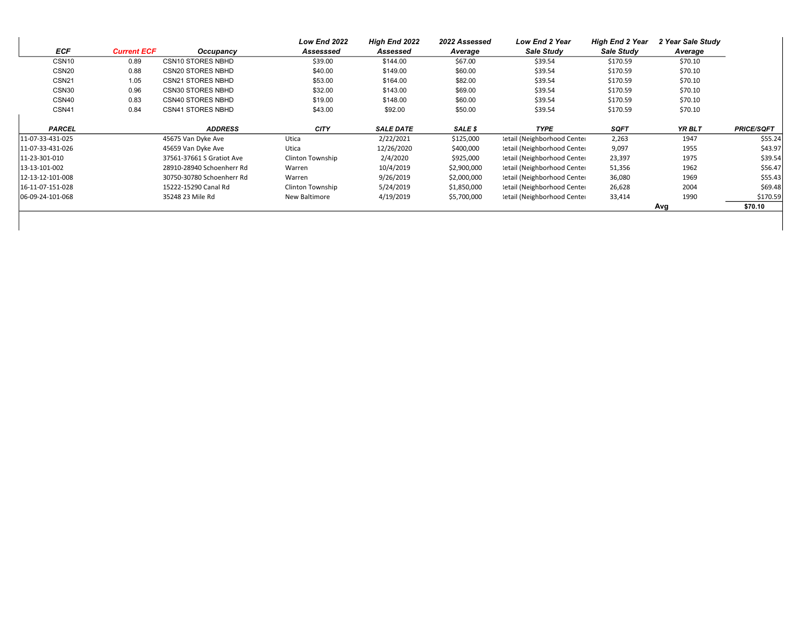|                   |                    |                           | Low End 2022     | High End 2022    | 2022 Assessed | <b>Low End 2 Year</b>       | <b>High End 2 Year</b> | 2 Year Sale Study |                   |
|-------------------|--------------------|---------------------------|------------------|------------------|---------------|-----------------------------|------------------------|-------------------|-------------------|
| ECF               | <b>Current ECF</b> | Occupancy                 | Assesssed        | Assessed         | Average       | Sale Study                  | Sale Study             | Average           |                   |
| CSN <sub>10</sub> | 0.89               | <b>CSN10 STORES NBHD</b>  | \$39.00          | \$144.00         | \$67.00       | \$39.54                     | \$170.59               | \$70.10           |                   |
| CSN <sub>20</sub> | 0.88               | <b>CSN20 STORES NBHD</b>  | \$40.00          | \$149.00         | \$60.00       | \$39.54                     | \$170.59               | \$70.10           |                   |
| CSN <sub>21</sub> | 1.05               | <b>CSN21 STORES NBHD</b>  | \$53.00          | \$164.00         | \$82.00       | \$39.54                     | \$170.59               | \$70.10           |                   |
| CSN30             | 0.96               | <b>CSN30 STORES NBHD</b>  | \$32.00          | \$143.00         | \$69.00       | \$39.54                     | \$170.59               | \$70.10           |                   |
| CSN40             | 0.83               | <b>CSN40 STORES NBHD</b>  | \$19.00          | \$148.00         | \$60.00       | \$39.54                     | \$170.59               | \$70.10           |                   |
| CSN41             | 0.84               | <b>CSN41 STORES NBHD</b>  | \$43.00          | \$92.00          | \$50.00       | \$39.54                     | \$170.59               | \$70.10           |                   |
| <b>PARCEL</b>     |                    | <b>ADDRESS</b>            | <b>CITY</b>      | <b>SALE DATE</b> | SALE \$       | <b>TYPE</b>                 | <b>SQFT</b>            | YR BLT            | <b>PRICE/SQFT</b> |
| 11-07-33-431-025  |                    | 45675 Van Dyke Ave        | Utica            | 2/22/2021        | \$125,000     | letail (Neighborhood Center | 2,263                  | 1947              | \$55.24           |
| 11-07-33-431-026  |                    | 45659 Van Dyke Ave        | Utica            | 12/26/2020       | \$400,000     | letail (Neighborhood Center | 9,097                  | 1955              | \$43.97           |
| 11-23-301-010     |                    | 37561-37661 S Gratiot Ave | Clinton Township | 2/4/2020         | \$925,000     | letail (Neighborhood Center | 23,397                 | 1975              | \$39.54           |
| 13-13-101-002     |                    | 28910-28940 Schoenherr Rd | Warren           | 10/4/2019        | \$2,900,000   | letail (Neighborhood Center | 51,356                 | 1962              | \$56.47           |
| 12-13-12-101-008  |                    | 30750-30780 Schoenherr Rd | Warren           | 9/26/2019        | \$2,000,000   | letail (Neighborhood Center | 36,080                 | 1969              | \$55.43           |
| 16-11-07-151-028  |                    | 15222-15290 Canal Rd      | Clinton Township | 5/24/2019        | \$1,850,000   | letail (Neighborhood Center | 26,628                 | 2004              | \$69.48           |
| 06-09-24-101-068  |                    | 35248 23 Mile Rd          | New Baltimore    | 4/19/2019        | \$5,700,000   | letail (Neighborhood Center | 33,414                 | 1990              | \$170.59          |
|                   |                    |                           |                  |                  |               |                             |                        | Avg               | \$70.10           |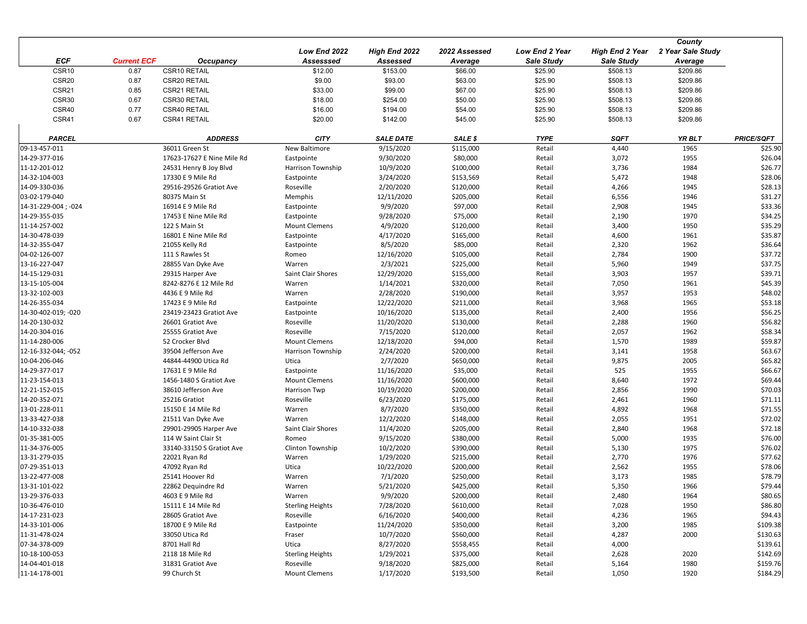|                     |                    |                            | Low End 2022            | High End 2022    | 2022 Assessed | Low End 2 Year    | High End 2 Year   | County<br>2 Year Sale Study |                   |
|---------------------|--------------------|----------------------------|-------------------------|------------------|---------------|-------------------|-------------------|-----------------------------|-------------------|
| <b>ECF</b>          | <b>Current ECF</b> | Occupancy                  | Assesssed               | Assessed         | Average       | <b>Sale Study</b> | <b>Sale Study</b> | Average                     |                   |
| CSR10               | 0.87               | CSR10 RETAIL               | \$12.00                 | \$153.00         | \$66.00       | \$25.90           | \$508.13          | \$209.86                    |                   |
| CSR <sub>20</sub>   | 0.87               | CSR20 RETAIL               | \$9.00                  | \$93.00          | \$63.00       | \$25.90           | \$508.13          | \$209.86                    |                   |
| CSR21               | 0.85               | CSR21 RETAIL               | \$33.00                 | \$99.00          | \$67.00       | \$25.90           | \$508.13          | \$209.86                    |                   |
| CSR30               | 0.67               | CSR30 RETAIL               | \$18.00                 | \$254.00         | \$50.00       | \$25.90           | \$508.13          | \$209.86                    |                   |
| CSR40               | 0.77               | CSR40 RETAIL               | \$16.00                 | \$194.00         | \$54.00       | \$25.90           | \$508.13          | \$209.86                    |                   |
| CSR41               | 0.67               | CSR41 RETAIL               | \$20.00                 | \$142.00         | \$45.00       | \$25.90           | \$508.13          | \$209.86                    |                   |
|                     |                    |                            |                         |                  |               |                   |                   |                             |                   |
| <b>PARCEL</b>       |                    | <b>ADDRESS</b>             | <b>CITY</b>             | <b>SALE DATE</b> | SALE \$       | <b>TYPE</b>       | <b>SQFT</b>       | YR BLT                      | <b>PRICE/SQFT</b> |
| 09-13-457-011       |                    | 36011 Green St             | New Baltimore           | 9/15/2020        | \$115,000     | Retail            | 4,440             | 1965                        | \$25.90           |
| 14-29-377-016       |                    | 17623-17627 E Nine Mile Rd | Eastpointe              | 9/30/2020        | \$80,000      | Retail            | 3,072             | 1955                        | \$26.04           |
| 11-12-201-012       |                    | 24531 Henry B Joy Blvd     | Harrison Township       | 10/9/2020        | \$100,000     | Retail            | 3,736             | 1984                        | \$26.77           |
| 14-32-104-003       |                    | 17330 E 9 Mile Rd          | Eastpointe              | 3/24/2020        | \$153,569     | Retail            | 5,472             | 1948                        | \$28.06           |
| 14-09-330-036       |                    | 29516-29526 Gratiot Ave    | Roseville               | 2/20/2020        | \$120,000     | Retail            | 4,266             | 1945                        | \$28.13           |
| 03-02-179-040       |                    | 80375 Main St              | Memphis                 | 12/11/2020       | \$205,000     | Retail            | 6,556             | 1946                        | \$31.27           |
| 14-31-229-004; -024 |                    | 16914 E 9 Mile Rd          | Eastpointe              | 9/9/2020         | \$97,000      | Retail            | 2,908             | 1945                        | \$33.36           |
| 14-29-355-035       |                    | 17453 E Nine Mile Rd       | Eastpointe              | 9/28/2020        | \$75,000      | Retail            | 2,190             | 1970                        | \$34.25           |
| 11-14-257-002       |                    | 122 S Main St              | <b>Mount Clemens</b>    | 4/9/2020         | \$120,000     | Retail            | 3,400             | 1950                        | \$35.29           |
| 14-30-478-039       |                    | 16801 E Nine Mile Rd       | Eastpointe              | 4/17/2020        | \$165,000     | Retail            | 4,600             | 1961                        | \$35.87           |
| 14-32-355-047       |                    | 21055 Kelly Rd             | Eastpointe              | 8/5/2020         | \$85,000      | Retail            | 2,320             | 1962                        | \$36.64           |
| 04-02-126-007       |                    | 111 S Rawles St            | Romeo                   | 12/16/2020       | \$105,000     | Retail            | 2,784             | 1900                        | \$37.72           |
| 13-16-227-047       |                    | 28855 Van Dyke Ave         | Warren                  | 2/3/2021         | \$225,000     | Retail            | 5,960             | 1949                        | \$37.75           |
| 14-15-129-031       |                    | 29315 Harper Ave           | Saint Clair Shores      | 12/29/2020       | \$155,000     | Retail            | 3,903             | 1957                        | \$39.71           |
| 13-15-105-004       |                    | 8242-8276 E 12 Mile Rd     | Warren                  | 1/14/2021        | \$320,000     | Retail            | 7,050             | 1961                        | \$45.39           |
| 13-32-102-003       |                    | 4436 E 9 Mile Rd           | Warren                  | 2/28/2020        | \$190,000     | Retail            | 3,957             | 1953                        | \$48.02           |
| 14-26-355-034       |                    | 17423 E 9 Mile Rd          | Eastpointe              | 12/22/2020       | \$211,000     | Retail            | 3,968             | 1965                        | \$53.18           |
| 14-30-402-019: -020 |                    | 23419-23423 Gratiot Ave    | Eastpointe              | 10/16/2020       | \$135,000     | Retail            | 2,400             | 1956                        | \$56.25           |
| 14-20-130-032       |                    | 26601 Gratiot Ave          | Roseville               | 11/20/2020       | \$130,000     | Retail            | 2,288             | 1960                        | \$56.82           |
| 14-20-304-016       |                    | 25555 Gratiot Ave          | Roseville               | 7/15/2020        | \$120,000     | Retail            | 2,057             | 1962                        | \$58.34           |
| 11-14-280-006       |                    | 52 Crocker Blvd            | <b>Mount Clemens</b>    | 12/18/2020       | \$94,000      | Retail            | 1,570             | 1989                        | \$59.87           |
| 12-16-332-044; -052 |                    | 39504 Jefferson Ave        | Harrison Township       | 2/24/2020        | \$200,000     | Retail            | 3,141             | 1958                        | \$63.67           |
| 10-04-206-046       |                    | 44844-44900 Utica Rd       | Utica                   | 2/7/2020         | \$650,000     | Retail            | 9,875             | 2005                        | \$65.82           |
| 14-29-377-017       |                    | 17631 E 9 Mile Rd          | Eastpointe              | 11/16/2020       | \$35,000      | Retail            | 525               | 1955                        | \$66.67           |
| 11-23-154-013       |                    | 1456-1480 S Gratiot Ave    | <b>Mount Clemens</b>    | 11/16/2020       | \$600,000     | Retail            | 8,640             | 1972                        | \$69.44           |
| 12-21-152-015       |                    | 38610 Jefferson Ave        | Harrison Twp            | 10/19/2020       | \$200,000     | Retail            | 2,856             | 1990                        | \$70.03           |
| 14-20-352-071       |                    | 25216 Gratiot              | Roseville               | 6/23/2020        | \$175,000     | Retail            | 2,461             | 1960                        | \$71.11           |
| 13-01-228-011       |                    | 15150 E 14 Mile Rd         | Warren                  | 8/7/2020         | \$350,000     | Retail            | 4,892             | 1968                        | \$71.55           |
| 13-33-427-038       |                    | 21511 Van Dyke Ave         | Warren                  | 12/2/2020        | \$148,000     | Retail            | 2,055             | 1951                        | \$72.02           |
| 14-10-332-038       |                    | 29901-29905 Harper Ave     | Saint Clair Shores      | 11/4/2020        | \$205,000     | Retail            | 2,840             | 1968                        | \$72.18           |
| 01-35-381-005       |                    | 114 W Saint Clair St       | Romeo                   | 9/15/2020        | \$380,000     | Retail            | 5,000             | 1935                        | \$76.00           |
| 11-34-376-005       |                    | 33140-33150 S Gratiot Ave  | Clinton Township        | 10/2/2020        | \$390,000     | Retail            | 5,130             | 1975                        | \$76.02           |
| 13-31-279-035       |                    | 22021 Ryan Rd              | Warren                  | 1/29/2020        | \$215,000     | Retail            | 2,770             | 1976                        | \$77.62           |
| 07-29-351-013       |                    | 47092 Ryan Rd              | Utica                   | 10/22/2020       | \$200,000     | Retail            | 2,562             | 1955                        | \$78.06           |
| 13-22-477-008       |                    | 25141 Hoover Rd            | Warren                  | 7/1/2020         | \$250,000     | Retail            | 3,173             | 1985                        | \$78.79           |
| 13-31-101-022       |                    | 22862 Dequindre Rd         | Warren                  | 5/21/2020        | \$425,000     | Retail            | 5,350             | 1966                        | \$79.44           |
| 13-29-376-033       |                    | 4603 E 9 Mile Rd           | Warren                  | 9/9/2020         | \$200,000     | Retail            | 2,480             | 1964                        | \$80.65           |
| 10-36-476-010       |                    | 15111 E 14 Mile Rd         | <b>Sterling Heights</b> | 7/28/2020        | \$610,000     | Retail            | 7,028             | 1950                        | \$86.80           |
| 14-17-231-023       |                    | 28605 Gratiot Ave          | Roseville               | 6/16/2020        | \$400,000     | Retail            | 4,236             | 1965                        | \$94.43           |
| 14-33-101-006       |                    | 18700 E 9 Mile Rd          | Eastpointe              | 11/24/2020       | \$350,000     | Retail            | 3,200             | 1985                        | \$109.38          |
| 11-31-478-024       |                    | 33050 Utica Rd             | Fraser                  | 10/7/2020        | \$560,000     | Retail            | 4,287             | 2000                        | \$130.63          |
| 07-34-378-009       |                    | 8701 Hall Rd               | Utica                   | 8/27/2020        | \$558,455     | Retail            | 4,000             |                             | \$139.61          |
| 10-18-100-053       |                    | 2118 18 Mile Rd            | <b>Sterling Heights</b> | 1/29/2021        | \$375,000     | Retail            | 2,628             | 2020                        | \$142.69          |
| 14-04-401-018       |                    | 31831 Gratiot Ave          | Roseville               | 9/18/2020        | \$825,000     | Retail            | 5,164             | 1980                        | \$159.76          |
| 11-14-178-001       |                    | 99 Church St               | <b>Mount Clemens</b>    | 1/17/2020        | \$193,500     | Retail            | 1,050             | 1920                        | \$184.29          |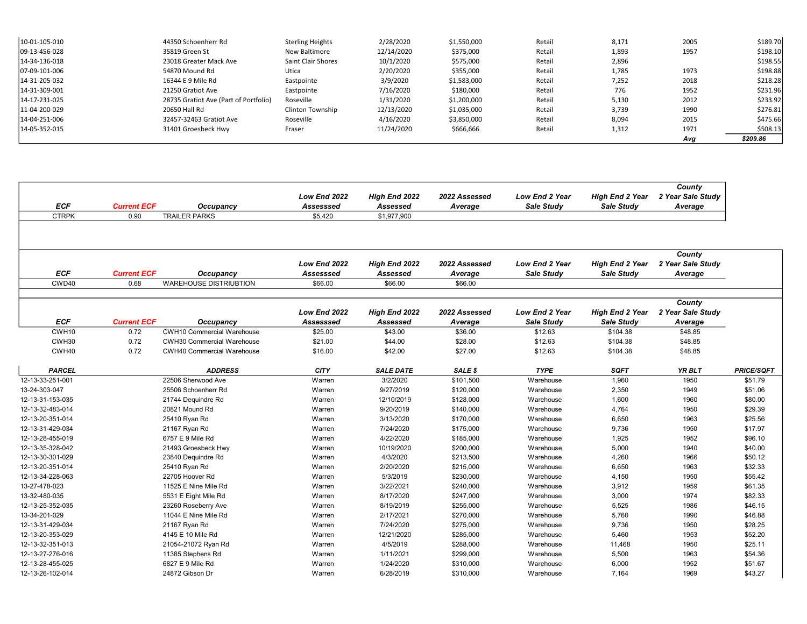| 10-01-105-010 | 44350 Schoenherr Rd                   | <b>Sterling Heights</b> | 2/28/2020  | \$1,550,000 | Retail | 8,171 | 2005 | \$189.70 |
|---------------|---------------------------------------|-------------------------|------------|-------------|--------|-------|------|----------|
| 09-13-456-028 | 35819 Green St                        | New Baltimore           | 12/14/2020 | \$375,000   | Retail | 1,893 | 1957 | \$198.10 |
| 14-34-136-018 | 23018 Greater Mack Ave                | Saint Clair Shores      | 10/1/2020  | \$575,000   | Retail | 2,896 |      | \$198.55 |
| 07-09-101-006 | 54870 Mound Rd                        | Utica                   | 2/20/2020  | \$355,000   | Retail | 1,785 | 1973 | \$198.88 |
| 14-31-205-032 | 16344 E 9 Mile Rd                     | Eastpointe              | 3/9/2020   | \$1,583,000 | Retail | 7,252 | 2018 | \$218.28 |
| 14-31-309-001 | 21250 Gratiot Ave                     | Eastpointe              | 7/16/2020  | \$180,000   | Retail | 776   | 1952 | \$231.96 |
| 14-17-231-025 | 28735 Gratiot Ave (Part of Portfolio) | Roseville               | 1/31/2020  | \$1,200,000 | Retail | 5,130 | 2012 | \$233.92 |
| 11-04-200-029 | 20650 Hall Rd                         | Clinton Township        | 12/13/2020 | \$1,035,000 | Retail | 3,739 | 1990 | \$276.81 |
| 14-04-251-006 | 32457-32463 Gratiot Ave               | Roseville               | 4/16/2020  | \$3,850,000 | Retail | 8,094 | 2015 | \$475.66 |
| 14-05-352-015 | 31401 Groesbeck Hwy                   | Fraser                  | 11/24/2020 | \$666,666   | Retail | 1,312 | 1971 | \$508.13 |
|               |                                       |                         |            |             |        |       | Avg  | \$209.86 |

| <b>ECF</b>                     | <b>Current ECF</b>         | Occupancy                                    | Low End 2022<br>Assesssed            | High End 2022<br>Assessed            | 2022 Assessed<br>Average            | <b>Low End 2 Year</b><br>Sale Study | <b>High End 2 Year</b><br>Sale Study | County<br>2 Year Sale Study<br>Average |                    |
|--------------------------------|----------------------------|----------------------------------------------|--------------------------------------|--------------------------------------|-------------------------------------|-------------------------------------|--------------------------------------|----------------------------------------|--------------------|
| <b>CTRPK</b>                   | 0.90                       | <b>TRAILER PARKS</b>                         | \$5,420                              | \$1,977,900                          |                                     |                                     |                                      |                                        |                    |
|                                |                            |                                              |                                      |                                      |                                     |                                     |                                      |                                        |                    |
| <b>ECF</b><br>CWD40            | <b>Current ECF</b><br>0.68 | Occupancy<br><b>WAREHOUSE DISTRIUBTION</b>   | Low End 2022<br>Assesssed<br>\$66.00 | High End 2022<br>Assessed<br>\$66.00 | 2022 Assessed<br>Average<br>\$66.00 | <b>Low End 2 Year</b><br>Sale Study | <b>High End 2 Year</b><br>Sale Study | County<br>2 Year Sale Study<br>Average |                    |
|                                |                            |                                              |                                      |                                      |                                     |                                     |                                      |                                        |                    |
| <b>ECF</b>                     | <b>Current ECF</b>         | Occupancy                                    | Low End 2022<br>Assesssed            | High End 2022<br>Assessed            | 2022 Assessed<br>Average            | <b>Low End 2 Year</b><br>Sale Study | <b>High End 2 Year</b><br>Sale Study | County<br>2 Year Sale Study<br>Average |                    |
| CWH <sub>10</sub>              | 0.72                       | <b>CWH10 Commercial Warehouse</b>            | \$25.00                              | \$43.00                              | \$36.00                             | \$12.63                             | \$104.38                             | \$48.85                                |                    |
| CWH30                          | 0.72                       | <b>CWH30 Commercial Warehouse</b>            | \$21.00                              | \$44.00                              | \$28.00                             | \$12.63                             | \$104.38                             | \$48.85                                |                    |
| CWH40                          | 0.72                       | <b>CWH40 Commercial Warehouse</b>            | \$16.00                              | \$42.00                              | \$27.00                             | \$12.63                             | \$104.38                             | \$48.85                                |                    |
| <b>PARCEL</b>                  |                            | <b>ADDRESS</b>                               | <b>CITY</b>                          | <b>SALE DATE</b>                     | SALE \$                             | <b>TYPE</b>                         | <b>SQFT</b>                          | YR BLT                                 | <b>PRICE/SQFT</b>  |
| 12-13-33-251-001               |                            | 22506 Sherwood Ave                           | Warren                               | 3/2/2020                             | \$101,500                           | Warehouse                           | 1,960                                | 1950                                   | \$51.79            |
| 13-24-303-047                  |                            | 25506 Schoenherr Rd                          | Warren                               | 9/27/2019                            | \$120,000                           | Warehouse                           | 2,350                                | 1949                                   | \$51.06            |
| 12-13-31-153-035               |                            | 21744 Dequindre Rd                           | Warren                               | 12/10/2019                           | \$128,000                           | Warehouse                           | 1,600                                | 1960                                   | \$80.00            |
| 12-13-32-483-014               |                            | 20821 Mound Rd                               | Warren                               | 9/20/2019                            | \$140,000                           | Warehouse                           | 4,764                                | 1950                                   | \$29.39            |
| 12-13-20-351-014               |                            | 25410 Ryan Rd                                | Warren                               | 3/13/2020                            | \$170,000                           | Warehouse                           | 6,650                                | 1963                                   | \$25.56            |
| 12-13-31-429-034               |                            | 21167 Ryan Rd                                | Warren                               | 7/24/2020                            | \$175,000                           | Warehouse                           | 9,736                                | 1950                                   | \$17.97            |
| 12-13-28-455-019               |                            | 6757 E 9 Mile Rd                             | Warren                               | 4/22/2020                            | \$185,000                           | Warehouse                           | 1,925                                | 1952                                   | \$96.10            |
| 12-13-35-328-042               |                            | 21493 Groesbeck Hwy                          | Warren                               | 10/19/2020                           | \$200,000                           | Warehouse                           | 5,000                                | 1940                                   | \$40.00            |
| 12-13-30-301-029               |                            | 23840 Dequindre Rd                           | Warren                               | 4/3/2020                             | \$213,500                           | Warehouse                           | 4,260                                | 1966                                   | \$50.12            |
| 12-13-20-351-014               |                            | 25410 Ryan Rd                                | Warren                               | 2/20/2020                            | \$215,000                           | Warehouse                           | 6,650                                | 1963                                   | \$32.33            |
| 12-13-34-228-063               |                            | 22705 Hoover Rd                              | Warren                               | 5/3/2019                             | \$230,000                           | Warehouse                           | 4,150                                | 1950                                   | \$55.42            |
| 13-27-478-023<br>13-32-480-035 |                            | 11525 E Nine Mile Rd<br>5531 E Eight Mile Rd | Warren<br>Warren                     | 3/22/2021<br>8/17/2020               | \$240,000<br>\$247,000              | Warehouse<br>Warehouse              | 3,912<br>3,000                       | 1959<br>1974                           | \$61.35<br>\$82.33 |
| 12-13-25-352-035               |                            | 23260 Roseberry Ave                          | Warren                               | 8/19/2019                            | \$255,000                           | Warehouse                           | 5,525                                | 1986                                   | \$46.15            |
| 13-34-201-029                  |                            |                                              | Warren                               | 2/17/2021                            | \$270,000                           |                                     | 5,760                                |                                        | \$46.88            |
| 12-13-31-429-034               |                            | 11044 E Nine Mile Rd<br>21167 Ryan Rd        | Warren                               | 7/24/2020                            | \$275.000                           | Warehouse<br>Warehouse              | 9.736                                | 1990<br>1950                           | \$28.25            |
| 12-13-20-353-029               |                            | 4145 E 10 Mile Rd                            | Warren                               | 12/21/2020                           | \$285,000                           | Warehouse                           | 5,460                                | 1953                                   | \$52.20            |
| 12-13-32-351-013               |                            | 21054-21072 Ryan Rd                          | Warren                               | 4/5/2019                             | \$288,000                           | Warehouse                           | 11,468                               | 1950                                   | \$25.11            |
| 12-13-27-276-016               |                            | 11385 Stephens Rd                            | Warren                               | 1/11/2021                            | \$299,000                           | Warehouse                           | 5,500                                | 1963                                   | \$54.36            |
| 12-13-28-455-025               |                            | 6827 E 9 Mile Rd                             | Warren                               | 1/24/2020                            | \$310,000                           | Warehouse                           | 6,000                                | 1952                                   | \$51.67            |
| 12-13-26-102-014               |                            | 24872 Gibson Dr                              | Warren                               | 6/28/2019                            | \$310,000                           | Warehouse                           | 7,164                                | 1969                                   | \$43.27            |
|                                |                            |                                              |                                      |                                      |                                     |                                     |                                      |                                        |                    |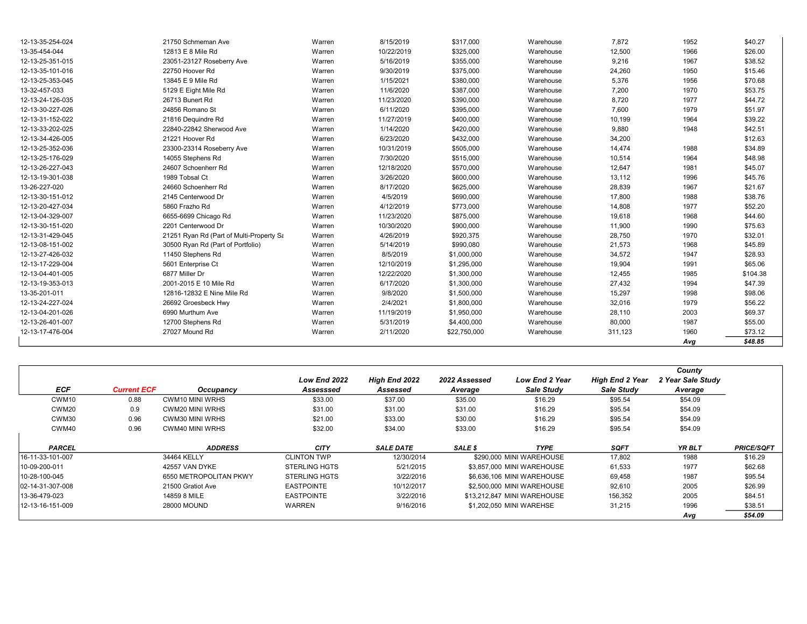| 12-13-35-254-024 | 21750 Schmeman Ave                       | Warren | 8/15/2019  | \$317,000    | Warehouse | 7,872   | 1952 | \$40.27  |
|------------------|------------------------------------------|--------|------------|--------------|-----------|---------|------|----------|
| 13-35-454-044    | 12813 E 8 Mile Rd                        | Warren | 10/22/2019 | \$325,000    | Warehouse | 12,500  | 1966 | \$26.00  |
| 12-13-25-351-015 | 23051-23127 Roseberry Ave                | Warren | 5/16/2019  | \$355,000    | Warehouse | 9,216   | 1967 | \$38.52  |
| 12-13-35-101-016 | 22750 Hoover Rd                          | Warren | 9/30/2019  | \$375,000    | Warehouse | 24,260  | 1950 | \$15.46  |
| 12-13-25-353-045 | 13845 E 9 Mile Rd                        | Warren | 1/15/2021  | \$380,000    | Warehouse | 5,376   | 1956 | \$70.68  |
| 13-32-457-033    | 5129 E Eight Mile Rd                     | Warren | 11/6/2020  | \$387,000    | Warehouse | 7,200   | 1970 | \$53.75  |
| 12-13-24-126-035 | 26713 Bunert Rd                          | Warren | 11/23/2020 | \$390,000    | Warehouse | 8,720   | 1977 | \$44.72  |
| 12-13-30-227-026 | 24856 Romano St                          | Warren | 6/11/2020  | \$395,000    | Warehouse | 7,600   | 1979 | \$51.97  |
| 12-13-31-152-022 | 21816 Dequindre Rd                       | Warren | 11/27/2019 | \$400,000    | Warehouse | 10,199  | 1964 | \$39.22  |
| 12-13-33-202-025 | 22840-22842 Sherwood Ave                 | Warren | 1/14/2020  | \$420,000    | Warehouse | 9,880   | 1948 | \$42.51  |
| 12-13-34-426-005 | 21221 Hoover Rd                          | Warren | 6/23/2020  | \$432,000    | Warehouse | 34,200  |      | \$12.63  |
| 12-13-25-352-036 | 23300-23314 Roseberry Ave                | Warren | 10/31/2019 | \$505,000    | Warehouse | 14,474  | 1988 | \$34.89  |
| 12-13-25-176-029 | 14055 Stephens Rd                        | Warren | 7/30/2020  | \$515,000    | Warehouse | 10,514  | 1964 | \$48.98  |
| 12-13-26-227-043 | 24607 Schoenherr Rd                      | Warren | 12/18/2020 | \$570,000    | Warehouse | 12,647  | 1981 | \$45.07  |
| 12-13-19-301-038 | 1989 Tobsal Ct                           | Warren | 3/26/2020  | \$600,000    | Warehouse | 13,112  | 1996 | \$45.76  |
| 13-26-227-020    | 24660 Schoenherr Rd                      | Warren | 8/17/2020  | \$625,000    | Warehouse | 28,839  | 1967 | \$21.67  |
| 12-13-30-151-012 | 2145 Centerwood Dr                       | Warren | 4/5/2019   | \$690,000    | Warehouse | 17,800  | 1988 | \$38.76  |
| 12-13-20-427-034 | 5860 Frazho Rd                           | Warren | 4/12/2019  | \$773,000    | Warehouse | 14,808  | 1977 | \$52.20  |
| 12-13-04-329-007 | 6655-6699 Chicago Rd                     | Warren | 11/23/2020 | \$875,000    | Warehouse | 19,618  | 1968 | \$44.60  |
| 12-13-30-151-020 | 2201 Centerwood Dr                       | Warren | 10/30/2020 | \$900,000    | Warehouse | 11,900  | 1990 | \$75.63  |
| 12-13-31-429-045 | 21251 Ryan Rd (Part of Multi-Property Sa | Warren | 4/26/2019  | \$920,375    | Warehouse | 28,750  | 1970 | \$32.01  |
| 12-13-08-151-002 | 30500 Ryan Rd (Part of Portfolio)        | Warren | 5/14/2019  | \$990,080    | Warehouse | 21,573  | 1968 | \$45.89  |
| 12-13-27-426-032 | 11450 Stephens Rd                        | Warren | 8/5/2019   | \$1,000,000  | Warehouse | 34,572  | 1947 | \$28.93  |
| 12-13-17-229-004 | 5601 Enterprise Ct                       | Warren | 12/10/2019 | \$1,295,000  | Warehouse | 19,904  | 1991 | \$65.06  |
| 12-13-04-401-005 | 6877 Miller Dr                           | Warren | 12/22/2020 | \$1,300,000  | Warehouse | 12,455  | 1985 | \$104.38 |
| 12-13-19-353-013 | 2001-2015 E 10 Mile Rd                   | Warren | 6/17/2020  | \$1,300,000  | Warehouse | 27,432  | 1994 | \$47.39  |
| 13-35-201-011    | 12816-12832 E Nine Mile Rd               | Warren | 9/8/2020   | \$1,500,000  | Warehouse | 15,297  | 1998 | \$98.06  |
| 12-13-24-227-024 | 26692 Groesbeck Hwy                      | Warren | 2/4/2021   | \$1,800,000  | Warehouse | 32,016  | 1979 | \$56.22  |
| 12-13-04-201-026 | 6990 Murthum Ave                         | Warren | 11/19/2019 | \$1,950,000  | Warehouse | 28,110  | 2003 | \$69.37  |
| 12-13-26-401-007 | 12700 Stephens Rd                        | Warren | 5/31/2019  | \$4,400,000  | Warehouse | 80,000  | 1987 | \$55.00  |
| 12-13-17-476-004 | 27027 Mound Rd                           | Warren | 2/11/2020  | \$22,750,000 | Warehouse | 311,123 | 1960 | \$73.12  |
|                  |                                          |        |            |              |           |         | Avg  | \$48.85  |

|                   |                    |                        |                      |                  |               |                             |                        | County            |                   |
|-------------------|--------------------|------------------------|----------------------|------------------|---------------|-----------------------------|------------------------|-------------------|-------------------|
|                   |                    |                        | Low End 2022         | High End 2022    | 2022 Assessed | <b>Low End 2 Year</b>       | <b>High End 2 Year</b> | 2 Year Sale Study |                   |
| <b>ECF</b>        | <b>Current ECF</b> | Occupancy              | Assesssed            | Assessed         | Average       | Sale Study                  | Sale Study             | Average           |                   |
| CWM <sub>10</sub> | 0.88               | CWM10 MINI WRHS        | \$33.00              | \$37.00          | \$35.00       | \$16.29                     | \$95.54                | \$54.09           |                   |
| CWM20             | 0.9                | CWM20 MINI WRHS        | \$31.00              | \$31.00          | \$31.00       | \$16.29                     | \$95.54                | \$54.09           |                   |
| CWM30             | 0.96               | <b>CWM30 MINI WRHS</b> | \$21.00              | \$33.00          | \$30.00       | \$16.29                     | \$95.54                | \$54.09           |                   |
| CWM40             | 0.96               | CWM40 MINI WRHS        | \$32.00              | \$34.00          | \$33.00       | \$16.29                     | \$95.54                | \$54.09           |                   |
| <b>PARCEL</b>     |                    | <b>ADDRESS</b>         | <b>CITY</b>          | <b>SALE DATE</b> | SALE \$       | <b>TYPE</b>                 | <b>SQFT</b>            | YR BLT            | <b>PRICE/SQFT</b> |
| 16-11-33-101-007  |                    | 34464 KELLY            | <b>CLINTON TWP</b>   | 12/30/2014       |               | \$290,000 MINI WAREHOUSE    | 17.802                 | 1988              | \$16.29           |
| 10-09-200-011     |                    | 42557 VAN DYKE         | <b>STERLING HGTS</b> | 5/21/2015        |               | \$3,857,000 MINI WAREHOUSE  | 61,533                 | 1977              | \$62.68           |
| 10-28-100-045     |                    | 6550 METROPOLITAN PKWY | <b>STERLING HGTS</b> | 3/22/2016        |               | \$6,636,106 MINI WAREHOUSE  | 69,458                 | 1987              | \$95.54           |
| 102-14-31-307-008 |                    | 21500 Gratiot Ave      | <b>EASTPOINTE</b>    | 10/12/2017       |               | \$2,500,000 MINI WAREHOUSE  | 92.610                 | 2005              | \$26.99           |
| 13-36-479-023     |                    | 14859 8 MILE           | <b>EASTPOINTE</b>    | 3/22/2016        |               | \$13,212,847 MINI WAREHOUSE | 156,352                | 2005              | \$84.51           |
| 12-13-16-151-009  |                    | 28000 MOUND            | WARREN               | 9/16/2016        |               | \$1.202.050 MINI WAREHSE    | 31,215                 | 1996              | \$38.51           |
|                   |                    |                        |                      |                  |               |                             |                        | Avq               | \$54.09           |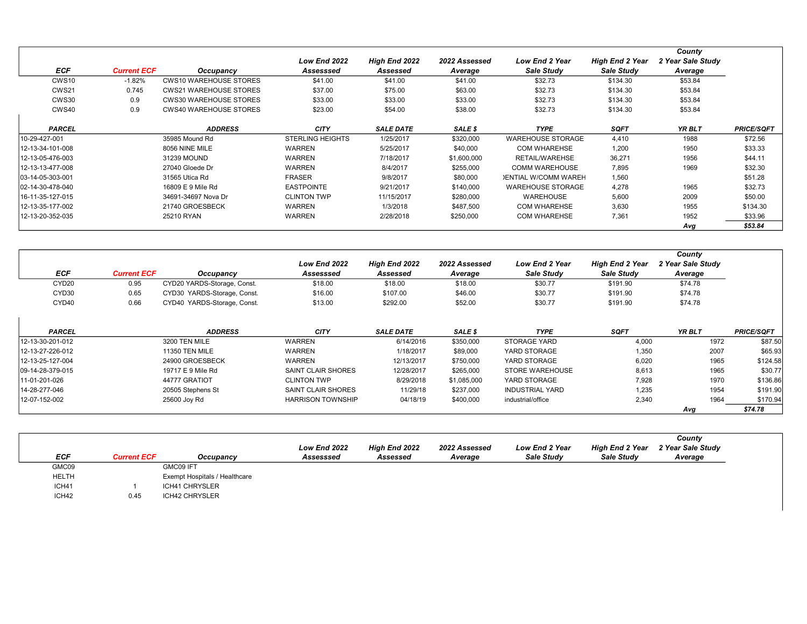|                   |                    |                               |                         |                  |               |                             |                        | County            |                   |
|-------------------|--------------------|-------------------------------|-------------------------|------------------|---------------|-----------------------------|------------------------|-------------------|-------------------|
|                   |                    |                               | Low End 2022            | High End 2022    | 2022 Assessed | <b>Low End 2 Year</b>       | <b>High End 2 Year</b> | 2 Year Sale Study |                   |
| <b>ECF</b>        | <b>Current ECF</b> | Occupancy                     | Assesssed               | Assessed         | Average       | Sale Study                  | Sale Study             | Average           |                   |
| CWS <sub>10</sub> | $-1.82%$           | <b>CWS10 WAREHOUSE STORES</b> | \$41.00                 | \$41.00          | \$41.00       | \$32.73                     | \$134.30               | \$53.84           |                   |
| CWS21             | 0.745              | <b>CWS21 WAREHOUSE STORES</b> | \$37.00                 | \$75.00          | \$63.00       | \$32.73                     | \$134.30               | \$53.84           |                   |
| CWS30             | 0.9                | <b>CWS30 WAREHOUSE STORES</b> | \$33.00                 | \$33.00          | \$33.00       | \$32.73                     | \$134.30               | \$53.84           |                   |
| CWS40             | 0.9                | <b>CWS40 WAREHOUSE STORES</b> | \$23.00                 | \$54.00          | \$38.00       | \$32.73                     | \$134.30               | \$53.84           |                   |
|                   |                    |                               |                         |                  |               |                             |                        |                   |                   |
| <b>PARCEL</b>     |                    | <b>ADDRESS</b>                | <b>CITY</b>             | <b>SALE DATE</b> | SALE \$       | <b>TYPE</b>                 | <b>SQFT</b>            | YR BLT            | <b>PRICE/SQFT</b> |
| 10-29-427-001     |                    | 35985 Mound Rd                | <b>STERLING HEIGHTS</b> | 1/25/2017        | \$320,000     | <b>WAREHOUSE STORAGE</b>    | 4,410                  | 1988              | \$72.56           |
| 12-13-34-101-008  |                    | 8056 NINE MILE                | <b>WARREN</b>           | 5/25/2017        | \$40,000      | <b>COM WHAREHSE</b>         | 1,200                  | 1950              | \$33.33           |
| 12-13-05-476-003  |                    | 31239 MOUND                   | <b>WARREN</b>           | 7/18/2017        | \$1,600,000   | RETAIL/WAREHSE              | 36,271                 | 1956              | \$44.11           |
| 12-13-13-477-008  |                    | 27040 Gloede Dr               | <b>WARREN</b>           | 8/4/2017         | \$255,000     | <b>COMM WAREHOUSE</b>       | 7,895                  | 1969              | \$32.30           |
| 103-14-05-303-001 |                    | 31565 Utica Rd                | <b>FRASER</b>           | 9/8/2017         | \$80,000      | <b>JENTIAL W/COMM WAREH</b> | 1.560                  |                   | \$51.28           |
| 102-14-30-478-040 |                    | 16809 E 9 Mile Rd             | <b>EASTPOINTE</b>       | 9/21/2017        | \$140,000     | <b>WAREHOUSE STORAGE</b>    | 4,278                  | 1965              | \$32.73           |
| 16-11-35-127-015  |                    | 34691-34697 Nova Dr           | <b>CLINTON TWP</b>      | 11/15/2017       | \$280,000     | <b>WAREHOUSE</b>            | 5,600                  | 2009              | \$50.00           |
| 12-13-35-177-002  |                    | 21740 GROESBECK               | <b>WARREN</b>           | 1/3/2018         | \$487,500     | <b>COM WHAREHSE</b>         | 3,630                  | 1955              | \$134.30          |
| 12-13-20-352-035  |                    | 25210 RYAN                    | <b>WARREN</b>           | 2/28/2018        | \$250,000     | <b>COM WHAREHSE</b>         | 7.361                  | 1952              | \$33.96           |
|                   |                    |                               |                         |                  |               |                             |                        | Avg               | \$53.84           |

|                   |                    |                             | Low End 2022             | High End 2022    | 2022 Assessed | <b>Low End 2 Year</b>  | <b>High End 2 Year</b> | County<br>2 Year Sale Study |                   |
|-------------------|--------------------|-----------------------------|--------------------------|------------------|---------------|------------------------|------------------------|-----------------------------|-------------------|
| <b>ECF</b>        | <b>Current ECF</b> | Occupancy                   | Assesssed                | Assessed         | Average       | Sale Study             | Sale Study             | Average                     |                   |
| CYD <sub>20</sub> | 0.95               | CYD20 YARDS-Storage, Const. | \$18.00                  | \$18.00          | \$18.00       | \$30.77                | \$191.90               | \$74.78                     |                   |
| CYD <sub>30</sub> | 0.65               | CYD30 YARDS-Storage, Const. | \$16.00                  | \$107.00         | \$46.00       | \$30.77                | \$191.90               | \$74.78                     |                   |
| CYD40             | 0.66               | CYD40 YARDS-Storage, Const. | \$13.00                  | \$292.00         | \$52.00       | \$30.77                | \$191.90               | \$74.78                     |                   |
| PARCEL            |                    | <b>ADDRESS</b>              | <b>CITY</b>              | <b>SALE DATE</b> | SALE \$       | <b>TYPE</b>            | <b>SQFT</b>            | YR BLT                      | <b>PRICE/SQFT</b> |
| 12-13-30-201-012  |                    | 3200 TEN MILE               | WARREN                   | 6/14/2016        | \$350,000     | <b>STORAGE YARD</b>    | 4,000                  | 1972                        | \$87.50           |
| 12-13-27-226-012  |                    | <b>11350 TEN MILE</b>       | WARREN                   | 1/18/2017        | \$89,000      | YARD STORAGE           | 1.350                  | 2007                        | \$65.93           |
| 12-13-25-127-004  |                    | 24900 GROESBECK             | <b>WARREN</b>            | 12/13/2017       | \$750,000     | YARD STORAGE           | 6,020                  | 1965                        | \$124.58          |
| 109-14-28-379-015 |                    | 19717 E 9 Mile Rd           | SAINT CLAIR SHORES       | 12/28/2017       | \$265,000     | STORE WAREHOUSE        | 8,613                  | 1965                        | \$30.77           |
| 11-01-201-026     |                    | 44777 GRATIOT               | <b>CLINTON TWP</b>       | 8/29/2018        | \$1,085,000   | YARD STORAGE           | 7,928                  | 1970                        | \$136.86          |
| 14-28-277-046     |                    | 20505 Stephens St           | SAINT CLAIR SHORES       | 11/29/18         | \$237,000     | <b>INDUSTRIAL YARD</b> | 1,235                  | 1954                        | \$191.90          |
| 12-07-152-002     |                    | 25600 Joy Rd                | <b>HARRISON TOWNSHIP</b> | 04/18/19         | \$400,000     | industrial/office      | 2,340                  | 1964                        | \$170.94          |
|                   |                    |                             |                          |                  |               |                        |                        | Avg                         | \$74.78           |

|              |                    |                               |              |                      |               |                       |                        | County            |
|--------------|--------------------|-------------------------------|--------------|----------------------|---------------|-----------------------|------------------------|-------------------|
|              |                    |                               | Low End 2022 | <b>High End 2022</b> | 2022 Assessed | <b>Low End 2 Year</b> | <b>High End 2 Year</b> | 2 Year Sale Study |
| <b>ECF</b>   | <b>Current ECF</b> | Occupancy                     | Assesssed    | Assessed             | Average       | Sale Study            | Sale Study             | Average           |
| GMC09        |                    | GMC09 IFT                     |              |                      |               |                       |                        |                   |
| <b>HELTH</b> |                    | Exempt Hospitals / Healthcare |              |                      |               |                       |                        |                   |
| ICH41        |                    | ICH41 CHRYSLER                |              |                      |               |                       |                        |                   |
| ICH42        | 0.45               | ICH42 CHRYSLER                |              |                      |               |                       |                        |                   |
|              |                    |                               |              |                      |               |                       |                        |                   |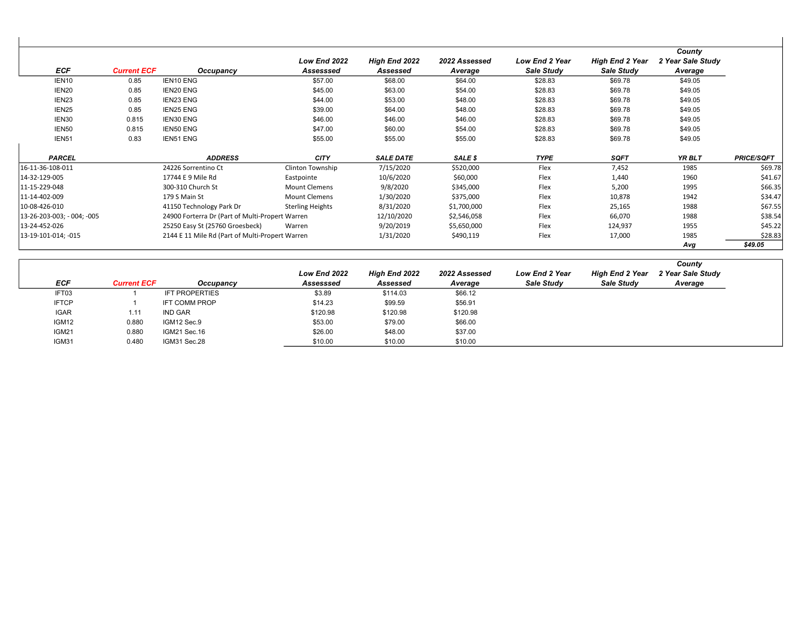| <b>ECF</b>                 | <b>Current ECF</b> | Occupancy                                       | Low End 2022<br>Assesssed | High End 2022<br>Assessed | 2022 Assessed<br>Average | <b>Low End 2 Year</b><br>Sale Study | <b>High End 2 Year</b><br>Sale Study | County<br>2 Year Sale Study<br>Average |                   |
|----------------------------|--------------------|-------------------------------------------------|---------------------------|---------------------------|--------------------------|-------------------------------------|--------------------------------------|----------------------------------------|-------------------|
| IEN <sub>10</sub>          | 0.85               | <b>IEN10 ENG</b>                                | \$57.00                   | \$68.00                   | \$64.00                  | \$28.83                             | \$69.78                              | \$49.05                                |                   |
| IEN <sub>20</sub>          | 0.85               | <b>IEN20 ENG</b>                                | \$45.00                   | \$63.00                   | \$54.00                  | \$28.83                             | \$69.78                              | \$49.05                                |                   |
| IEN <sub>23</sub>          | 0.85               | <b>IEN23 ENG</b>                                | \$44.00                   | \$53.00                   | \$48.00                  | \$28.83                             | \$69.78                              | \$49.05                                |                   |
| IEN <sub>25</sub>          | 0.85               | <b>IEN25 ENG</b>                                | \$39.00                   | \$64.00                   | \$48.00                  | \$28.83                             | \$69.78                              | \$49.05                                |                   |
| IEN30                      | 0.815              | <b>IEN30 ENG</b>                                | \$46.00                   | \$46.00                   | \$46.00                  | \$28.83                             | \$69.78                              | \$49.05                                |                   |
| IEN <sub>50</sub>          | 0.815              | <b>IEN50 ENG</b>                                | \$47.00                   | \$60.00                   | \$54.00                  | \$28.83                             | \$69.78                              | \$49.05                                |                   |
| IEN <sub>51</sub>          | 0.83               | <b>IEN51 ENG</b>                                | \$55.00                   | \$55.00                   | \$55.00                  | \$28.83                             | \$69.78                              | \$49.05                                |                   |
| <b>PARCEL</b>              |                    | <b>ADDRESS</b>                                  | <b>CITY</b>               | <b>SALE DATE</b>          | SALE \$                  | <b>TYPE</b>                         | <b>SQFT</b>                          | YR BLT                                 | <b>PRICE/SQFT</b> |
| 16-11-36-108-011           |                    | 24226 Sorrentino Ct                             | Clinton Township          | 7/15/2020                 | \$520,000                | Flex                                | 7,452                                | 1985                                   | \$69.78           |
| 14-32-129-005              |                    | 17744 E 9 Mile Rd                               | Eastpointe                | 10/6/2020                 | \$60,000                 | Flex                                | 1,440                                | 1960                                   | \$41.67           |
| 11-15-229-048              |                    | 300-310 Church St                               | <b>Mount Clemens</b>      | 9/8/2020                  | \$345,000                | Flex                                | 5,200                                | 1995                                   | \$66.35           |
| 11-14-402-009              |                    | 179 S Main St                                   | <b>Mount Clemens</b>      | 1/30/2020                 | \$375,000                | Flex                                | 10,878                               | 1942                                   | \$34.47           |
| 10-08-426-010              |                    | 41150 Technology Park Dr                        | <b>Sterling Heights</b>   | 8/31/2020                 | \$1,700,000              | Flex                                | 25,165                               | 1988                                   | \$67.55           |
| 13-26-203-003; - 004; -005 |                    | 24900 Forterra Dr (Part of Multi-Propert Warren |                           | 12/10/2020                | \$2,546,058              | Flex                                | 66,070                               | 1988                                   | \$38.54           |
| 13-24-452-026              |                    | 25250 Easy St (25760 Groesbeck)                 | Warren                    | 9/20/2019                 | \$5,650,000              | Flex                                | 124,937                              | 1955                                   | \$45.22           |
| 13-19-101-014; -015        |                    | 2144 E 11 Mile Rd (Part of Multi-Propert Warren |                           | 1/31/2020                 | \$490,119                | Flex                                | 17,000                               | 1985                                   | \$28.83           |
|                            |                    |                                                 |                           |                           |                          |                                     |                                      | Avg                                    | \$49.05           |

|              |                    |                       |              |                      |               |                       |                        | County            |
|--------------|--------------------|-----------------------|--------------|----------------------|---------------|-----------------------|------------------------|-------------------|
|              |                    |                       | Low End 2022 | <b>High End 2022</b> | 2022 Assessed | <b>Low End 2 Year</b> | <b>High End 2 Year</b> | 2 Year Sale Study |
| ECF          | <b>Current ECF</b> | Occupancy             | Assesssed    | Assessed             | Average       | Sale Study            | Sale Study             | Average           |
| IFT03        |                    | <b>IFT PROPERTIES</b> | \$3.89       | \$114.03             | \$66.12       |                       |                        |                   |
| <b>IFTCP</b> |                    | <b>IFT COMM PROP</b>  | \$14.23      | \$99.59              | \$56.91       |                       |                        |                   |
| <b>IGAR</b>  | 1.11               | <b>IND GAR</b>        | \$120.98     | \$120.98             | \$120.98      |                       |                        |                   |
| IGM12        | 0.880              | IGM12 Sec.9           | \$53.00      | \$79.00              | \$66.00       |                       |                        |                   |
| IGM21        | 0.880              | IGM21 Sec.16          | \$26.00      | \$48.00              | \$37.00       |                       |                        |                   |
| IGM31        | 0.480              | IGM31 Sec.28          | \$10.00      | \$10.00              | \$10.00       |                       |                        |                   |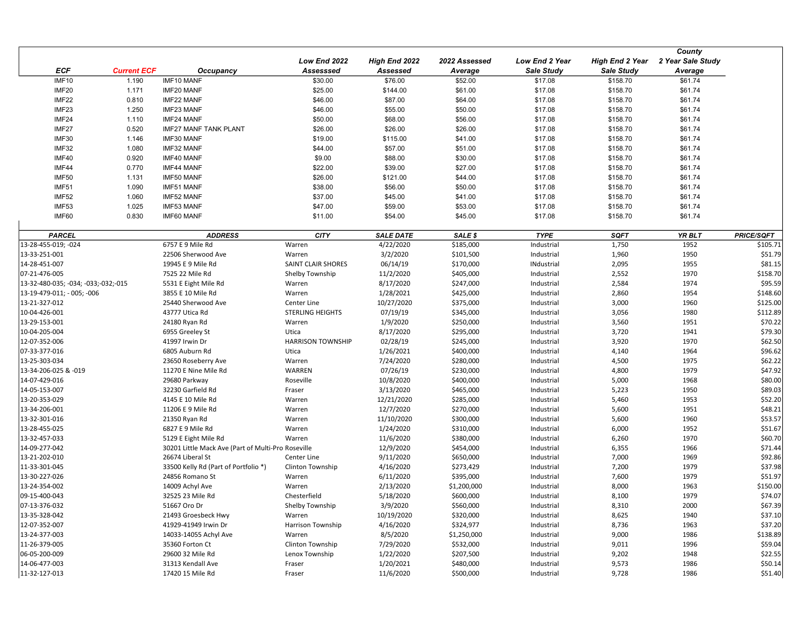|                                     |                    |                                                    |                          |                  |               |                   |                        | County            |                   |
|-------------------------------------|--------------------|----------------------------------------------------|--------------------------|------------------|---------------|-------------------|------------------------|-------------------|-------------------|
|                                     |                    |                                                    | Low End 2022             | High End 2022    | 2022 Assessed | Low End 2 Year    | <b>High End 2 Year</b> | 2 Year Sale Study |                   |
| <b>ECF</b>                          | <b>Current ECF</b> | Occupancy                                          | Assesssed                | Assessed         | Average       | <b>Sale Study</b> | <b>Sale Study</b>      | Average           |                   |
| <b>IMF10</b>                        | 1.190              | IMF10 MANF                                         | \$30.00                  | \$76.00          | \$52.00       | \$17.08           | \$158.70               | \$61.74           |                   |
| IMF20                               | 1.171              | IMF20 MANF                                         | \$25.00                  | \$144.00         | \$61.00       | \$17.08           | \$158.70               | \$61.74           |                   |
| IMF22                               | 0.810              | IMF22 MANF                                         | \$46.00                  | \$87.00          | \$64.00       | \$17.08           | \$158.70               | \$61.74           |                   |
| IMF <sub>23</sub>                   | 1.250              | <b>IMF23 MANF</b>                                  | \$46.00                  | \$55.00          | \$50.00       | \$17.08           | \$158.70               | \$61.74           |                   |
| IMF24                               | 1.110              | IMF24 MANF                                         | \$50.00                  | \$68.00          | \$56.00       | \$17.08           | \$158.70               | \$61.74           |                   |
| IMF27                               | 0.520              | <b>IMF27 MANF TANK PLANT</b>                       | \$26.00                  | \$26.00          | \$26.00       | \$17.08           | \$158.70               | \$61.74           |                   |
| IMF30                               | 1.146              | IMF30 MANF                                         | \$19.00                  | \$115.00         | \$41.00       | \$17.08           | \$158.70               | \$61.74           |                   |
| IMF32                               | 1.080              | IMF32 MANF                                         | \$44.00                  | \$57.00          | \$51.00       | \$17.08           | \$158.70               | \$61.74           |                   |
| IMF40                               | 0.920              | IMF40 MANF                                         | \$9.00                   | \$88.00          | \$30.00       | \$17.08           | \$158.70               | \$61.74           |                   |
| IMF44                               | 0.770              | IMF44 MANF                                         | \$22.00                  | \$39.00          | \$27.00       | \$17.08           | \$158.70               | \$61.74           |                   |
| IMF50                               | 1.131              | IMF50 MANF                                         | \$26.00                  | \$121.00         | \$44.00       | \$17.08           | \$158.70               | \$61.74           |                   |
| IMF51                               | 1.090              | <b>IMF51 MANF</b>                                  | \$38.00                  | \$56.00          | \$50.00       | \$17.08           | \$158.70               | \$61.74           |                   |
| IMF52                               | 1.060              | IMF52 MANF                                         | \$37.00                  | \$45.00          | \$41.00       | \$17.08           | \$158.70               | \$61.74           |                   |
| IMF53                               | 1.025              | IMF53 MANF                                         | \$47.00                  | \$59.00          | \$53.00       | \$17.08           | \$158.70               | \$61.74           |                   |
| IMF60                               | 0.830              | IMF60 MANF                                         | \$11.00                  |                  |               |                   |                        |                   |                   |
|                                     |                    |                                                    |                          | \$54.00          | \$45.00       | \$17.08           | \$158.70               | \$61.74           |                   |
| <b>PARCEL</b>                       |                    | <b>ADDRESS</b>                                     | <b>CITY</b>              | <b>SALE DATE</b> | SALE \$       | <b>TYPE</b>       | <b>SQFT</b>            | YR BLT            | <b>PRICE/SQFT</b> |
| 13-28-455-019; -024                 |                    | 6757 E 9 Mile Rd                                   | Warren                   | 4/22/2020        | \$185,000     | Industrial        | 1,750                  | 1952              | \$105.71          |
| 13-33-251-001                       |                    | 22506 Sherwood Ave                                 | Warren                   | 3/2/2020         | \$101,500     | Industrial        | 1,960                  | 1950              | \$51.79           |
| 14-28-451-007                       |                    | 19945 E 9 Mile Rd                                  | SAINT CLAIR SHORES       | 06/14/19         | \$170,000     | <b>INdustrial</b> | 2,095                  | 1955              | \$81.15           |
| 07-21-476-005                       |                    | 7525 22 Mile Rd                                    | Shelby Township          | 11/2/2020        | \$405,000     | Industrial        | 2,552                  | 1970              | \$158.70          |
| 13-32-480-035; -034; -033;-032;-015 |                    | 5531 E Eight Mile Rd                               | Warren                   | 8/17/2020        | \$247,000     | Industrial        | 2,584                  | 1974              | \$95.59           |
| 13-19-479-011; - 005; -006          |                    | 3855 E 10 Mile Rd                                  | Warren                   | 1/28/2021        | \$425,000     | Industrial        | 2,860                  | 1954              | \$148.60          |
| 13-21-327-012                       |                    | 25440 Sherwood Ave                                 | Center Line              | 10/27/2020       | \$375,000     | Industrial        | 3,000                  | 1960              | \$125.00          |
| 10-04-426-001                       |                    | 43777 Utica Rd                                     | <b>STERLING HEIGHTS</b>  | 07/19/19         | \$345,000     | Industrial        | 3,056                  | 1980              | \$112.89          |
| 13-29-153-001                       |                    | 24180 Ryan Rd                                      | Warren                   | 1/9/2020         | \$250,000     | Industrial        | 3,560                  | 1951              | \$70.22           |
| 10-04-205-004                       |                    | 6955 Greeley St                                    | Utica                    | 8/17/2020        | \$295,000     | Industrial        | 3,720                  | 1941              | \$79.30           |
| 12-07-352-006                       |                    | 41997 Irwin Dr                                     | <b>HARRISON TOWNSHIP</b> | 02/28/19         | \$245,000     | Industrial        | 3,920                  | 1970              | \$62.50           |
| 07-33-377-016                       |                    | 6805 Auburn Rd                                     | Utica                    | 1/26/2021        | \$400,000     | Industrial        | 4,140                  | 1964              | \$96.62           |
| 13-25-303-034                       |                    | 23650 Roseberry Ave                                | Warren                   | 7/24/2020        | \$280,000     | Industrial        | 4,500                  | 1975              | \$62.22           |
| 13-34-206-025 & -019                |                    | 11270 E Nine Mile Rd                               | WARREN                   | 07/26/19         | \$230,000     | Industrial        | 4,800                  | 1979              | \$47.92           |
| 14-07-429-016                       |                    | 29680 Parkway                                      | Roseville                | 10/8/2020        | \$400,000     | Industrial        | 5,000                  | 1968              | \$80.00           |
| 14-05-153-007                       |                    | 32230 Garfield Rd                                  | Fraser                   | 3/13/2020        | \$465,000     | Industrial        | 5,223                  | 1950              | \$89.03           |
| 13-20-353-029                       |                    | 4145 E 10 Mile Rd                                  | Warren                   | 12/21/2020       | \$285,000     | Industrial        | 5,460                  | 1953              | \$52.20           |
| 13-34-206-001                       |                    | 11206 E 9 Mile Rd                                  | Warren                   | 12/7/2020        | \$270,000     | Industrial        | 5,600                  | 1951              | \$48.21           |
| 13-32-301-016                       |                    | 21350 Ryan Rd                                      | Warren                   | 11/10/2020       | \$300,000     | Industrial        | 5,600                  | 1960              | \$53.57           |
| 13-28-455-025                       |                    | 6827 E 9 Mile Rd                                   | Warren                   | 1/24/2020        | \$310,000     | Industrial        | 6,000                  | 1952              | \$51.67           |
| 13-32-457-033                       |                    | 5129 E Eight Mile Rd                               | Warren                   | 11/6/2020        | \$380,000     | Industrial        | 6,260                  | 1970              | \$60.70           |
| 14-09-277-042                       |                    | 30201 Little Mack Ave (Part of Multi-Pro Roseville |                          | 12/9/2020        | \$454,000     | Industrial        | 6,355                  | 1966              | \$71.44           |
| 13-21-202-010                       |                    | 26674 Liberal St                                   | Center Line              | 9/11/2020        | \$650,000     | Industrial        | 7,000                  | 1969              | \$92.86           |
| 11-33-301-045                       |                    | 33500 Kelly Rd (Part of Portfolio *)               |                          |                  | \$273,429     | Industrial        | 7,200                  | 1979              | \$37.98           |
| 13-30-227-026                       |                    |                                                    | Clinton Township         | 4/16/2020        |               |                   |                        |                   | \$51.97           |
|                                     |                    | 24856 Romano St                                    | Warren                   | 6/11/2020        | \$395,000     | Industrial        | 7,600                  | 1979              |                   |
| 13-24-354-002                       |                    | 14009 Achyl Ave                                    | Warren                   | 2/13/2020        | \$1,200,000   | Industrial        | 8,000                  | 1963              | \$150.00          |
| 09-15-400-043                       |                    | 32525 23 Mile Rd                                   | Chesterfield             | 5/18/2020        | \$600,000     | Industrial        | 8,100                  | 1979              | \$74.07           |
| 07-13-376-032                       |                    | 51667 Oro Dr                                       | Shelby Township          | 3/9/2020         | \$560,000     | Industrial        | 8,310                  | 2000              | \$67.39           |
| 13-35-328-042                       |                    | 21493 Groesbeck Hwy                                | Warren                   | 10/19/2020       | \$320,000     | Industrial        | 8,625                  | 1940              | \$37.10           |
| 12-07-352-007                       |                    | 41929-41949 Irwin Dr                               | Harrison Township        | 4/16/2020        | \$324,977     | Industrial        | 8,736                  | 1963              | \$37.20           |
| 13-24-377-003                       |                    | 14033-14055 Achyl Ave                              | Warren                   | 8/5/2020         | \$1,250,000   | Industrial        | 9,000                  | 1986              | \$138.89          |
| 11-26-379-005                       |                    | 35360 Forton Ct                                    | Clinton Township         | 7/29/2020        | \$532,000     | Industrial        | 9,011                  | 1996              | \$59.04           |
| 06-05-200-009                       |                    | 29600 32 Mile Rd                                   | Lenox Township           | 1/22/2020        | \$207,500     | Industrial        | 9,202                  | 1948              | \$22.55           |
| 14-06-477-003                       |                    | 31313 Kendall Ave                                  | Fraser                   | 1/20/2021        | \$480,000     | Industrial        | 9,573                  | 1986              | \$50.14           |
| 11-32-127-013                       |                    | 17420 15 Mile Rd                                   | Fraser                   | 11/6/2020        | \$500,000     | Industrial        | 9,728                  | 1986              | \$51.40           |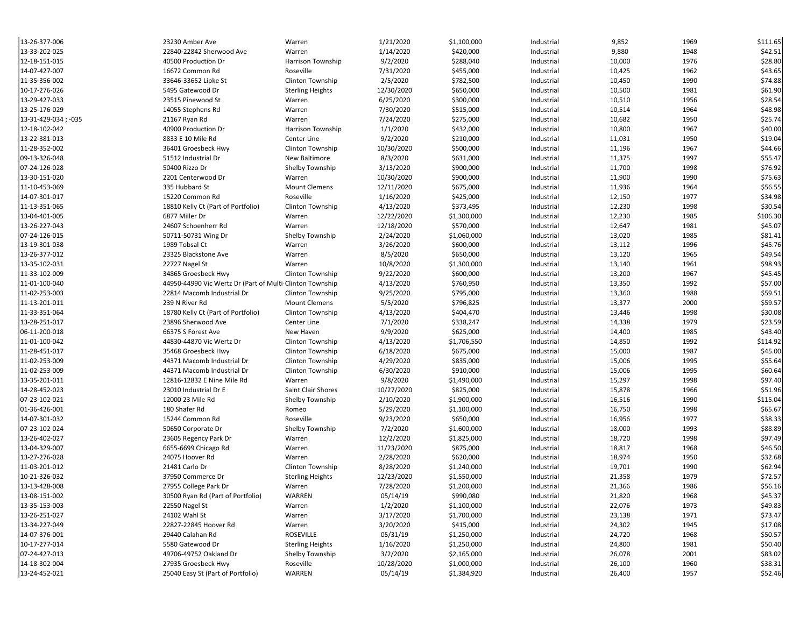| 13-26-377-006       | 23230 Amber Ave                                          | Warren                  | 1/21/2020  | \$1,100,000            | Industrial | 9,852  | 1969 | \$111.65 |
|---------------------|----------------------------------------------------------|-------------------------|------------|------------------------|------------|--------|------|----------|
| 13-33-202-025       | 22840-22842 Sherwood Ave                                 | Warren                  | 1/14/2020  | \$420,000              | Industrial | 9,880  | 1948 | \$42.51  |
| 12-18-151-015       | 40500 Production Dr                                      | Harrison Township       | 9/2/2020   | \$288,040              | Industrial | 10,000 | 1976 | \$28.80  |
| 14-07-427-007       | 16672 Common Rd                                          | Roseville               | 7/31/2020  | \$455,000              | Industrial | 10,425 | 1962 | \$43.65  |
| 11-35-356-002       | 33646-33652 Lipke St                                     | Clinton Township        | 2/5/2020   | \$782,500              | Industrial | 10,450 | 1990 | \$74.88  |
| 10-17-276-026       | 5495 Gatewood Dr                                         | <b>Sterling Heights</b> | 12/30/2020 | \$650,000              | Industrial | 10,500 | 1981 | \$61.90  |
| 13-29-427-033       | 23515 Pinewood St                                        | Warren                  | 6/25/2020  | \$300,000              | Industrial | 10,510 | 1956 | \$28.54  |
| 13-25-176-029       | 14055 Stephens Rd                                        | Warren                  | 7/30/2020  | \$515,000              | Industrial | 10,514 | 1964 | \$48.98  |
| 13-31-429-034; -035 | 21167 Ryan Rd                                            | Warren                  | 7/24/2020  | \$275,000              | Industrial | 10,682 | 1950 | \$25.74  |
| 12-18-102-042       | 40900 Production Dr                                      | Harrison Township       | 1/1/2020   | \$432,000              | Industrial | 10,800 | 1967 | \$40.00  |
| 13-22-381-013       | 8833 E 10 Mile Rd                                        | Center Line             | 9/2/2020   | \$210,000              | Industrial | 11,031 | 1950 | \$19.04  |
| 11-28-352-002       | 36401 Groesbeck Hwy                                      | Clinton Township        | 10/30/2020 | \$500,000              | Industrial | 11,196 | 1967 | \$44.66  |
| 09-13-326-048       | 51512 Industrial Dr                                      | New Baltimore           | 8/3/2020   | \$631,000              | Industrial | 11,375 | 1997 | \$55.47  |
| 07-24-126-028       | 50400 Rizzo Dr                                           | Shelby Township         | 3/13/2020  | \$900,000              | Industrial | 11,700 | 1998 | \$76.92  |
| 13-30-151-020       | 2201 Centerwood Dr                                       | Warren                  | 10/30/2020 | \$900,000              | Industrial | 11,900 | 1990 | \$75.63  |
| 11-10-453-069       | 335 Hubbard St                                           | <b>Mount Clemens</b>    | 12/11/2020 | \$675,000              | Industrial | 11,936 | 1964 | \$56.55  |
| 14-07-301-017       | 15220 Common Rd                                          | Roseville               | 1/16/2020  | \$425,000              | Industrial | 12,150 | 1977 | \$34.98  |
| 11-13-351-065       | 18810 Kelly Ct (Part of Portfolio)                       | Clinton Township        | 4/13/2020  | \$373,495              | Industrial | 12,230 | 1998 | \$30.54  |
| 13-04-401-005       | 6877 Miller Dr                                           | Warren                  | 12/22/2020 | \$1,300,000            | Industrial | 12,230 | 1985 | \$106.30 |
| 13-26-227-043       | 24607 Schoenherr Rd                                      | Warren                  | 12/18/2020 | \$570,000              | Industrial | 12,647 | 1981 | \$45.07  |
| 07-24-126-015       | 50711-50731 Wing Dr                                      | Shelby Township         | 2/24/2020  | \$1,060,000            | Industrial | 13,020 | 1985 | \$81.41  |
| 13-19-301-038       | 1989 Tobsal Ct                                           | Warren                  | 3/26/2020  | \$600,000              | Industrial | 13,112 | 1996 | \$45.76  |
| 13-26-377-012       | 23325 Blackstone Ave                                     | Warren                  | 8/5/2020   | \$650,000              | Industrial | 13,120 | 1965 | \$49.54  |
| 13-35-102-031       | 22727 Nagel St                                           | Warren                  | 10/8/2020  | \$1,300,000            | Industrial | 13,140 | 1961 | \$98.93  |
| 11-33-102-009       | 34865 Groesbeck Hwy                                      | Clinton Township        | 9/22/2020  | \$600,000              | Industrial | 13,200 | 1967 | \$45.45  |
| 11-01-100-040       | 44950-44990 Vic Wertz Dr (Part of Multi Clinton Township |                         | 4/13/2020  | \$760,950              | Industrial | 13,350 | 1992 | \$57.00  |
| 11-02-253-003       | 22814 Macomb Industrial Dr                               | Clinton Township        | 9/25/2020  | \$795,000              | Industrial | 13,360 | 1988 | \$59.51  |
| 11-13-201-011       | 239 N River Rd                                           | <b>Mount Clemens</b>    | 5/5/2020   | \$796,825              | Industrial | 13,377 | 2000 | \$59.57  |
| 11-33-351-064       | 18780 Kelly Ct (Part of Portfolio)                       | Clinton Township        | 4/13/2020  | \$404,470              | Industrial | 13,446 | 1998 | \$30.08  |
| 13-28-251-017       | 23896 Sherwood Ave                                       | Center Line             | 7/1/2020   | \$338,247              | Industrial | 14,338 | 1979 | \$23.59  |
| 06-11-200-018       | 66375 S Forest Ave                                       | New Haven               | 9/9/2020   | \$625,000              | Industrial | 14,400 | 1985 | \$43.40  |
| 11-01-100-042       | 44830-44870 Vic Wertz Dr                                 | Clinton Township        | 4/13/2020  | \$1,706,550            | Industrial | 14,850 | 1992 | \$114.92 |
| 11-28-451-017       | 35468 Groesbeck Hwy                                      | Clinton Township        | 6/18/2020  | \$675,000              | Industrial | 15,000 | 1987 | \$45.00  |
| 11-02-253-009       | 44371 Macomb Industrial Dr                               | Clinton Township        | 4/29/2020  | \$835,000              | Industrial | 15,006 | 1995 | \$55.64  |
| 11-02-253-009       | 44371 Macomb Industrial Dr                               | Clinton Township        | 6/30/2020  | \$910,000              | Industrial | 15,006 | 1995 | \$60.64  |
| 13-35-201-011       | 12816-12832 E Nine Mile Rd                               | Warren                  | 9/8/2020   | \$1,490,000            | Industrial | 15,297 | 1998 | \$97.40  |
| 14-28-452-023       | 23010 Industrial Dr E                                    | Saint Clair Shores      | 10/27/2020 | \$825,000              | Industrial | 15,878 | 1966 | \$51.96  |
| 07-23-102-021       | 12000 23 Mile Rd                                         | Shelby Township         | 2/10/2020  | \$1,900,000            | Industrial | 16,516 | 1990 | \$115.04 |
| 01-36-426-001       | 180 Shafer Rd                                            | Romeo                   | 5/29/2020  | \$1,100,000            | Industrial | 16,750 | 1998 | \$65.67  |
| 14-07-301-032       | 15244 Common Rd                                          | Roseville               | 9/23/2020  | \$650,000              | Industrial | 16,956 | 1977 | \$38.33  |
| 07-23-102-024       | 50650 Corporate Dr                                       | Shelby Township         | 7/2/2020   | \$1,600,000            | Industrial | 18,000 | 1993 | \$88.89  |
| 13-26-402-027       | 23605 Regency Park Dr                                    | Warren                  | 12/2/2020  | \$1,825,000            | Industrial | 18,720 | 1998 | \$97.49  |
| 13-04-329-007       | 6655-6699 Chicago Rd                                     |                         | 11/23/2020 |                        | Industrial | 18,817 | 1968 | \$46.50  |
| 13-27-276-028       | 24075 Hoover Rd                                          | Warren<br>Warren        | 2/28/2020  | \$875,000<br>\$620,000 | Industrial | 18,974 | 1950 | \$32.68  |
| 11-03-201-012       | 21481 Carlo Dr                                           | Clinton Township        | 8/28/2020  | \$1,240,000            | Industrial | 19,701 | 1990 | \$62.94  |
| 10-21-326-032       | 37950 Commerce Dr                                        |                         |            | \$1,550,000            | Industrial | 21,358 | 1979 | \$72.57  |
|                     |                                                          | <b>Sterling Heights</b> | 12/23/2020 |                        |            |        |      |          |
| 13-13-428-008       | 27955 College Park Dr                                    | Warren                  | 7/28/2020  | \$1,200,000            | Industrial | 21,366 | 1986 | \$56.16  |
| 13-08-151-002       | 30500 Ryan Rd (Part of Portfolio)                        | WARREN                  | 05/14/19   | \$990,080              | Industrial | 21,820 | 1968 | \$45.37  |
| 13-35-153-003       | 22550 Nagel St                                           | Warren                  | 1/2/2020   | \$1,100,000            | Industrial | 22,076 | 1973 | \$49.83  |
| 13-26-251-027       | 24102 Wahl St                                            | Warren                  | 3/17/2020  | \$1,700,000            | Industrial | 23,138 | 1971 | \$73.47  |
| 13-34-227-049       | 22827-22845 Hoover Rd                                    | Warren                  | 3/20/2020  | \$415,000              | Industrial | 24,302 | 1945 | \$17.08  |
| 14-07-376-001       | 29440 Calahan Rd                                         | <b>ROSEVILLE</b>        | 05/31/19   | \$1,250,000            | Industrial | 24,720 | 1968 | \$50.57  |
| 10-17-277-014       | 5580 Gatewood Dr                                         | <b>Sterling Heights</b> | 1/16/2020  | \$1,250,000            | Industrial | 24,800 | 1981 | \$50.40  |
| 07-24-427-013       | 49706-49752 Oakland Dr                                   | Shelby Township         | 3/2/2020   | \$2,165,000            | Industrial | 26,078 | 2001 | \$83.02  |
| 14-18-302-004       | 27935 Groesbeck Hwy                                      | Roseville               | 10/28/2020 | \$1,000,000            | Industrial | 26,100 | 1960 | \$38.31  |
| 13-24-452-021       | 25040 Easy St (Part of Portfolio)                        | WARREN                  | 05/14/19   | \$1,384,920            | Industrial | 26,400 | 1957 | \$52.46  |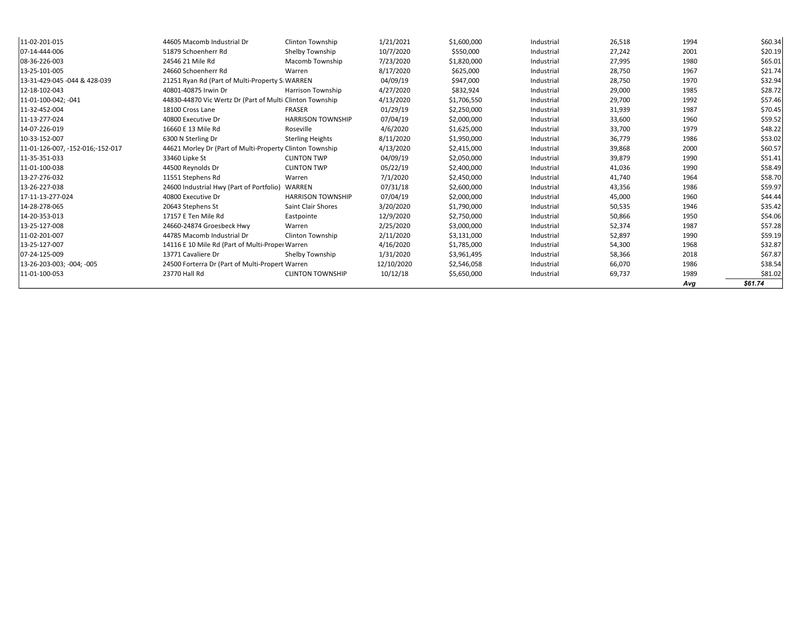| 11-02-201-015                    | 44605 Macomb Industrial Dr                               | Clinton Township         | 1/21/2021  | \$1,600,000 | Industrial | 26,518 | 1994 | \$60.34 |
|----------------------------------|----------------------------------------------------------|--------------------------|------------|-------------|------------|--------|------|---------|
| 107-14-444-006                   | 51879 Schoenherr Rd                                      | Shelby Township          | 10/7/2020  | \$550,000   | Industrial | 27,242 | 2001 | \$20.19 |
| 08-36-226-003                    | 24546 21 Mile Rd                                         | Macomb Township          | 7/23/2020  | \$1,820,000 | Industrial | 27,995 | 1980 | \$65.01 |
| 13-25-101-005                    | 24660 Schoenherr Rd                                      | Warren                   | 8/17/2020  | \$625,000   | Industrial | 28,750 | 1967 | \$21.74 |
| 13-31-429-045 -044 & 428-039     | 21251 Ryan Rd (Part of Multi-Property S: WARREN          |                          | 04/09/19   | \$947,000   | Industrial | 28,750 | 1970 | \$32.94 |
| 12-18-102-043                    | 40801-40875 Irwin Dr                                     | Harrison Township        | 4/27/2020  | \$832,924   | Industrial | 29,000 | 1985 | \$28.72 |
| 11-01-100-042; -041              | 44830-44870 Vic Wertz Dr (Part of Multi Clinton Township |                          | 4/13/2020  | \$1,706,550 | Industrial | 29,700 | 1992 | \$57.46 |
| 11-32-452-004                    | 18100 Cross Lane                                         | <b>FRASER</b>            | 01/29/19   | \$2,250,000 | Industrial | 31,939 | 1987 | \$70.45 |
| 11-13-277-024                    | 40800 Executive Dr                                       | <b>HARRISON TOWNSHIP</b> | 07/04/19   | \$2,000,000 | Industrial | 33,600 | 1960 | \$59.52 |
| 14-07-226-019                    | 16660 E 13 Mile Rd                                       | Roseville                | 4/6/2020   | \$1,625,000 | Industrial | 33,700 | 1979 | \$48.22 |
| 10-33-152-007                    | 6300 N Sterling Dr                                       | <b>Sterling Heights</b>  | 8/11/2020  | \$1,950,000 | Industrial | 36,779 | 1986 | \$53.02 |
| 11-01-126-007, -152-016;-152-017 | 44621 Morley Dr (Part of Multi-Property Clinton Township |                          | 4/13/2020  | \$2,415,000 | Industrial | 39,868 | 2000 | \$60.57 |
| 11-35-351-033                    | 33460 Lipke St                                           | <b>CLINTON TWP</b>       | 04/09/19   | \$2,050,000 | Industrial | 39,879 | 1990 | \$51.41 |
| 11-01-100-038                    | 44500 Reynolds Dr                                        | <b>CLINTON TWP</b>       | 05/22/19   | \$2,400,000 | Industrial | 41,036 | 1990 | \$58.49 |
| 13-27-276-032                    | 11551 Stephens Rd                                        | Warren                   | 7/1/2020   | \$2,450,000 | Industrial | 41,740 | 1964 | \$58.70 |
| 13-26-227-038                    | 24600 Industrial Hwy (Part of Portfolio) WARREN          |                          | 07/31/18   | \$2,600,000 | Industrial | 43,356 | 1986 | \$59.97 |
| 17-11-13-277-024                 | 40800 Executive Dr                                       | <b>HARRISON TOWNSHIP</b> | 07/04/19   | \$2,000,000 | Industrial | 45,000 | 1960 | \$44.44 |
| 14-28-278-065                    | 20643 Stephens St                                        | Saint Clair Shores       | 3/20/2020  | \$1,790,000 | Industrial | 50,535 | 1946 | \$35.42 |
| 14-20-353-013                    | 17157 E Ten Mile Rd                                      | Eastpointe               | 12/9/2020  | \$2,750,000 | Industrial | 50,866 | 1950 | \$54.06 |
| 13-25-127-008                    | 24660-24874 Groesbeck Hwy                                | Warren                   | 2/25/2020  | \$3,000,000 | Industrial | 52,374 | 1987 | \$57.28 |
| 11-02-201-007                    | 44785 Macomb Industrial Dr                               | Clinton Township         | 2/11/2020  | \$3,131,000 | Industrial | 52,897 | 1990 | \$59.19 |
| 13-25-127-007                    | 14116 E 10 Mile Rd (Part of Multi-Proper Warren          |                          | 4/16/2020  | \$1,785,000 | Industrial | 54,300 | 1968 | \$32.87 |
| 07-24-125-009                    | 13771 Cavaliere Dr                                       | Shelby Township          | 1/31/2020  | \$3,961,495 | Industrial | 58,366 | 2018 | \$67.87 |
| 13-26-203-003; -004; -005        | 24500 Forterra Dr (Part of Multi-Propert Warren          |                          | 12/10/2020 | \$2,546,058 | Industrial | 66,070 | 1986 | \$38.54 |
| 11-01-100-053                    | 23770 Hall Rd                                            | <b>CLINTON TOWNSHIP</b>  | 10/12/18   | \$5,650,000 | Industrial | 69,737 | 1989 | \$81.02 |
|                                  |                                                          |                          |            |             |            |        | Avg  | \$61.74 |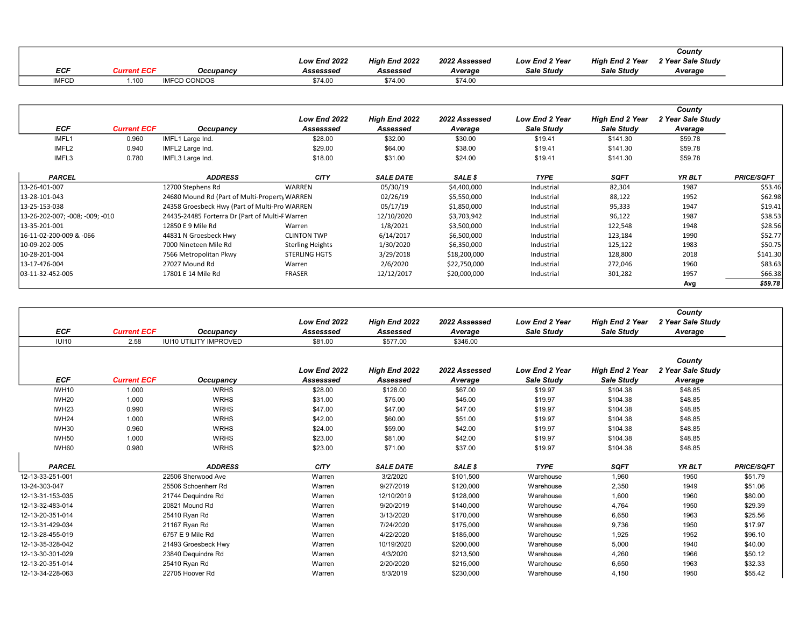|       |               |           |              |                      |               |                |                        | County            |  |
|-------|---------------|-----------|--------------|----------------------|---------------|----------------|------------------------|-------------------|--|
|       |               |           | Low End 2022 | <b>High End 2022</b> | 2022 Assessed | Low End 2 Year | <b>High End 2 Year</b> | 2 Year Sale Study |  |
| ECF   | airreacht ECE | Occupancy | Assesssed    | Assessed             | Average       | Sale Study     | Sale Study             | Average           |  |
| IMFCD |               | CONDOS C  | \$74.00      | \$74.00              | \$74.00       |                |                        |                   |  |

|                                 |                    |                                                 | Low End 2022            | High End 2022    | 2022 Assessed | <b>Low End 2 Year</b> | <b>High End 2 Year</b> | County<br>2 Year Sale Study |                   |
|---------------------------------|--------------------|-------------------------------------------------|-------------------------|------------------|---------------|-----------------------|------------------------|-----------------------------|-------------------|
| ECF                             | <b>Current ECF</b> | Occupancy                                       | Assesssed               | Assessed         | Average       | Sale Study            | Sale Study             | Average                     |                   |
| IMFL1                           | 0.960              | IMFL1 Large Ind.                                | \$28.00                 | \$32.00          | \$30.00       | \$19.41               | \$141.30               | \$59.78                     |                   |
| IMFL2                           | 0.940              | IMFL2 Large Ind.                                | \$29.00                 | \$64.00          | \$38.00       | \$19.41               | \$141.30               | \$59.78                     |                   |
| IMFL3                           | 0.780              | IMFL3 Large Ind.                                | \$18.00                 | \$31.00          | \$24.00       | \$19.41               | \$141.30               | \$59.78                     |                   |
| <b>PARCEL</b>                   |                    | <b>ADDRESS</b>                                  | <b>CITY</b>             | <b>SALE DATE</b> | SALE \$       | <b>TYPE</b>           | <b>SQFT</b>            | YR BLT                      | <b>PRICE/SQFT</b> |
| 13-26-401-007                   |                    | 12700 Stephens Rd                               | WARREN                  | 05/30/19         | \$4,400,000   | Industrial            | 82,304                 | 1987                        | \$53.46           |
| 13-28-101-043                   |                    | 24680 Mound Rd (Part of Multi-Property WARREN   |                         | 02/26/19         | \$5,550,000   | Industrial            | 88,122                 | 1952                        | \$62.98           |
| 13-25-153-038                   |                    | 24358 Groesbeck Hwy (Part of Multi-Pro WARREN   |                         | 05/17/19         | \$1,850,000   | Industrial            | 95,333                 | 1947                        | \$19.41           |
| 13-26-202-007; -008; -009; -010 |                    | 24435-24485 Forterra Dr (Part of Multi-F Warren |                         | 12/10/2020       | \$3,703,942   | Industrial            | 96,122                 | 1987                        | \$38.53           |
| 13-35-201-001                   |                    | 12850 E 9 Mile Rd                               | Warren                  | 1/8/2021         | \$3,500,000   | Industrial            | 122,548                | 1948                        | \$28.56           |
| 16-11-02-200-009 & -066         |                    | 44831 N Groesbeck Hwy                           | <b>CLINTON TWP</b>      | 6/14/2017        | \$6,500,000   | Industrial            | 123,184                | 1990                        | \$52.77           |
| 10-09-202-005                   |                    | 7000 Nineteen Mile Rd                           | <b>Sterling Heights</b> | 1/30/2020        | \$6,350,000   | Industrial            | 125,122                | 1983                        | \$50.75           |
| 10-28-201-004                   |                    | 7566 Metropolitan Pkwy                          | <b>STERLING HGTS</b>    | 3/29/2018        | \$18,200,000  | Industrial            | 128,800                | 2018                        | \$141.30          |
| 13-17-476-004                   |                    | 27027 Mound Rd                                  | Warren                  | 2/6/2020         | \$22,750,000  | Industrial            | 272,046                | 1960                        | \$83.63           |
| 03-11-32-452-005                |                    | 17801 E 14 Mile Rd                              | FRASER                  | 12/12/2017       | \$20,000,000  | Industrial            | 301,282                | 1957                        | \$66.38           |
|                                 |                    |                                                 |                         |                  |               |                       |                        | Ava                         | \$59.78           |

|                   |                    |                               |                           |                           |                          |                                     |                                      | County                                 |                   |
|-------------------|--------------------|-------------------------------|---------------------------|---------------------------|--------------------------|-------------------------------------|--------------------------------------|----------------------------------------|-------------------|
|                   |                    |                               | Low End 2022              | High End 2022             | 2022 Assessed            | <b>Low End 2 Year</b>               | <b>High End 2 Year</b>               | 2 Year Sale Study                      |                   |
| <b>ECF</b>        | <b>Current ECF</b> | Occupancy                     | Assesssed                 | Assessed                  | Average                  | Sale Study                          | Sale Study                           | Average                                |                   |
| <b>IUI10</b>      | 2.58               | <b>IUI10 UTILITY IMPROVED</b> | \$81.00                   | \$577.00                  | \$346.00                 |                                     |                                      |                                        |                   |
| <b>ECF</b>        | <b>Current ECF</b> | Occupancy                     | Low End 2022<br>Assesssed | High End 2022<br>Assessed | 2022 Assessed<br>Average | <b>Low End 2 Year</b><br>Sale Study | <b>High End 2 Year</b><br>Sale Study | County<br>2 Year Sale Study<br>Average |                   |
| <b>IWH10</b>      | 1.000              | <b>WRHS</b>                   | \$28.00                   | \$128.00                  | \$67.00                  | \$19.97                             | \$104.38                             | \$48.85                                |                   |
| IWH20             | 1.000              | <b>WRHS</b>                   | \$31.00                   | \$75.00                   | \$45.00                  | \$19.97                             | \$104.38                             | \$48.85                                |                   |
| IWH <sub>23</sub> | 0.990              | <b>WRHS</b>                   | \$47.00                   | \$47.00                   | \$47.00                  | \$19.97                             | \$104.38                             | \$48.85                                |                   |
| IWH24             | 1.000              | <b>WRHS</b>                   | \$42.00                   | \$60.00                   | \$51.00                  | \$19.97                             | \$104.38                             | \$48.85                                |                   |
| IWH30             | 0.960              | <b>WRHS</b>                   | \$24.00                   | \$59.00                   | \$42.00                  | \$19.97                             | \$104.38                             | \$48.85                                |                   |
| IWH50             | 1.000              | <b>WRHS</b>                   | \$23.00                   | \$81.00                   | \$42.00                  | \$19.97                             | \$104.38                             | \$48.85                                |                   |
| IWH60             | 0.980              | <b>WRHS</b>                   | \$23.00                   | \$71.00                   | \$37.00                  | \$19.97                             | \$104.38                             | \$48.85                                |                   |
|                   |                    |                               |                           |                           |                          |                                     |                                      |                                        |                   |
| <b>PARCEL</b>     |                    | <b>ADDRESS</b>                | <b>CITY</b>               | <b>SALE DATE</b>          | SALE \$                  | <b>TYPE</b>                         | SQFT                                 | YR BLT                                 | <b>PRICE/SQFT</b> |
| 12-13-33-251-001  |                    | 22506 Sherwood Ave            | Warren                    | 3/2/2020                  | \$101,500                | Warehouse                           | 1,960                                | 1950                                   | \$51.79           |
| 13-24-303-047     |                    | 25506 Schoenherr Rd           | Warren                    | 9/27/2019                 | \$120,000                | Warehouse                           | 2,350                                | 1949                                   | \$51.06           |
| 12-13-31-153-035  |                    | 21744 Dequindre Rd            | Warren                    | 12/10/2019                | \$128,000                | Warehouse                           | 1,600                                | 1960                                   | \$80.00           |
| 12-13-32-483-014  |                    | 20821 Mound Rd                | Warren                    | 9/20/2019                 | \$140,000                | Warehouse                           | 4,764                                | 1950                                   | \$29.39           |
| 12-13-20-351-014  |                    | 25410 Ryan Rd                 | Warren                    | 3/13/2020                 | \$170,000                | Warehouse                           | 6,650                                | 1963                                   | \$25.56           |
| 12-13-31-429-034  |                    | 21167 Ryan Rd                 | Warren                    | 7/24/2020                 | \$175,000                | Warehouse                           | 9,736                                | 1950                                   | \$17.97           |
| 12-13-28-455-019  |                    | 6757 E 9 Mile Rd              | Warren                    | 4/22/2020                 | \$185,000                | Warehouse                           | 1,925                                | 1952                                   | \$96.10           |
| 12-13-35-328-042  |                    | 21493 Groesbeck Hwy           | Warren                    | 10/19/2020                | \$200,000                | Warehouse                           | 5,000                                | 1940                                   | \$40.00           |
| 12-13-30-301-029  |                    | 23840 Dequindre Rd            | Warren                    | 4/3/2020                  | \$213,500                | Warehouse                           | 4,260                                | 1966                                   | \$50.12           |
| 12-13-20-351-014  |                    | 25410 Ryan Rd                 | Warren                    | 2/20/2020                 | \$215,000                | Warehouse                           | 6,650                                | 1963                                   | \$32.33           |
| 12-13-34-228-063  |                    | 22705 Hoover Rd               | Warren                    | 5/3/2019                  | \$230,000                | Warehouse                           | 4,150                                | 1950                                   | \$55.42           |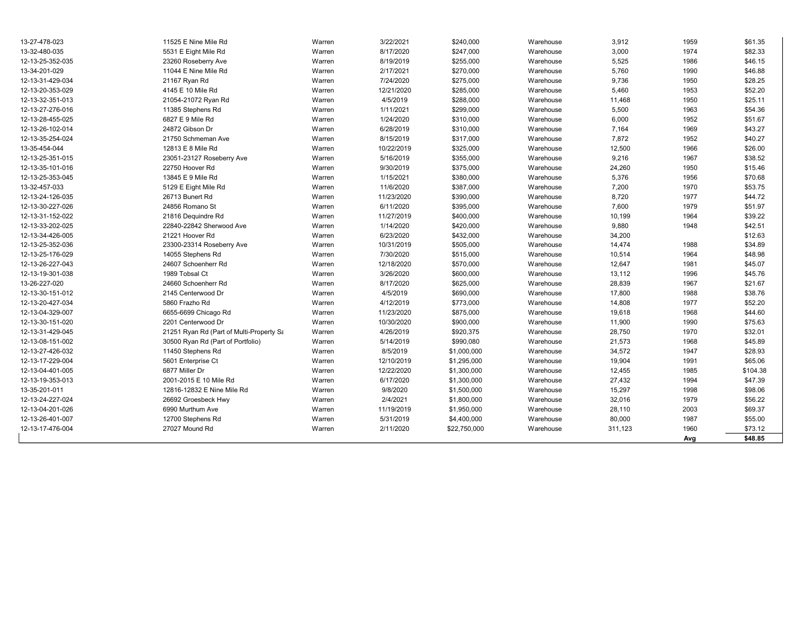| 13-27-478-023    | 11525 E Nine Mile Rd                     | Warren | 3/22/2021  | \$240,000    | Warehouse | 3,912   | 1959 | \$61.35  |
|------------------|------------------------------------------|--------|------------|--------------|-----------|---------|------|----------|
| 13-32-480-035    | 5531 E Eight Mile Rd                     | Warren | 8/17/2020  | \$247,000    | Warehouse | 3,000   | 1974 | \$82.33  |
| 12-13-25-352-035 | 23260 Roseberry Ave                      | Warren | 8/19/2019  | \$255,000    | Warehouse | 5,525   | 1986 | \$46.15  |
| 13-34-201-029    | 11044 E Nine Mile Rd                     | Warren | 2/17/2021  | \$270,000    | Warehouse | 5,760   | 1990 | \$46.88  |
| 12-13-31-429-034 | 21167 Ryan Rd                            | Warren | 7/24/2020  | \$275,000    | Warehouse | 9,736   | 1950 | \$28.25  |
| 12-13-20-353-029 | 4145 E 10 Mile Rd                        | Warren | 12/21/2020 | \$285,000    | Warehouse | 5,460   | 1953 | \$52.20  |
| 12-13-32-351-013 | 21054-21072 Ryan Rd                      | Warren | 4/5/2019   | \$288,000    | Warehouse | 11,468  | 1950 | \$25.11  |
| 12-13-27-276-016 | 11385 Stephens Rd                        | Warren | 1/11/2021  | \$299,000    | Warehouse | 5,500   | 1963 | \$54.36  |
| 12-13-28-455-025 | 6827 E 9 Mile Rd                         | Warren | 1/24/2020  | \$310,000    | Warehouse | 6,000   | 1952 | \$51.67  |
| 12-13-26-102-014 | 24872 Gibson Dr                          | Warren | 6/28/2019  | \$310,000    | Warehouse | 7,164   | 1969 | \$43.27  |
| 12-13-35-254-024 | 21750 Schmeman Ave                       | Warren | 8/15/2019  | \$317,000    | Warehouse | 7,872   | 1952 | \$40.27  |
| 13-35-454-044    | 12813 E 8 Mile Rd                        | Warren | 10/22/2019 | \$325,000    | Warehouse | 12,500  | 1966 | \$26.00  |
| 12-13-25-351-015 | 23051-23127 Roseberry Ave                | Warren | 5/16/2019  | \$355,000    | Warehouse | 9,216   | 1967 | \$38.52  |
| 12-13-35-101-016 | 22750 Hoover Rd                          | Warren | 9/30/2019  | \$375,000    | Warehouse | 24,260  | 1950 | \$15.46  |
| 12-13-25-353-045 | 13845 E 9 Mile Rd                        | Warren | 1/15/2021  | \$380,000    | Warehouse | 5,376   | 1956 | \$70.68  |
| 13-32-457-033    | 5129 E Eight Mile Rd                     | Warren | 11/6/2020  | \$387,000    | Warehouse | 7,200   | 1970 | \$53.75  |
| 12-13-24-126-035 | 26713 Bunert Rd                          | Warren | 11/23/2020 | \$390,000    | Warehouse | 8,720   | 1977 | \$44.72  |
| 12-13-30-227-026 | 24856 Romano St                          | Warren | 6/11/2020  | \$395,000    | Warehouse | 7,600   | 1979 | \$51.97  |
| 12-13-31-152-022 | 21816 Dequindre Rd                       | Warren | 11/27/2019 | \$400,000    | Warehouse | 10,199  | 1964 | \$39.22  |
| 12-13-33-202-025 | 22840-22842 Sherwood Ave                 | Warren | 1/14/2020  | \$420,000    | Warehouse | 9,880   | 1948 | \$42.51  |
| 12-13-34-426-005 | 21221 Hoover Rd                          | Warren | 6/23/2020  | \$432,000    | Warehouse | 34,200  |      | \$12.63  |
| 12-13-25-352-036 | 23300-23314 Roseberry Ave                | Warren | 10/31/2019 | \$505,000    | Warehouse | 14,474  | 1988 | \$34.89  |
| 12-13-25-176-029 | 14055 Stephens Rd                        | Warren | 7/30/2020  | \$515,000    | Warehouse | 10,514  | 1964 | \$48.98  |
| 12-13-26-227-043 | 24607 Schoenherr Rd                      | Warren | 12/18/2020 | \$570,000    | Warehouse | 12,647  | 1981 | \$45.07  |
| 12-13-19-301-038 | 1989 Tobsal Ct                           | Warren | 3/26/2020  | \$600,000    | Warehouse | 13,112  | 1996 | \$45.76  |
| 13-26-227-020    | 24660 Schoenherr Rd                      | Warren | 8/17/2020  | \$625,000    | Warehouse | 28,839  | 1967 | \$21.67  |
| 12-13-30-151-012 | 2145 Centerwood Dr                       | Warren | 4/5/2019   | \$690,000    | Warehouse | 17,800  | 1988 | \$38.76  |
| 12-13-20-427-034 | 5860 Frazho Rd                           | Warren | 4/12/2019  | \$773,000    | Warehouse | 14,808  | 1977 | \$52.20  |
| 12-13-04-329-007 | 6655-6699 Chicago Rd                     | Warren | 11/23/2020 | \$875,000    | Warehouse | 19,618  | 1968 | \$44.60  |
| 12-13-30-151-020 | 2201 Centerwood Dr                       | Warren | 10/30/2020 | \$900,000    | Warehouse | 11,900  | 1990 | \$75.63  |
| 12-13-31-429-045 | 21251 Ryan Rd (Part of Multi-Property Sa | Warren | 4/26/2019  | \$920,375    | Warehouse | 28,750  | 1970 | \$32.01  |
| 12-13-08-151-002 | 30500 Ryan Rd (Part of Portfolio)        | Warren | 5/14/2019  | \$990,080    | Warehouse | 21,573  | 1968 | \$45.89  |
| 12-13-27-426-032 | 11450 Stephens Rd                        | Warren | 8/5/2019   | \$1,000,000  | Warehouse | 34,572  | 1947 | \$28.93  |
| 12-13-17-229-004 | 5601 Enterprise Ct                       | Warren | 12/10/2019 | \$1,295,000  | Warehouse | 19,904  | 1991 | \$65.06  |
| 12-13-04-401-005 | 6877 Miller Dr                           | Warren | 12/22/2020 | \$1,300,000  | Warehouse | 12,455  | 1985 | \$104.38 |
| 12-13-19-353-013 | 2001-2015 E 10 Mile Rd                   | Warren | 6/17/2020  | \$1,300,000  | Warehouse | 27,432  | 1994 | \$47.39  |
| 13-35-201-011    | 12816-12832 E Nine Mile Rd               | Warren | 9/8/2020   | \$1,500,000  | Warehouse | 15,297  | 1998 | \$98.06  |
| 12-13-24-227-024 | 26692 Groesbeck Hwy                      | Warren | 2/4/2021   | \$1,800,000  | Warehouse | 32,016  | 1979 | \$56.22  |
| 12-13-04-201-026 | 6990 Murthum Ave                         | Warren | 11/19/2019 | \$1,950,000  | Warehouse | 28,110  | 2003 | \$69.37  |
| 12-13-26-401-007 | 12700 Stephens Rd                        | Warren | 5/31/2019  | \$4,400,000  | Warehouse | 80,000  | 1987 | \$55.00  |
| 12-13-17-476-004 | 27027 Mound Rd                           | Warren | 2/11/2020  | \$22,750,000 | Warehouse | 311,123 | 1960 | \$73.12  |
|                  |                                          |        |            |              |           |         | Avg  | \$48.85  |
|                  |                                          |        |            |              |           |         |      |          |